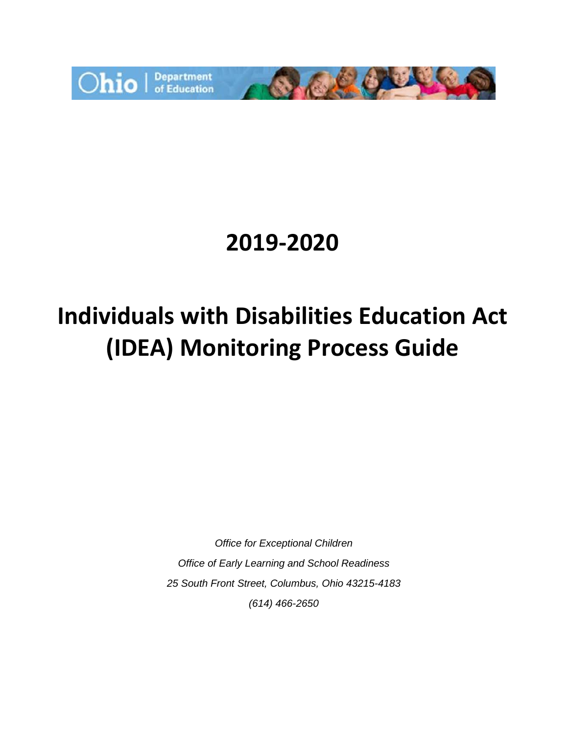

# **2019-2020**

# **Individuals with Disabilities Education Act (IDEA) Monitoring Process Guide**

*Office for Exceptional Children Office of Early Learning and School Readiness 25 South Front Street, Columbus, Ohio 43215-4183 (614) 466-2650*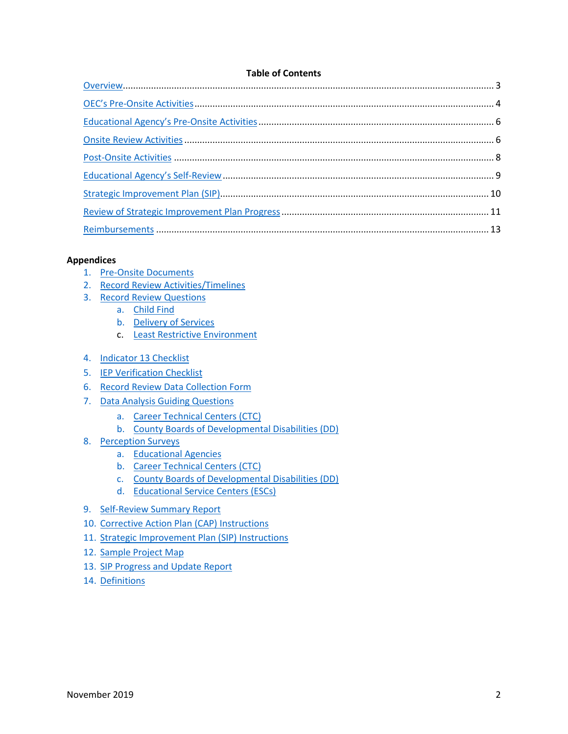#### **Table of Contents**

#### **Appendices**

- 1. [Pre-Onsite Documents](#page-13-0)
- 2. [Record Review Activities/Timelines](#page-15-0)
- 3. [Record Review Questions](#page-18-0)
	- a. [Child Find](#page-19-0)
	- b. Delivery of Services
	- c. Least Restrictive Environment
- 4. [Indicator 13 Checklist](#page-40-0)
- 5. [IEP Verification Checklist](#page-43-0)
- 6. [Record Review Data Collection Form](#page-45-0)
- 7. [Data Analysis Guiding Questions](#page-49-0)
	- a. [Career Technical Centers \(CTC\)](#page-52-0)
	- b. [County Boards of Developmental Disabilities \(DD\)](#page-51-0)
- 8. [Perception Surveys](#page-54-0)
	- a. [Educational Agencies](#page-54-1)
	- b. [Career Technical Centers \(CTC\)](#page-60-0)
	- c. [County Boards of Developmental Disabilities \(DD\)](#page-63-0)
	- d. [Educational Service Centers \(ESCs\)](#page-57-0)
- 9. [Self-Review Summary Report](#page-66-0)
- 10. [Corrective Action Plan \(CAP\) Instructions](#page-71-0)
- 11. [Strategic Improvement Plan \(SIP\) Instructions](#page-73-0)
- 12. [Sample Project Map](#page-75-0)
- 13. [SIP Progress and Update Report](#page-78-0)
- 14. [Definitions](#page-80-0)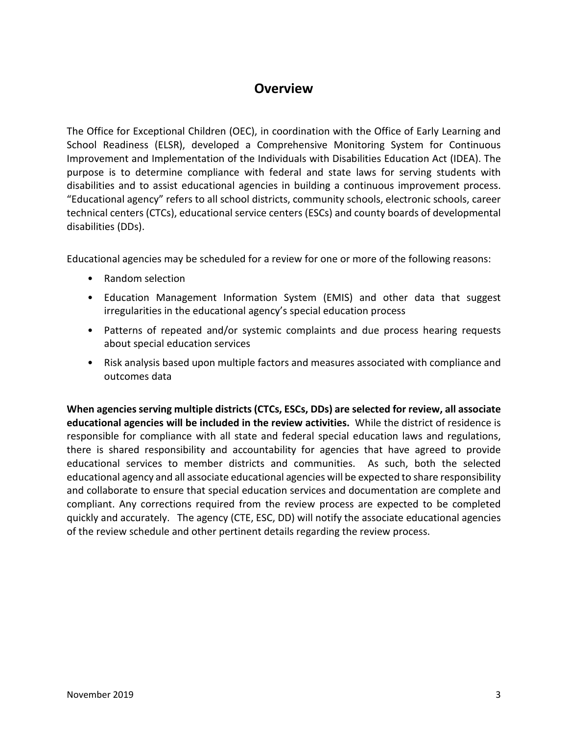# **Overview**

<span id="page-2-0"></span>The Office for Exceptional Children (OEC), in coordination with the Office of Early Learning and School Readiness (ELSR), developed a Comprehensive Monitoring System for Continuous Improvement and Implementation of the Individuals with Disabilities Education Act (IDEA). The purpose is to determine compliance with federal and state laws for serving students with disabilities and to assist educational agencies in building a continuous improvement process. "Educational agency" refers to all school districts, community schools, electronic schools, career technical centers (CTCs), educational service centers (ESCs) and county boards of developmental disabilities (DDs).

Educational agencies may be scheduled for a review for one or more of the following reasons:

- Random selection
- Education Management Information System (EMIS) and other data that suggest irregularities in the educational agency's special education process
- Patterns of repeated and/or systemic complaints and due process hearing requests about special education services
- Risk analysis based upon multiple factors and measures associated with compliance and outcomes data

**When agencies serving multiple districts (CTCs, ESCs, DDs) are selected for review, all associate educational agencies will be included in the review activities.** While the district of residence is responsible for compliance with all state and federal special education laws and regulations, there is shared responsibility and accountability for agencies that have agreed to provide educational services to member districts and communities. As such, both the selected educational agency and all associate educational agencies will be expected to share responsibility and collaborate to ensure that special education services and documentation are complete and compliant. Any corrections required from the review process are expected to be completed quickly and accurately. The agency (CTE, ESC, DD) will notify the associate educational agencies of the review schedule and other pertinent details regarding the review process.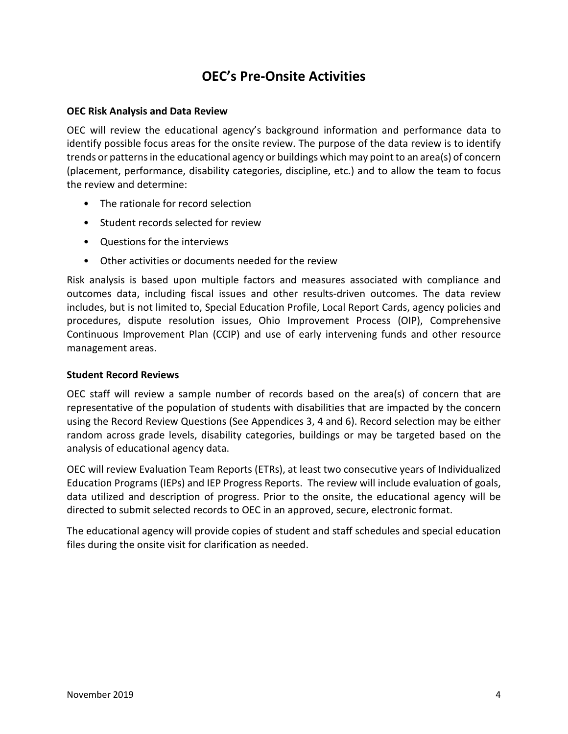# **OEC's Pre-Onsite Activities**

#### <span id="page-3-0"></span>**OEC Risk Analysis and Data Review**

OEC will review the educational agency's background information and performance data to identify possible focus areas for the onsite review. The purpose of the data review is to identify trends or patterns in the educational agency or buildings which may point to an area(s) of concern (placement, performance, disability categories, discipline, etc.) and to allow the team to focus the review and determine:

- The rationale for record selection
- Student records selected for review
- Questions for the interviews
- Other activities or documents needed for the review

Risk analysis is based upon multiple factors and measures associated with compliance and outcomes data, including fiscal issues and other results-driven outcomes. The data review includes, but is not limited to, Special Education Profile, Local Report Cards, agency policies and procedures, dispute resolution issues, Ohio Improvement Process (OIP), Comprehensive Continuous Improvement Plan (CCIP) and use of early intervening funds and other resource management areas.

#### **Student Record Reviews**

OEC staff will review a sample number of records based on the area(s) of concern that are representative of the population of students with disabilities that are impacted by the concern using the Record Review Questions (See Appendices 3, 4 and 6). Record selection may be either random across grade levels, disability categories, buildings or may be targeted based on the analysis of educational agency data.

OEC will review Evaluation Team Reports (ETRs), at least two consecutive years of Individualized Education Programs (IEPs) and IEP Progress Reports. The review will include evaluation of goals, data utilized and description of progress. Prior to the onsite, the educational agency will be directed to submit selected records to OEC in an approved, secure, electronic format.

The educational agency will provide copies of student and staff schedules and special education files during the onsite visit for clarification as needed.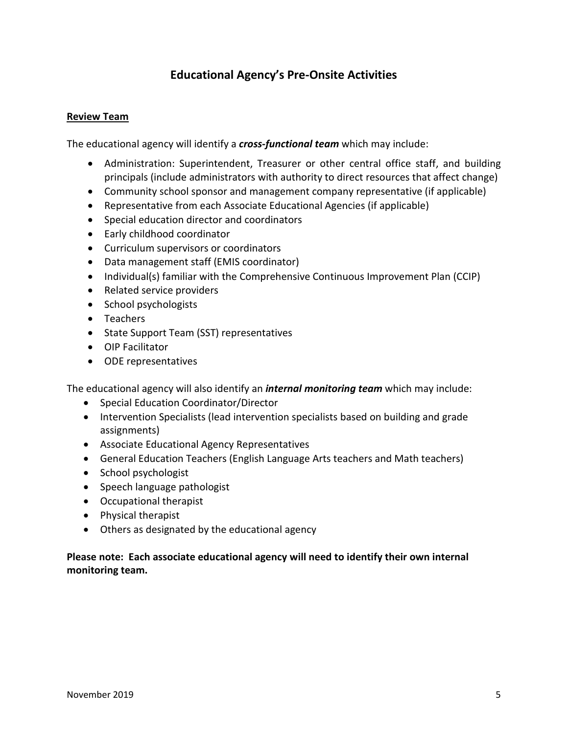# **Educational Agency's Pre-Onsite Activities**

#### <span id="page-4-0"></span>**Review Team**

The educational agency will identify a *cross-functional team* which may include:

- Administration: Superintendent, Treasurer or other central office staff, and building principals (include administrators with authority to direct resources that affect change)
- Community school sponsor and management company representative (if applicable)
- Representative from each Associate Educational Agencies (if applicable)
- Special education director and coordinators
- Early childhood coordinator
- Curriculum supervisors or coordinators
- Data management staff (EMIS coordinator)
- Individual(s) familiar with the Comprehensive Continuous Improvement Plan (CCIP)
- Related service providers
- School psychologists
- Teachers
- State Support Team (SST) representatives
- OIP Facilitator
- ODE representatives

The educational agency will also identify an *internal monitoring team* which may include:

- Special Education Coordinator/Director
- Intervention Specialists (lead intervention specialists based on building and grade assignments)
- Associate Educational Agency Representatives
- General Education Teachers (English Language Arts teachers and Math teachers)
- School psychologist
- Speech language pathologist
- Occupational therapist
- Physical therapist
- Others as designated by the educational agency

#### **Please note: Each associate educational agency will need to identify their own internal monitoring team.**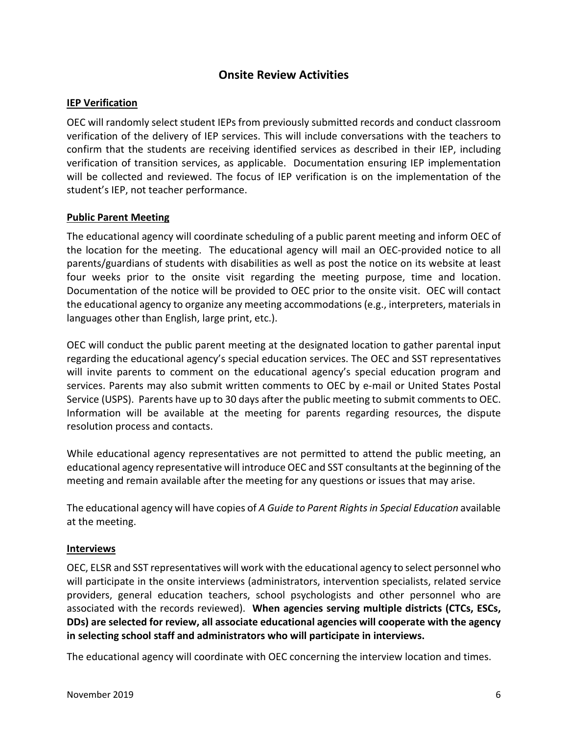### **Onsite Review Activities**

#### <span id="page-5-0"></span>**IEP Verification**

OEC will randomly select student IEPs from previously submitted records and conduct classroom verification of the delivery of IEP services. This will include conversations with the teachers to confirm that the students are receiving identified services as described in their IEP, including verification of transition services, as applicable. Documentation ensuring IEP implementation will be collected and reviewed. The focus of IEP verification is on the implementation of the student's IEP, not teacher performance.

#### **Public Parent Meeting**

The educational agency will coordinate scheduling of a public parent meeting and inform OEC of the location for the meeting. The educational agency will mail an OEC-provided notice to all parents/guardians of students with disabilities as well as post the notice on its website at least four weeks prior to the onsite visit regarding the meeting purpose, time and location. Documentation of the notice will be provided to OEC prior to the onsite visit. OEC will contact the educational agency to organize any meeting accommodations (e.g., interpreters, materials in languages other than English, large print, etc.).

OEC will conduct the public parent meeting at the designated location to gather parental input regarding the educational agency's special education services. The OEC and SST representatives will invite parents to comment on the educational agency's special education program and services. Parents may also submit written comments to OEC by e-mail or United States Postal Service (USPS). Parents have up to 30 days after the public meeting to submit comments to OEC. Information will be available at the meeting for parents regarding resources, the dispute resolution process and contacts.

While educational agency representatives are not permitted to attend the public meeting, an educational agency representative will introduce OEC and SST consultants at the beginning of the meeting and remain available after the meeting for any questions or issues that may arise.

The educational agency will have copies of *A Guide to Parent Rights in Special Education* available at the meeting.

#### **Interviews**

OEC, ELSR and SST representatives will work with the educational agency to select personnel who will participate in the onsite interviews (administrators, intervention specialists, related service providers, general education teachers, school psychologists and other personnel who are associated with the records reviewed). **When agencies serving multiple districts (CTCs, ESCs, DDs) are selected for review, all associate educational agencies will cooperate with the agency in selecting school staff and administrators who will participate in interviews.**

The educational agency will coordinate with OEC concerning the interview location and times.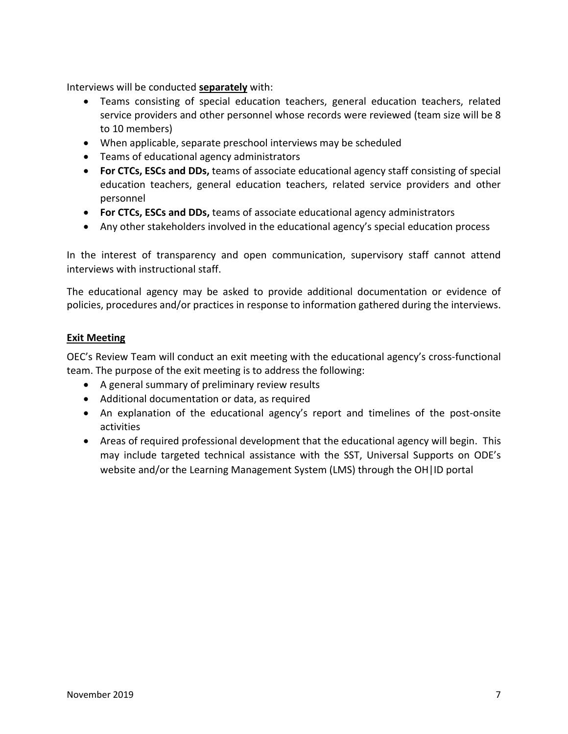Interviews will be conducted **separately** with:

- Teams consisting of special education teachers, general education teachers, related service providers and other personnel whose records were reviewed (team size will be 8 to 10 members)
- When applicable, separate preschool interviews may be scheduled
- Teams of educational agency administrators
- **For CTCs, ESCs and DDs,** teams of associate educational agency staff consisting of special education teachers, general education teachers, related service providers and other personnel
- **For CTCs, ESCs and DDs,** teams of associate educational agency administrators
- Any other stakeholders involved in the educational agency's special education process

In the interest of transparency and open communication, supervisory staff cannot attend interviews with instructional staff.

The educational agency may be asked to provide additional documentation or evidence of policies, procedures and/or practices in response to information gathered during the interviews.

#### **Exit Meeting**

OEC's Review Team will conduct an exit meeting with the educational agency's cross-functional team. The purpose of the exit meeting is to address the following:

- A general summary of preliminary review results
- Additional documentation or data, as required
- An explanation of the educational agency's report and timelines of the post-onsite activities
- Areas of required professional development that the educational agency will begin. This may include targeted technical assistance with the SST, Universal Supports on ODE's website and/or the Learning Management System (LMS) through the OH|ID portal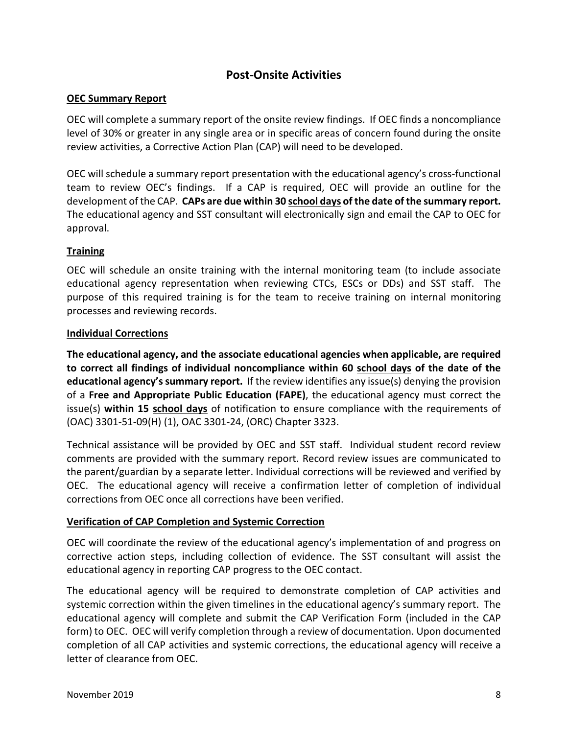# **Post-Onsite Activities**

#### <span id="page-7-0"></span>**OEC Summary Report**

OEC will complete a summary report of the onsite review findings. If OEC finds a noncompliance level of 30% or greater in any single area or in specific areas of concern found during the onsite review activities, a Corrective Action Plan (CAP) will need to be developed.

OEC will schedule a summary report presentation with the educational agency's cross-functional team to review OEC's findings. If a CAP is required, OEC will provide an outline for the development of the CAP. **CAPs are due within 30 school days of the date of the summary report.** The educational agency and SST consultant will electronically sign and email the CAP to OEC for approval.

#### **Training**

OEC will schedule an onsite training with the internal monitoring team (to include associate educational agency representation when reviewing CTCs, ESCs or DDs) and SST staff. The purpose of this required training is for the team to receive training on internal monitoring processes and reviewing records.

#### **Individual Corrections**

**The educational agency, and the associate educational agencies when applicable, are required to correct all findings of individual noncompliance within 60 school days of the date of the educational agency's summary report.** If the review identifies any issue(s) denying the provision of a **Free and Appropriate Public Education (FAPE)**, the educational agency must correct the issue(s) **within 15 school days** of notification to ensure compliance with the requirements of (OAC) 3301-51-09(H) (1), OAC 3301-24, (ORC) Chapter 3323.

Technical assistance will be provided by OEC and SST staff. Individual student record review comments are provided with the summary report. Record review issues are communicated to the parent/guardian by a separate letter. Individual corrections will be reviewed and verified by OEC. The educational agency will receive a confirmation letter of completion of individual corrections from OEC once all corrections have been verified.

#### **Verification of CAP Completion and Systemic Correction**

OEC will coordinate the review of the educational agency's implementation of and progress on corrective action steps, including collection of evidence. The SST consultant will assist the educational agency in reporting CAP progress to the OEC contact.

The educational agency will be required to demonstrate completion of CAP activities and systemic correction within the given timelines in the educational agency's summary report. The educational agency will complete and submit the CAP Verification Form (included in the CAP form) to OEC. OEC will verify completion through a review of documentation. Upon documented completion of all CAP activities and systemic corrections, the educational agency will receive a letter of clearance from OEC.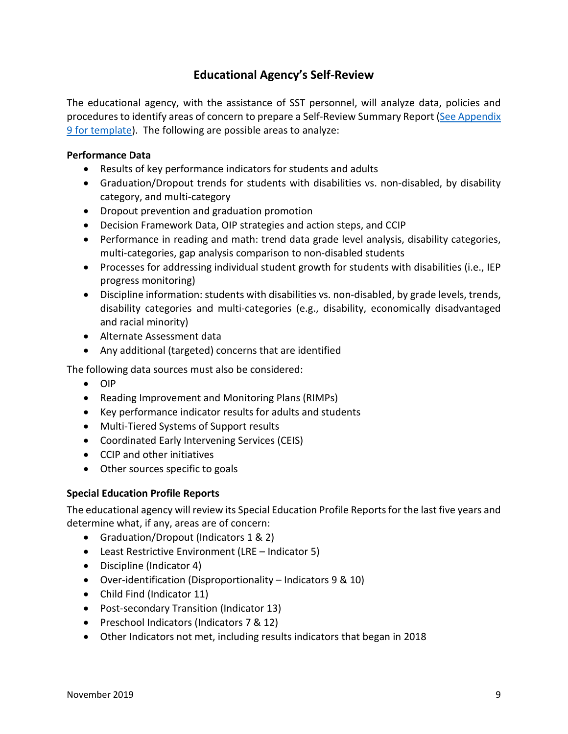# **Educational Agency's Self-Review**

<span id="page-8-0"></span>The educational agency, with the assistance of SST personnel, will analyze data, policies and procedures to identify areas of concern to prepare a Self-Review Summary Report (See Appendix 9 [for template\)](#page-66-1). The following are possible areas to analyze:

#### **Performance Data**

- Results of key performance indicators for students and adults
- Graduation/Dropout trends for students with disabilities vs. non-disabled, by disability category, and multi-category
- Dropout prevention and graduation promotion
- Decision Framework Data, OIP strategies and action steps, and CCIP
- Performance in reading and math: trend data grade level analysis, disability categories, multi-categories, gap analysis comparison to non-disabled students
- Processes for addressing individual student growth for students with disabilities (i.e., IEP progress monitoring)
- Discipline information: students with disabilities vs. non-disabled, by grade levels, trends, disability categories and multi-categories (e.g., disability, economically disadvantaged and racial minority)
- Alternate Assessment data
- Any additional (targeted) concerns that are identified

The following data sources must also be considered:

- OIP
- Reading Improvement and Monitoring Plans (RIMPs)
- Key performance indicator results for adults and students
- Multi-Tiered Systems of Support results
- Coordinated Early Intervening Services (CEIS)
- CCIP and other initiatives
- Other sources specific to goals

#### **Special Education Profile Reports**

The educational agency will review its Special Education Profile Reports for the last five years and determine what, if any, areas are of concern:

- Graduation/Dropout (Indicators 1 & 2)
- Least Restrictive Environment (LRE Indicator 5)
- Discipline (Indicator 4)
- Over-identification (Disproportionality Indicators 9 & 10)
- Child Find (Indicator 11)
- Post-secondary Transition (Indicator 13)
- Preschool Indicators (Indicators 7 & 12)
- Other Indicators not met, including results indicators that began in 2018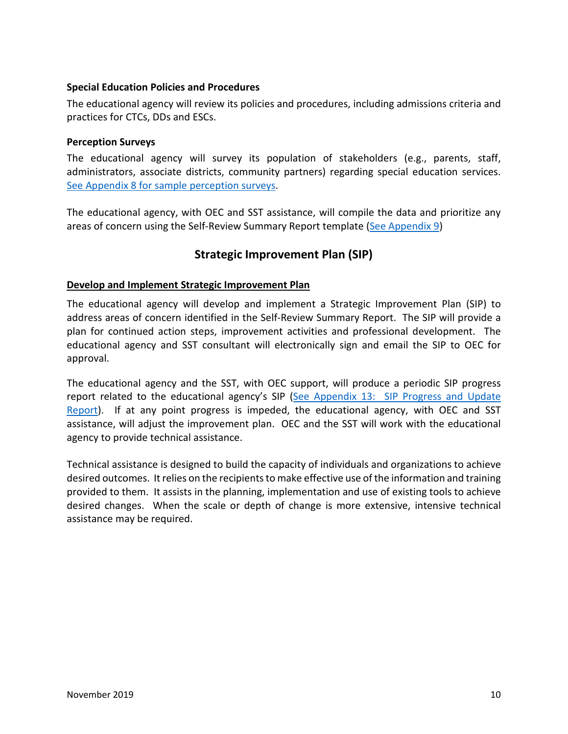#### **Special Education Policies and Procedures**

The educational agency will review its policies and procedures, including admissions criteria and practices for CTCs, DDs and ESCs.

#### **Perception Surveys**

The educational agency will survey its population of stakeholders (e.g., parents, staff, administrators, associate districts, community partners) regarding special education services. See Appendix 8 [for sample perception surveys.](#page-75-0)

The educational agency, with OEC and SST assistance, will compile the data and prioritize any areas of concern using the Self-Review Summary Report template [\(See Appendix](#page-71-0) 9)

## **Strategic Improvement Plan (SIP)**

#### <span id="page-9-0"></span>**Develop and Implement Strategic Improvement Plan**

The educational agency will develop and implement a Strategic Improvement Plan (SIP) to address areas of concern identified in the Self-Review Summary Report. The SIP will provide a plan for continued action steps, improvement activities and professional development. The educational agency and SST consultant will electronically sign and email the SIP to OEC for approval.

The educational agency and the SST, with OEC support, will produce a periodic SIP progress report related to the educational agency's SIP (See Appendix 13: SIP Progress and Update [Report\)](#page-79-0). If at any point progress is impeded, the educational agency, with OEC and SST assistance, will adjust the improvement plan. OEC and the SST will work with the educational agency to provide technical assistance.

Technical assistance is designed to build the capacity of individuals and organizations to achieve desired outcomes. It relies on the recipients to make effective use of the information and training provided to them. It assists in the planning, implementation and use of existing tools to achieve desired changes. When the scale or depth of change is more extensive, intensive technical assistance may be required.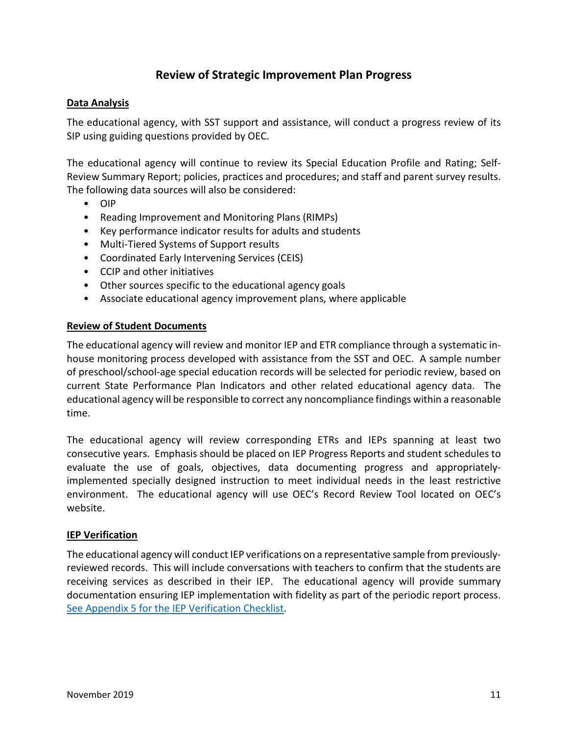## **Review of Strategic Improvement Plan Progress**

#### <span id="page-10-0"></span>**Data Analysis**

The educational agency, with SST support and assistance, will conduct a progress review of its SIP using guiding questions provided by OEC.

The educational agency will continue to review its Special Education Profile and Rating; Self-Review Summary Report; policies, practices and procedures; and staff and parent survey results. The following data sources will also be considered:

- OIP
- Reading Improvement and Monitoring Plans (RIMPs)
- Key performance indicator results for adults and students
- Multi-Tiered Systems of Support results
- Coordinated Early Intervening Services (CEIS)
- CCIP and other initiatives
- Other sources specific to the educational agency goals
- Associate educational agency improvement plans, where applicable

#### **Review of Student Documents**

The educational agency will review and monitor IEP and ETR compliance through a systematic inhouse monitoring process developed with assistance from the SST and OEC. A sample number of preschool/school-age special education records will be selected for periodic review, based on current State Performance Plan Indicators and other related educational agency data. The educational agency will be responsible to correct any noncompliance findings within a reasonable time.

The educational agency will review corresponding ETRs and IEPs spanning at least two consecutive years. Emphasis should be placed on IEP Progress Reports and student schedules to evaluate the use of goals, objectives, data documenting progress and appropriatelyimplemented specially designed instruction to meet individual needs in the least restrictive environment. The educational agency will use OEC's Record Review Tool located on OEC's website.

#### **IEP Verification**

The educational agency will conduct IEP verifications on a representative sample from previouslyreviewed records. This will include conversations with teachers to confirm that the students are receiving services as described in their IEP. The educational agency will provide summary documentation ensuring IEP implementation with fidelity as part of the periodic report process. See Appendix 5 [for the IEP Verification Checklist.](#page-40-0)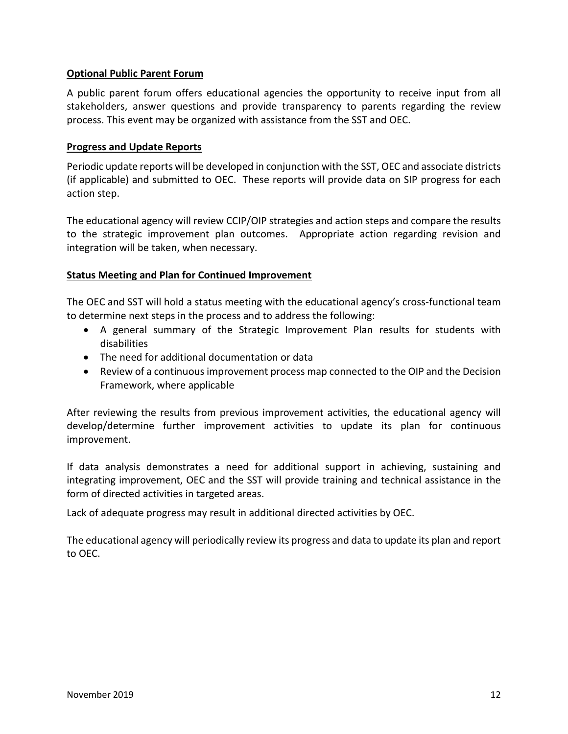#### **Optional Public Parent Forum**

A public parent forum offers educational agencies the opportunity to receive input from all stakeholders, answer questions and provide transparency to parents regarding the review process. This event may be organized with assistance from the SST and OEC.

#### **Progress and Update Reports**

Periodic update reports will be developed in conjunction with the SST, OEC and associate districts (if applicable) and submitted to OEC. These reports will provide data on SIP progress for each action step.

The educational agency will review CCIP/OIP strategies and action steps and compare the results to the strategic improvement plan outcomes. Appropriate action regarding revision and integration will be taken, when necessary.

#### **Status Meeting and Plan for Continued Improvement**

The OEC and SST will hold a status meeting with the educational agency's cross-functional team to determine next steps in the process and to address the following:

- A general summary of the Strategic Improvement Plan results for students with disabilities
- The need for additional documentation or data
- Review of a continuous improvement process map connected to the OIP and the Decision Framework, where applicable

After reviewing the results from previous improvement activities, the educational agency will develop/determine further improvement activities to update its plan for continuous improvement.

If data analysis demonstrates a need for additional support in achieving, sustaining and integrating improvement, OEC and the SST will provide training and technical assistance in the form of directed activities in targeted areas.

Lack of adequate progress may result in additional directed activities by OEC.

The educational agency will periodically review its progress and data to update its plan and report to OEC.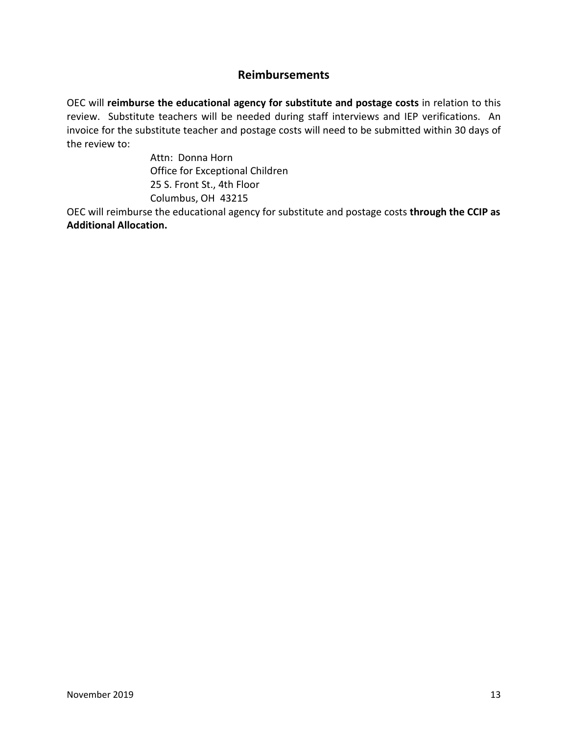### **Reimbursements**

<span id="page-12-0"></span>OEC will **reimburse the educational agency for substitute and postage costs** in relation to this review. Substitute teachers will be needed during staff interviews and IEP verifications. An invoice for the substitute teacher and postage costs will need to be submitted within 30 days of the review to:

> Attn: Donna Horn Office for Exceptional Children 25 S. Front St., 4th Floor Columbus, OH 43215

OEC will reimburse the educational agency for substitute and postage costs **through the CCIP as Additional Allocation.**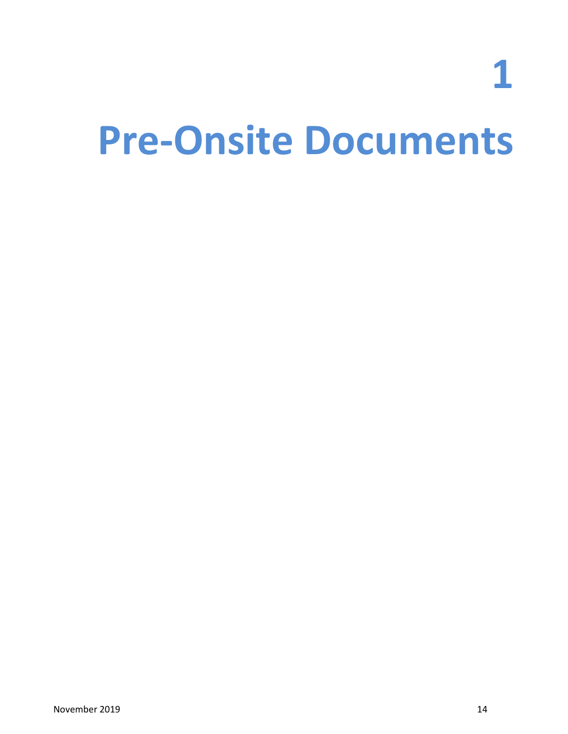**1**

# <span id="page-13-0"></span>**Pre-Onsite Documents**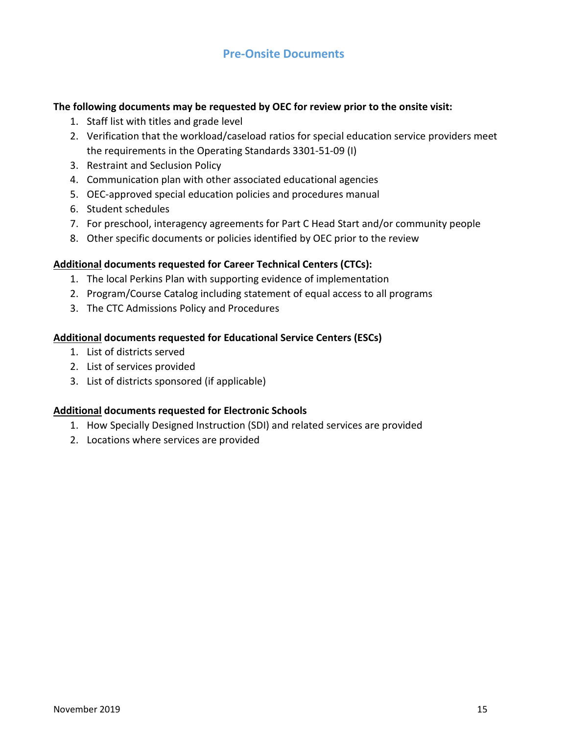### **Pre-Onsite Documents**

#### **The following documents may be requested by OEC for review prior to the onsite visit:**

- 1. Staff list with titles and grade level
- 2. Verification that the workload/caseload ratios for special education service providers meet the requirements in the Operating Standards 3301-51-09 (I)
- 3. Restraint and Seclusion Policy
- 4. Communication plan with other associated educational agencies
- 5. OEC-approved special education policies and procedures manual
- 6. Student schedules
- 7. For preschool, interagency agreements for Part C Head Start and/or community people
- 8. Other specific documents or policies identified by OEC prior to the review

#### **Additional documents requested for Career Technical Centers (CTCs):**

- 1. The local Perkins Plan with supporting evidence of implementation
- 2. Program/Course Catalog including statement of equal access to all programs
- 3. The CTC Admissions Policy and Procedures

#### **Additional documents requested for Educational Service Centers (ESCs)**

- 1. List of districts served
- 2. List of services provided
- 3. List of districts sponsored (if applicable)

#### **Additional documents requested for Electronic Schools**

- 1. How Specially Designed Instruction (SDI) and related services are provided
- 2. Locations where services are provided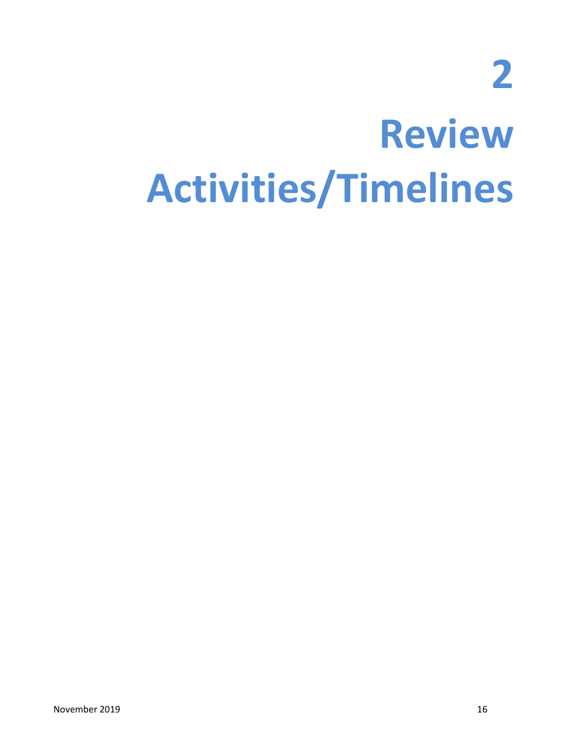**2**

# <span id="page-15-0"></span>**Review Activities/Timelines**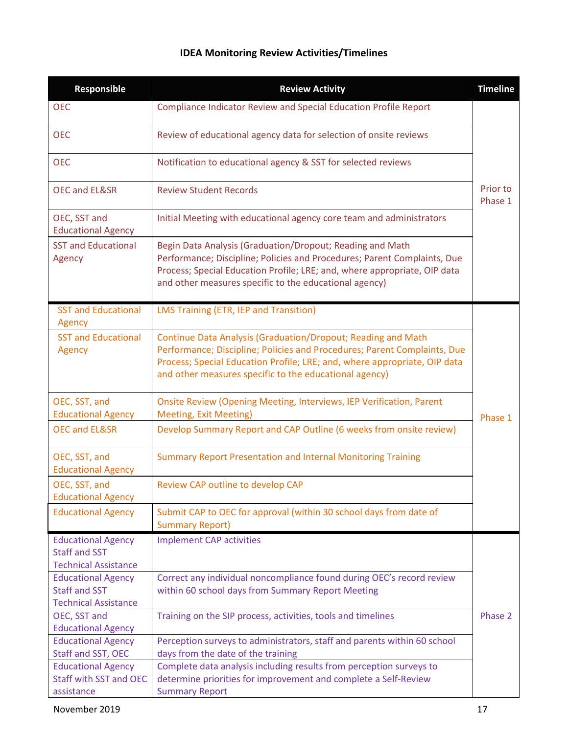# **IDEA Monitoring Review Activities/Timelines**

| Responsible                                                                      | <b>Review Activity</b>                                                                                                                                                                                                                                                          | <b>Timeline</b> |  |  |  |
|----------------------------------------------------------------------------------|---------------------------------------------------------------------------------------------------------------------------------------------------------------------------------------------------------------------------------------------------------------------------------|-----------------|--|--|--|
| <b>OEC</b>                                                                       | Compliance Indicator Review and Special Education Profile Report                                                                                                                                                                                                                |                 |  |  |  |
| <b>OEC</b>                                                                       | Review of educational agency data for selection of onsite reviews                                                                                                                                                                                                               |                 |  |  |  |
| <b>OEC</b>                                                                       | Notification to educational agency & SST for selected reviews                                                                                                                                                                                                                   |                 |  |  |  |
| <b>OEC and EL&amp;SR</b>                                                         | <b>Review Student Records</b>                                                                                                                                                                                                                                                   |                 |  |  |  |
| OEC, SST and<br><b>Educational Agency</b>                                        | Initial Meeting with educational agency core team and administrators                                                                                                                                                                                                            |                 |  |  |  |
| <b>SST and Educational</b><br>Agency                                             | Begin Data Analysis (Graduation/Dropout; Reading and Math<br>Performance; Discipline; Policies and Procedures; Parent Complaints, Due<br>Process; Special Education Profile; LRE; and, where appropriate, OIP data<br>and other measures specific to the educational agency)    |                 |  |  |  |
| <b>SST and Educational</b><br>Agency                                             | LMS Training (ETR, IEP and Transition)                                                                                                                                                                                                                                          |                 |  |  |  |
| <b>SST and Educational</b><br>Agency                                             | Continue Data Analysis (Graduation/Dropout; Reading and Math<br>Performance; Discipline; Policies and Procedures; Parent Complaints, Due<br>Process; Special Education Profile; LRE; and, where appropriate, OIP data<br>and other measures specific to the educational agency) |                 |  |  |  |
| OEC, SST, and<br><b>Educational Agency</b>                                       | Onsite Review (Opening Meeting, Interviews, IEP Verification, Parent<br><b>Meeting, Exit Meeting)</b>                                                                                                                                                                           | Phase 1         |  |  |  |
| <b>OEC and EL&amp;SR</b>                                                         | Develop Summary Report and CAP Outline (6 weeks from onsite review)                                                                                                                                                                                                             |                 |  |  |  |
| OEC, SST, and<br><b>Educational Agency</b>                                       | <b>Summary Report Presentation and Internal Monitoring Training</b>                                                                                                                                                                                                             |                 |  |  |  |
| OEC, SST, and<br><b>Educational Agency</b>                                       | Review CAP outline to develop CAP                                                                                                                                                                                                                                               |                 |  |  |  |
| <b>Educational Agency</b>                                                        | Submit CAP to OEC for approval (within 30 school days from date of<br><b>Summary Report)</b>                                                                                                                                                                                    |                 |  |  |  |
| <b>Educational Agency</b><br><b>Staff and SST</b><br><b>Technical Assistance</b> | <b>Implement CAP activities</b>                                                                                                                                                                                                                                                 |                 |  |  |  |
| <b>Educational Agency</b><br><b>Staff and SST</b><br><b>Technical Assistance</b> | Correct any individual noncompliance found during OEC's record review<br>within 60 school days from Summary Report Meeting                                                                                                                                                      |                 |  |  |  |
| OEC, SST and<br><b>Educational Agency</b>                                        | Training on the SIP process, activities, tools and timelines                                                                                                                                                                                                                    | Phase 2         |  |  |  |
| <b>Educational Agency</b>                                                        | Perception surveys to administrators, staff and parents within 60 school                                                                                                                                                                                                        |                 |  |  |  |
| Staff and SST, OEC                                                               | days from the date of the training                                                                                                                                                                                                                                              |                 |  |  |  |
| <b>Educational Agency</b>                                                        | Complete data analysis including results from perception surveys to                                                                                                                                                                                                             |                 |  |  |  |
| <b>Staff with SST and OEC</b>                                                    | determine priorities for improvement and complete a Self-Review                                                                                                                                                                                                                 |                 |  |  |  |
| assistance                                                                       | <b>Summary Report</b>                                                                                                                                                                                                                                                           |                 |  |  |  |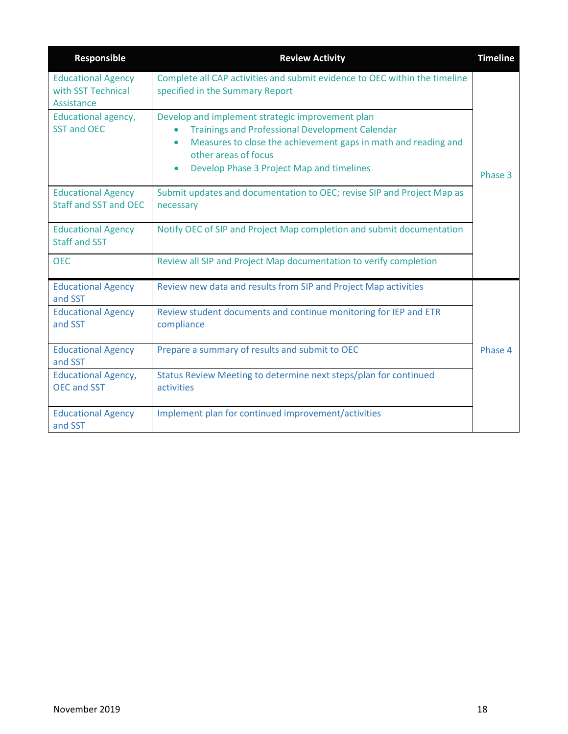| Responsible                                                   | <b>Review Activity</b>                                                                                                                                                                                                                                                                   | <b>Timeline</b> |
|---------------------------------------------------------------|------------------------------------------------------------------------------------------------------------------------------------------------------------------------------------------------------------------------------------------------------------------------------------------|-----------------|
| <b>Educational Agency</b><br>with SST Technical<br>Assistance | Complete all CAP activities and submit evidence to OEC within the timeline<br>specified in the Summary Report                                                                                                                                                                            |                 |
| Educational agency,<br><b>SST and OEC</b>                     | Develop and implement strategic improvement plan<br><b>Trainings and Professional Development Calendar</b><br>$\bullet$<br>Measures to close the achievement gaps in math and reading and<br>$\bullet$<br>other areas of focus<br>Develop Phase 3 Project Map and timelines<br>$\bullet$ | Phase 3         |
| <b>Educational Agency</b><br><b>Staff and SST and OEC</b>     | Submit updates and documentation to OEC; revise SIP and Project Map as<br>necessary                                                                                                                                                                                                      |                 |
| <b>Educational Agency</b><br><b>Staff and SST</b>             | Notify OEC of SIP and Project Map completion and submit documentation                                                                                                                                                                                                                    |                 |
| <b>OEC</b>                                                    | Review all SIP and Project Map documentation to verify completion                                                                                                                                                                                                                        |                 |
| <b>Educational Agency</b><br>and SST                          | Review new data and results from SIP and Project Map activities                                                                                                                                                                                                                          |                 |
| <b>Educational Agency</b><br>and SST                          | Review student documents and continue monitoring for IEP and ETR<br>compliance                                                                                                                                                                                                           |                 |
| <b>Educational Agency</b><br>and SST                          | Prepare a summary of results and submit to OEC                                                                                                                                                                                                                                           | Phase 4         |
| <b>Educational Agency,</b><br><b>OEC and SST</b>              | Status Review Meeting to determine next steps/plan for continued<br>activities                                                                                                                                                                                                           |                 |
| <b>Educational Agency</b><br>and SST                          | Implement plan for continued improvement/activities                                                                                                                                                                                                                                      |                 |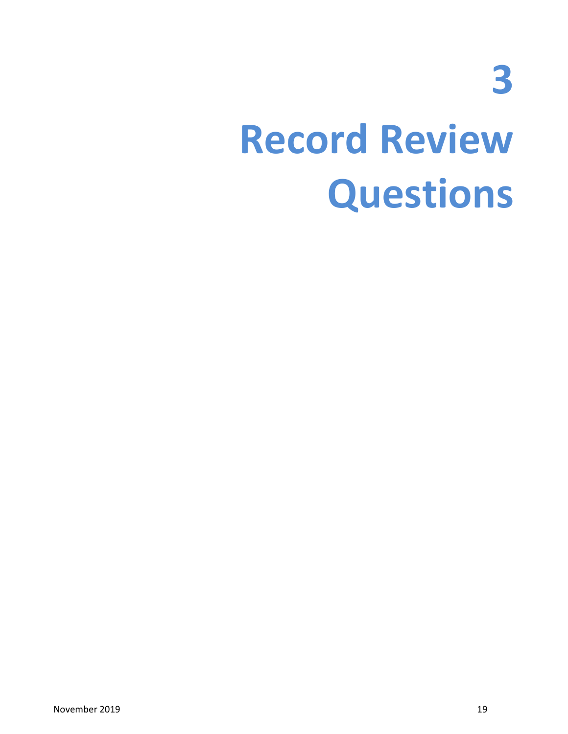**3**

# <span id="page-18-0"></span>**Record Review Questions**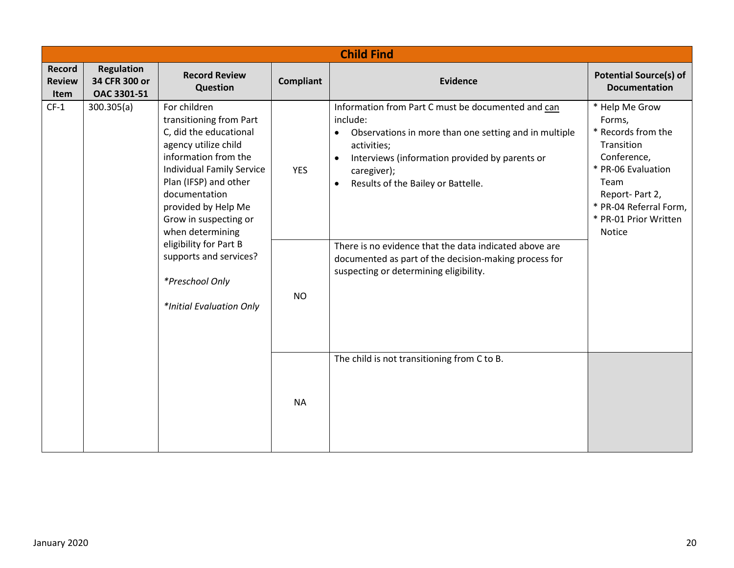<span id="page-19-0"></span>

|                                        | <b>Child Find</b>                                 |                                                                                                                                                                                                                                                                                                                                                                        |                         |                                                                                                                                                                                                                                                                                                                                                                                                                                                   |                                                                                                                                                                                          |  |  |  |
|----------------------------------------|---------------------------------------------------|------------------------------------------------------------------------------------------------------------------------------------------------------------------------------------------------------------------------------------------------------------------------------------------------------------------------------------------------------------------------|-------------------------|---------------------------------------------------------------------------------------------------------------------------------------------------------------------------------------------------------------------------------------------------------------------------------------------------------------------------------------------------------------------------------------------------------------------------------------------------|------------------------------------------------------------------------------------------------------------------------------------------------------------------------------------------|--|--|--|
| <b>Record</b><br><b>Review</b><br>Item | <b>Regulation</b><br>34 CFR 300 or<br>OAC 3301-51 | <b>Record Review</b><br>Question                                                                                                                                                                                                                                                                                                                                       | <b>Compliant</b>        | <b>Evidence</b>                                                                                                                                                                                                                                                                                                                                                                                                                                   | <b>Potential Source(s) of</b><br><b>Documentation</b>                                                                                                                                    |  |  |  |
| $CF-1$                                 | 300.305(a)                                        | For children<br>transitioning from Part<br>C, did the educational<br>agency utilize child<br>information from the<br><b>Individual Family Service</b><br>Plan (IFSP) and other<br>documentation<br>provided by Help Me<br>Grow in suspecting or<br>when determining<br>eligibility for Part B<br>supports and services?<br>*Preschool Only<br>*Initial Evaluation Only | <b>YES</b><br><b>NO</b> | Information from Part C must be documented and can<br>include:<br>Observations in more than one setting and in multiple<br>$\bullet$<br>activities;<br>Interviews (information provided by parents or<br>$\bullet$<br>caregiver);<br>Results of the Bailey or Battelle.<br>$\bullet$<br>There is no evidence that the data indicated above are<br>documented as part of the decision-making process for<br>suspecting or determining eligibility. | * Help Me Grow<br>Forms,<br>* Records from the<br>Transition<br>Conference,<br>* PR-06 Evaluation<br>Team<br>Report-Part 2,<br>* PR-04 Referral Form,<br>* PR-01 Prior Written<br>Notice |  |  |  |
|                                        |                                                   |                                                                                                                                                                                                                                                                                                                                                                        | <b>NA</b>               | The child is not transitioning from C to B.                                                                                                                                                                                                                                                                                                                                                                                                       |                                                                                                                                                                                          |  |  |  |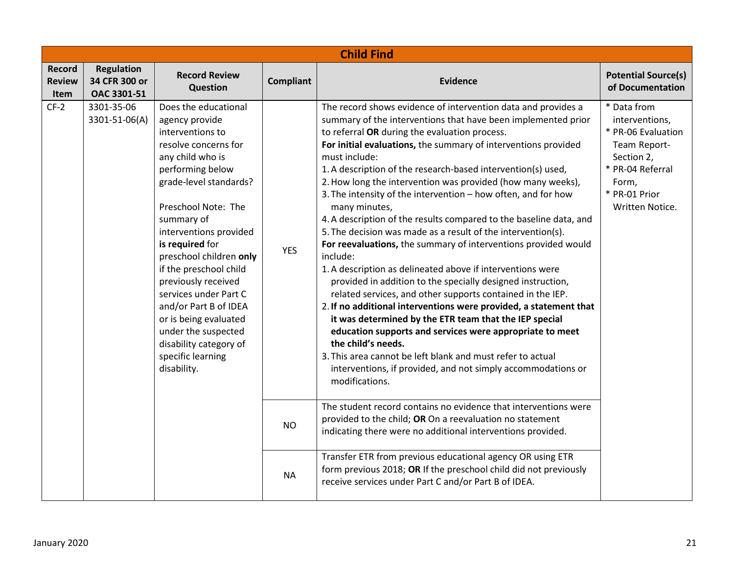|                                 | <b>Child Find</b>                                 |                                                                                                                                                                                                                                                                                                                                                                                                                                                                                    |                  |                                                                                                                                                                                                                                                                                                                                                                                                                                                                                                                                                                                                                                                                                                                                                                                                                                                                                                                                                                                                                                                                                                                                                                                                                                                                     |                                                                                                                                                    |  |  |  |
|---------------------------------|---------------------------------------------------|------------------------------------------------------------------------------------------------------------------------------------------------------------------------------------------------------------------------------------------------------------------------------------------------------------------------------------------------------------------------------------------------------------------------------------------------------------------------------------|------------------|---------------------------------------------------------------------------------------------------------------------------------------------------------------------------------------------------------------------------------------------------------------------------------------------------------------------------------------------------------------------------------------------------------------------------------------------------------------------------------------------------------------------------------------------------------------------------------------------------------------------------------------------------------------------------------------------------------------------------------------------------------------------------------------------------------------------------------------------------------------------------------------------------------------------------------------------------------------------------------------------------------------------------------------------------------------------------------------------------------------------------------------------------------------------------------------------------------------------------------------------------------------------|----------------------------------------------------------------------------------------------------------------------------------------------------|--|--|--|
| Record<br><b>Review</b><br>Item | <b>Regulation</b><br>34 CFR 300 or<br>OAC 3301-51 | <b>Record Review</b><br><b>Question</b>                                                                                                                                                                                                                                                                                                                                                                                                                                            | <b>Compliant</b> | <b>Evidence</b>                                                                                                                                                                                                                                                                                                                                                                                                                                                                                                                                                                                                                                                                                                                                                                                                                                                                                                                                                                                                                                                                                                                                                                                                                                                     | <b>Potential Source(s)</b><br>of Documentation                                                                                                     |  |  |  |
| $CF-2$                          | 3301-35-06<br>3301-51-06(A)                       | Does the educational<br>agency provide<br>interventions to<br>resolve concerns for<br>any child who is<br>performing below<br>grade-level standards?<br>Preschool Note: The<br>summary of<br>interventions provided<br>is required for<br>preschool children only<br>if the preschool child<br>previously received<br>services under Part C<br>and/or Part B of IDEA<br>or is being evaluated<br>under the suspected<br>disability category of<br>specific learning<br>disability. | <b>YES</b>       | The record shows evidence of intervention data and provides a<br>summary of the interventions that have been implemented prior<br>to referral OR during the evaluation process.<br>For initial evaluations, the summary of interventions provided<br>must include:<br>1. A description of the research-based intervention(s) used,<br>2. How long the intervention was provided (how many weeks),<br>3. The intensity of the intervention - how often, and for how<br>many minutes,<br>4. A description of the results compared to the baseline data, and<br>5. The decision was made as a result of the intervention(s).<br>For reevaluations, the summary of interventions provided would<br>include:<br>1. A description as delineated above if interventions were<br>provided in addition to the specially designed instruction,<br>related services, and other supports contained in the IEP.<br>2. If no additional interventions were provided, a statement that<br>it was determined by the ETR team that the IEP special<br>education supports and services were appropriate to meet<br>the child's needs.<br>3. This area cannot be left blank and must refer to actual<br>interventions, if provided, and not simply accommodations or<br>modifications. | * Data from<br>interventions,<br>* PR-06 Evaluation<br>Team Report-<br>Section 2,<br>* PR-04 Referral<br>Form,<br>* PR-01 Prior<br>Written Notice. |  |  |  |
|                                 |                                                   |                                                                                                                                                                                                                                                                                                                                                                                                                                                                                    | <b>NO</b>        | The student record contains no evidence that interventions were<br>provided to the child; OR On a reevaluation no statement<br>indicating there were no additional interventions provided.                                                                                                                                                                                                                                                                                                                                                                                                                                                                                                                                                                                                                                                                                                                                                                                                                                                                                                                                                                                                                                                                          |                                                                                                                                                    |  |  |  |
|                                 |                                                   |                                                                                                                                                                                                                                                                                                                                                                                                                                                                                    | <b>NA</b>        | Transfer ETR from previous educational agency OR using ETR<br>form previous 2018; OR If the preschool child did not previously<br>receive services under Part C and/or Part B of IDEA.                                                                                                                                                                                                                                                                                                                                                                                                                                                                                                                                                                                                                                                                                                                                                                                                                                                                                                                                                                                                                                                                              |                                                                                                                                                    |  |  |  |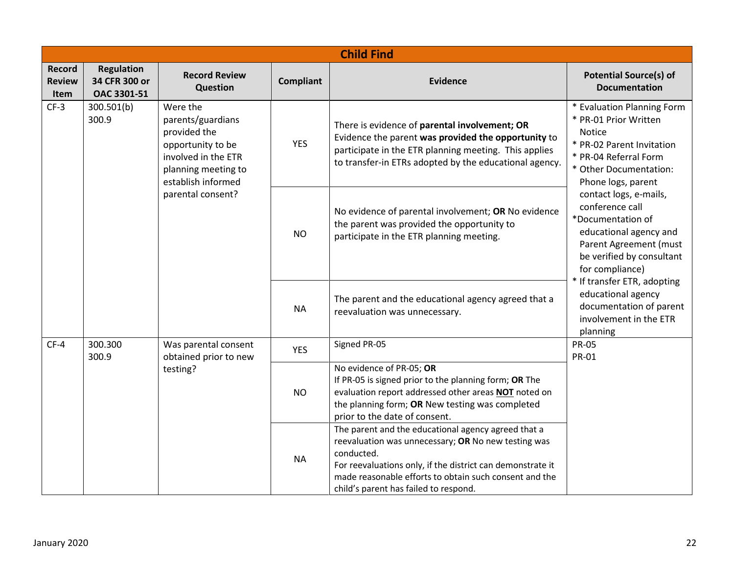|                                        | <b>Child Find</b>                                 |                                                                                                                                        |                                                                                                                                               |                                                                                                                                                                                                                                                                                           |                                                                                                                                                                            |  |  |
|----------------------------------------|---------------------------------------------------|----------------------------------------------------------------------------------------------------------------------------------------|-----------------------------------------------------------------------------------------------------------------------------------------------|-------------------------------------------------------------------------------------------------------------------------------------------------------------------------------------------------------------------------------------------------------------------------------------------|----------------------------------------------------------------------------------------------------------------------------------------------------------------------------|--|--|
| <b>Record</b><br><b>Review</b><br>Item | <b>Regulation</b><br>34 CFR 300 or<br>OAC 3301-51 | <b>Record Review</b><br>Question                                                                                                       | <b>Compliant</b>                                                                                                                              | <b>Evidence</b>                                                                                                                                                                                                                                                                           | <b>Potential Source(s) of</b><br><b>Documentation</b>                                                                                                                      |  |  |
| $CF-3$                                 | 300.501(b)<br>300.9                               | Were the<br>parents/guardians<br>provided the<br>opportunity to be<br>involved in the ETR<br>planning meeting to<br>establish informed | <b>YES</b>                                                                                                                                    | There is evidence of parental involvement; OR<br>Evidence the parent was provided the opportunity to<br>participate in the ETR planning meeting. This applies<br>to transfer-in ETRs adopted by the educational agency.                                                                   | * Evaluation Planning Form<br>* PR-01 Prior Written<br><b>Notice</b><br>* PR-02 Parent Invitation<br>* PR-04 Referral Form<br>* Other Documentation:<br>Phone logs, parent |  |  |
|                                        |                                                   | parental consent?<br><b>NO</b>                                                                                                         | No evidence of parental involvement; OR No evidence<br>the parent was provided the opportunity to<br>participate in the ETR planning meeting. | contact logs, e-mails,<br>conference call<br>*Documentation of<br>educational agency and<br>Parent Agreement (must<br>be verified by consultant<br>for compliance)                                                                                                                        |                                                                                                                                                                            |  |  |
|                                        |                                                   |                                                                                                                                        | <b>NA</b>                                                                                                                                     | The parent and the educational agency agreed that a<br>reevaluation was unnecessary.                                                                                                                                                                                                      | * If transfer ETR, adopting<br>educational agency<br>documentation of parent<br>involvement in the ETR<br>planning                                                         |  |  |
| $CF-4$                                 | 300.300<br>300.9                                  | Was parental consent<br>obtained prior to new                                                                                          | <b>YES</b>                                                                                                                                    | Signed PR-05                                                                                                                                                                                                                                                                              | <b>PR-05</b><br><b>PR-01</b>                                                                                                                                               |  |  |
|                                        |                                                   | testing?                                                                                                                               | <b>NO</b>                                                                                                                                     | No evidence of PR-05; OR<br>If PR-05 is signed prior to the planning form; OR The<br>evaluation report addressed other areas NOT noted on<br>the planning form; OR New testing was completed<br>prior to the date of consent.                                                             |                                                                                                                                                                            |  |  |
|                                        |                                                   |                                                                                                                                        | <b>NA</b>                                                                                                                                     | The parent and the educational agency agreed that a<br>reevaluation was unnecessary; OR No new testing was<br>conducted.<br>For reevaluations only, if the district can demonstrate it<br>made reasonable efforts to obtain such consent and the<br>child's parent has failed to respond. |                                                                                                                                                                            |  |  |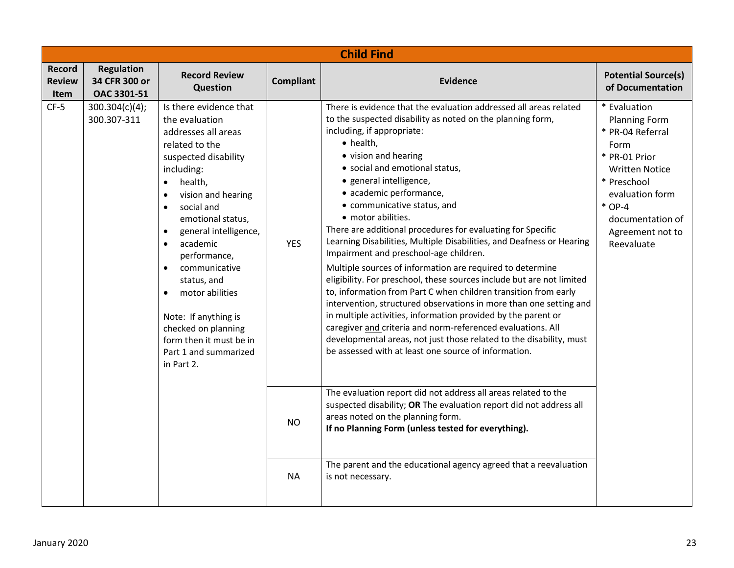|                                               | <b>Child Find</b>                                 |                                                                                                                                                                                                                                                                                                                                                                                                                                   |                  |                                                                                                                                                                                                                                                                                                                                                                                                                                                                                                                                                                                                                                                                                                                                                                                                                                                                                                                                                                                                                                                                                 |                                                                                                                                                                                                                |  |  |  |
|-----------------------------------------------|---------------------------------------------------|-----------------------------------------------------------------------------------------------------------------------------------------------------------------------------------------------------------------------------------------------------------------------------------------------------------------------------------------------------------------------------------------------------------------------------------|------------------|---------------------------------------------------------------------------------------------------------------------------------------------------------------------------------------------------------------------------------------------------------------------------------------------------------------------------------------------------------------------------------------------------------------------------------------------------------------------------------------------------------------------------------------------------------------------------------------------------------------------------------------------------------------------------------------------------------------------------------------------------------------------------------------------------------------------------------------------------------------------------------------------------------------------------------------------------------------------------------------------------------------------------------------------------------------------------------|----------------------------------------------------------------------------------------------------------------------------------------------------------------------------------------------------------------|--|--|--|
| <b>Record</b><br><b>Review</b><br><b>Item</b> | <b>Regulation</b><br>34 CFR 300 or<br>OAC 3301-51 | <b>Record Review</b><br>Question                                                                                                                                                                                                                                                                                                                                                                                                  | <b>Compliant</b> | Evidence                                                                                                                                                                                                                                                                                                                                                                                                                                                                                                                                                                                                                                                                                                                                                                                                                                                                                                                                                                                                                                                                        | <b>Potential Source(s)</b><br>of Documentation                                                                                                                                                                 |  |  |  |
| $CF-5$                                        | 300.304(c)(4);<br>300.307-311                     | Is there evidence that<br>the evaluation<br>addresses all areas<br>related to the<br>suspected disability<br>including:<br>health,<br>$\bullet$<br>vision and hearing<br>social and<br>emotional status,<br>general intelligence,<br>academic<br>performance,<br>communicative<br>status, and<br>motor abilities<br>Note: If anything is<br>checked on planning<br>form then it must be in<br>Part 1 and summarized<br>in Part 2. | <b>YES</b>       | There is evidence that the evaluation addressed all areas related<br>to the suspected disability as noted on the planning form,<br>including, if appropriate:<br>• health,<br>• vision and hearing<br>• social and emotional status,<br>· general intelligence,<br>• academic performance,<br>• communicative status, and<br>• motor abilities.<br>There are additional procedures for evaluating for Specific<br>Learning Disabilities, Multiple Disabilities, and Deafness or Hearing<br>Impairment and preschool-age children.<br>Multiple sources of information are required to determine<br>eligibility. For preschool, these sources include but are not limited<br>to, information from Part C when children transition from early<br>intervention, structured observations in more than one setting and<br>in multiple activities, information provided by the parent or<br>caregiver and criteria and norm-referenced evaluations. All<br>developmental areas, not just those related to the disability, must<br>be assessed with at least one source of information. | * Evaluation<br><b>Planning Form</b><br>* PR-04 Referral<br>Form<br>* PR-01 Prior<br><b>Written Notice</b><br>* Preschool<br>evaluation form<br>$*$ OP-4<br>documentation of<br>Agreement not to<br>Reevaluate |  |  |  |
|                                               |                                                   |                                                                                                                                                                                                                                                                                                                                                                                                                                   | <b>NO</b>        | The evaluation report did not address all areas related to the<br>suspected disability; OR The evaluation report did not address all<br>areas noted on the planning form.<br>If no Planning Form (unless tested for everything).                                                                                                                                                                                                                                                                                                                                                                                                                                                                                                                                                                                                                                                                                                                                                                                                                                                |                                                                                                                                                                                                                |  |  |  |
|                                               |                                                   |                                                                                                                                                                                                                                                                                                                                                                                                                                   | <b>NA</b>        | The parent and the educational agency agreed that a reevaluation<br>is not necessary.                                                                                                                                                                                                                                                                                                                                                                                                                                                                                                                                                                                                                                                                                                                                                                                                                                                                                                                                                                                           |                                                                                                                                                                                                                |  |  |  |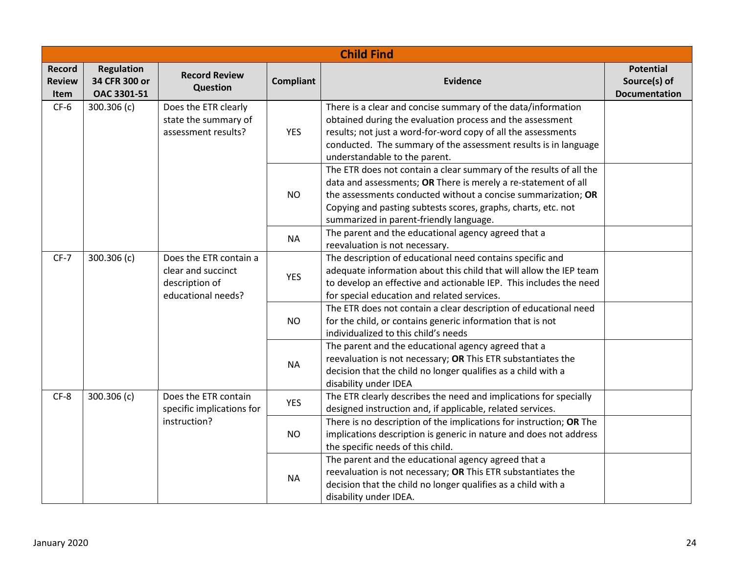|                                                                                              | <b>Child Find</b>                                 |                                                                                      |                  |                                                                                                                                                                                                                                                                                                                   |                                                          |  |  |
|----------------------------------------------------------------------------------------------|---------------------------------------------------|--------------------------------------------------------------------------------------|------------------|-------------------------------------------------------------------------------------------------------------------------------------------------------------------------------------------------------------------------------------------------------------------------------------------------------------------|----------------------------------------------------------|--|--|
| <b>Record</b><br><b>Review</b><br>Item                                                       | <b>Regulation</b><br>34 CFR 300 or<br>OAC 3301-51 | <b>Record Review</b><br>Question                                                     | <b>Compliant</b> | <b>Evidence</b>                                                                                                                                                                                                                                                                                                   | <b>Potential</b><br>Source(s) of<br><b>Documentation</b> |  |  |
| $CF-6$<br>Does the ETR clearly<br>300.306 (c)<br>state the summary of<br>assessment results? |                                                   |                                                                                      | <b>YES</b>       | There is a clear and concise summary of the data/information<br>obtained during the evaluation process and the assessment<br>results; not just a word-for-word copy of all the assessments<br>conducted. The summary of the assessment results is in language<br>understandable to the parent.                    |                                                          |  |  |
|                                                                                              |                                                   |                                                                                      | <b>NO</b>        | The ETR does not contain a clear summary of the results of all the<br>data and assessments; OR There is merely a re-statement of all<br>the assessments conducted without a concise summarization; OR<br>Copying and pasting subtests scores, graphs, charts, etc. not<br>summarized in parent-friendly language. |                                                          |  |  |
|                                                                                              |                                                   |                                                                                      | <b>NA</b>        | The parent and the educational agency agreed that a<br>reevaluation is not necessary.                                                                                                                                                                                                                             |                                                          |  |  |
| $CF-7$                                                                                       | 300.306 (c)                                       | Does the ETR contain a<br>clear and succinct<br>description of<br>educational needs? | <b>YES</b>       | The description of educational need contains specific and<br>adequate information about this child that will allow the IEP team<br>to develop an effective and actionable IEP. This includes the need<br>for special education and related services.                                                              |                                                          |  |  |
|                                                                                              |                                                   |                                                                                      | <b>NO</b>        | The ETR does not contain a clear description of educational need<br>for the child, or contains generic information that is not<br>individualized to this child's needs                                                                                                                                            |                                                          |  |  |
|                                                                                              |                                                   |                                                                                      | <b>NA</b>        | The parent and the educational agency agreed that a<br>reevaluation is not necessary; OR This ETR substantiates the<br>decision that the child no longer qualifies as a child with a<br>disability under IDEA                                                                                                     |                                                          |  |  |
| $CF-8$                                                                                       | 300.306 (c)                                       | Does the ETR contain<br>specific implications for                                    | <b>YES</b>       | The ETR clearly describes the need and implications for specially<br>designed instruction and, if applicable, related services.                                                                                                                                                                                   |                                                          |  |  |
|                                                                                              |                                                   | instruction?                                                                         | <b>NO</b>        | There is no description of the implications for instruction; OR The<br>implications description is generic in nature and does not address<br>the specific needs of this child.                                                                                                                                    |                                                          |  |  |
|                                                                                              |                                                   |                                                                                      | <b>NA</b>        | The parent and the educational agency agreed that a<br>reevaluation is not necessary; OR This ETR substantiates the<br>decision that the child no longer qualifies as a child with a<br>disability under IDEA.                                                                                                    |                                                          |  |  |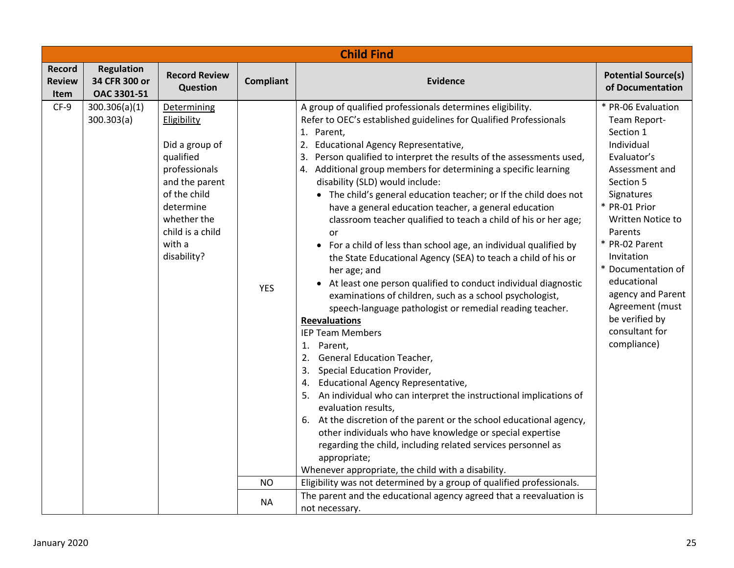|                                               | <b>Child Find</b>                                 |                                                                                                                                                                                       |                  |                                                                                                                                                                                                                                                                                                                                                                                                                                                                                                                                                                                                                                                                                                                                                                                                                                                                                                                                                                                                                                                                                                                                                                                                                                                                                                                                                                                                                                                                                     |                                                                                                                                                                                                                                                                                                                                            |  |  |  |
|-----------------------------------------------|---------------------------------------------------|---------------------------------------------------------------------------------------------------------------------------------------------------------------------------------------|------------------|-------------------------------------------------------------------------------------------------------------------------------------------------------------------------------------------------------------------------------------------------------------------------------------------------------------------------------------------------------------------------------------------------------------------------------------------------------------------------------------------------------------------------------------------------------------------------------------------------------------------------------------------------------------------------------------------------------------------------------------------------------------------------------------------------------------------------------------------------------------------------------------------------------------------------------------------------------------------------------------------------------------------------------------------------------------------------------------------------------------------------------------------------------------------------------------------------------------------------------------------------------------------------------------------------------------------------------------------------------------------------------------------------------------------------------------------------------------------------------------|--------------------------------------------------------------------------------------------------------------------------------------------------------------------------------------------------------------------------------------------------------------------------------------------------------------------------------------------|--|--|--|
| <b>Record</b><br><b>Review</b><br><b>Item</b> | <b>Regulation</b><br>34 CFR 300 or<br>OAC 3301-51 | <b>Record Review</b><br><b>Question</b>                                                                                                                                               | <b>Compliant</b> | <b>Evidence</b>                                                                                                                                                                                                                                                                                                                                                                                                                                                                                                                                                                                                                                                                                                                                                                                                                                                                                                                                                                                                                                                                                                                                                                                                                                                                                                                                                                                                                                                                     | <b>Potential Source(s)</b><br>of Documentation                                                                                                                                                                                                                                                                                             |  |  |  |
| $CF-9$                                        | 300.306(a)(1)<br>300.303(a)                       | Determining<br>Eligibility<br>Did a group of<br>qualified<br>professionals<br>and the parent<br>of the child<br>determine<br>whether the<br>child is a child<br>with a<br>disability? | <b>YES</b>       | A group of qualified professionals determines eligibility.<br>Refer to OEC's established guidelines for Qualified Professionals<br>1. Parent,<br>2. Educational Agency Representative,<br>3. Person qualified to interpret the results of the assessments used,<br>4. Additional group members for determining a specific learning<br>disability (SLD) would include:<br>• The child's general education teacher; or If the child does not<br>have a general education teacher, a general education<br>classroom teacher qualified to teach a child of his or her age;<br>or<br>• For a child of less than school age, an individual qualified by<br>the State Educational Agency (SEA) to teach a child of his or<br>her age; and<br>At least one person qualified to conduct individual diagnostic<br>examinations of children, such as a school psychologist,<br>speech-language pathologist or remedial reading teacher.<br><b>Reevaluations</b><br><b>IEP Team Members</b><br>1. Parent,<br>2. General Education Teacher,<br>3. Special Education Provider,<br>4. Educational Agency Representative,<br>5. An individual who can interpret the instructional implications of<br>evaluation results,<br>6. At the discretion of the parent or the school educational agency,<br>other individuals who have knowledge or special expertise<br>regarding the child, including related services personnel as<br>appropriate;<br>Whenever appropriate, the child with a disability. | * PR-06 Evaluation<br>Team Report-<br>Section 1<br>Individual<br>Evaluator's<br>Assessment and<br>Section 5<br>Signatures<br>* PR-01 Prior<br>Written Notice to<br>Parents<br>* PR-02 Parent<br>Invitation<br>* Documentation of<br>educational<br>agency and Parent<br>Agreement (must<br>be verified by<br>consultant for<br>compliance) |  |  |  |
|                                               |                                                   |                                                                                                                                                                                       | <b>NO</b>        | Eligibility was not determined by a group of qualified professionals.                                                                                                                                                                                                                                                                                                                                                                                                                                                                                                                                                                                                                                                                                                                                                                                                                                                                                                                                                                                                                                                                                                                                                                                                                                                                                                                                                                                                               |                                                                                                                                                                                                                                                                                                                                            |  |  |  |
|                                               |                                                   |                                                                                                                                                                                       | <b>NA</b>        | The parent and the educational agency agreed that a reevaluation is<br>not necessary.                                                                                                                                                                                                                                                                                                                                                                                                                                                                                                                                                                                                                                                                                                                                                                                                                                                                                                                                                                                                                                                                                                                                                                                                                                                                                                                                                                                               |                                                                                                                                                                                                                                                                                                                                            |  |  |  |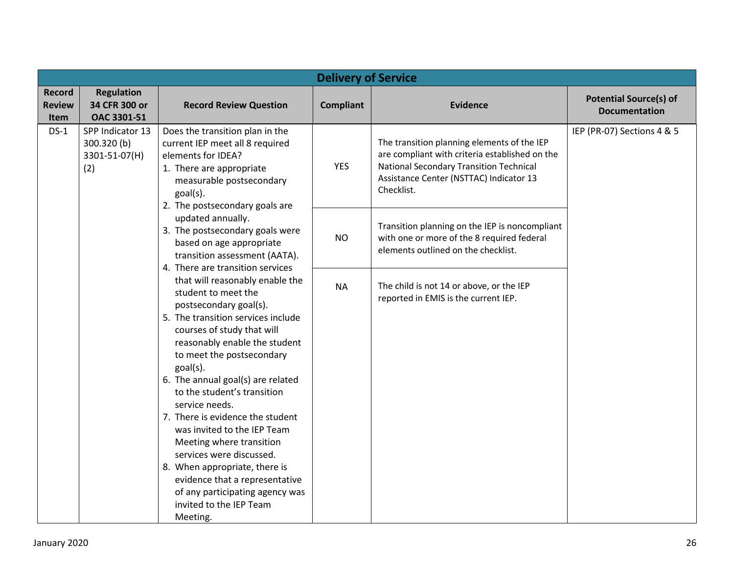|                                        | <b>Delivery of Service</b>                                                                                                                                                                                                                               |                                                                                                                                                                                                                                                                                                                                                                                                                                                                                                                                                                                              |                                                                                                                                                                                                   |                                                                                                                                     |                                                       |  |  |  |
|----------------------------------------|----------------------------------------------------------------------------------------------------------------------------------------------------------------------------------------------------------------------------------------------------------|----------------------------------------------------------------------------------------------------------------------------------------------------------------------------------------------------------------------------------------------------------------------------------------------------------------------------------------------------------------------------------------------------------------------------------------------------------------------------------------------------------------------------------------------------------------------------------------------|---------------------------------------------------------------------------------------------------------------------------------------------------------------------------------------------------|-------------------------------------------------------------------------------------------------------------------------------------|-------------------------------------------------------|--|--|--|
| <b>Record</b><br><b>Review</b><br>Item | <b>Regulation</b><br>34 CFR 300 or<br>OAC 3301-51                                                                                                                                                                                                        | <b>Record Review Question</b>                                                                                                                                                                                                                                                                                                                                                                                                                                                                                                                                                                | <b>Compliant</b>                                                                                                                                                                                  | <b>Evidence</b>                                                                                                                     | <b>Potential Source(s) of</b><br><b>Documentation</b> |  |  |  |
| $DS-1$                                 | SPP Indicator 13<br>Does the transition plan in the<br>300.320(b)<br>current IEP meet all 8 required<br>elements for IDEA?<br>3301-51-07(H)<br>(2)<br>1. There are appropriate<br>measurable postsecondary<br>goal(s).<br>2. The postsecondary goals are | <b>YES</b>                                                                                                                                                                                                                                                                                                                                                                                                                                                                                                                                                                                   | The transition planning elements of the IEP<br>are compliant with criteria established on the<br>National Secondary Transition Technical<br>Assistance Center (NSTTAC) Indicator 13<br>Checklist. | IEP (PR-07) Sections 4 & 5                                                                                                          |                                                       |  |  |  |
|                                        | updated annually.<br>3. The postsecondary goals were<br>based on age appropriate<br>transition assessment (AATA).<br>4. There are transition services                                                                                                    |                                                                                                                                                                                                                                                                                                                                                                                                                                                                                                                                                                                              | <b>NO</b>                                                                                                                                                                                         | Transition planning on the IEP is noncompliant<br>with one or more of the 8 required federal<br>elements outlined on the checklist. |                                                       |  |  |  |
|                                        |                                                                                                                                                                                                                                                          | that will reasonably enable the<br>student to meet the<br>postsecondary goal(s).<br>5. The transition services include<br>courses of study that will<br>reasonably enable the student<br>to meet the postsecondary<br>goal(s).<br>6. The annual goal(s) are related<br>to the student's transition<br>service needs.<br>7. There is evidence the student<br>was invited to the IEP Team<br>Meeting where transition<br>services were discussed.<br>8. When appropriate, there is<br>evidence that a representative<br>of any participating agency was<br>invited to the IEP Team<br>Meeting. | <b>NA</b>                                                                                                                                                                                         | The child is not 14 or above, or the IEP<br>reported in EMIS is the current IEP.                                                    |                                                       |  |  |  |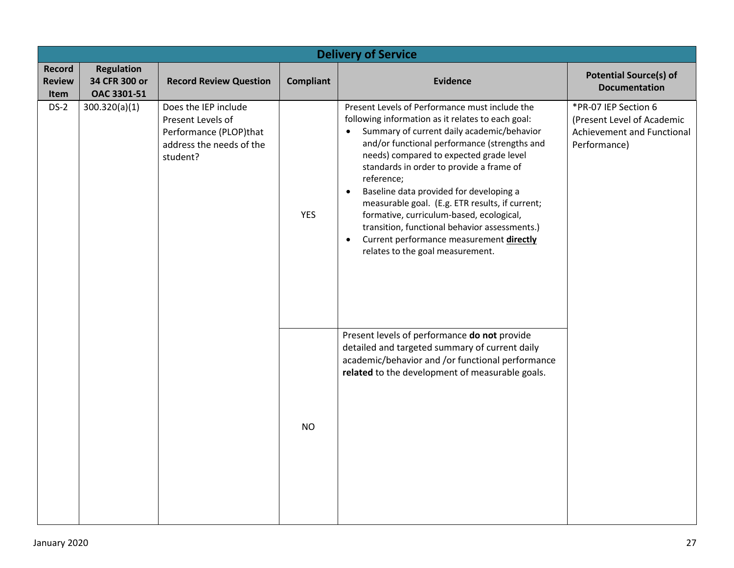|                                               | <b>Delivery of Service</b>                        |                                                                                                             |                  |                                                                                                                                                                                                                                                                                                                                                                                                                                                                                                                                                                                                                          |                                                                                                  |  |  |  |
|-----------------------------------------------|---------------------------------------------------|-------------------------------------------------------------------------------------------------------------|------------------|--------------------------------------------------------------------------------------------------------------------------------------------------------------------------------------------------------------------------------------------------------------------------------------------------------------------------------------------------------------------------------------------------------------------------------------------------------------------------------------------------------------------------------------------------------------------------------------------------------------------------|--------------------------------------------------------------------------------------------------|--|--|--|
| <b>Record</b><br><b>Review</b><br><b>Item</b> | <b>Regulation</b><br>34 CFR 300 or<br>OAC 3301-51 | <b>Record Review Question</b>                                                                               | <b>Compliant</b> | <b>Evidence</b>                                                                                                                                                                                                                                                                                                                                                                                                                                                                                                                                                                                                          | <b>Potential Source(s) of</b><br><b>Documentation</b>                                            |  |  |  |
| $DS-2$                                        | 300.320(a)(1)                                     | Does the IEP include<br>Present Levels of<br>Performance (PLOP)that<br>address the needs of the<br>student? | <b>YES</b>       | Present Levels of Performance must include the<br>following information as it relates to each goal:<br>Summary of current daily academic/behavior<br>$\bullet$<br>and/or functional performance (strengths and<br>needs) compared to expected grade level<br>standards in order to provide a frame of<br>reference;<br>Baseline data provided for developing a<br>$\bullet$<br>measurable goal. (E.g. ETR results, if current;<br>formative, curriculum-based, ecological,<br>transition, functional behavior assessments.)<br>Current performance measurement directly<br>$\bullet$<br>relates to the goal measurement. | *PR-07 IEP Section 6<br>(Present Level of Academic<br>Achievement and Functional<br>Performance) |  |  |  |
|                                               |                                                   |                                                                                                             | <b>NO</b>        | Present levels of performance do not provide<br>detailed and targeted summary of current daily<br>academic/behavior and /or functional performance<br>related to the development of measurable goals.                                                                                                                                                                                                                                                                                                                                                                                                                    |                                                                                                  |  |  |  |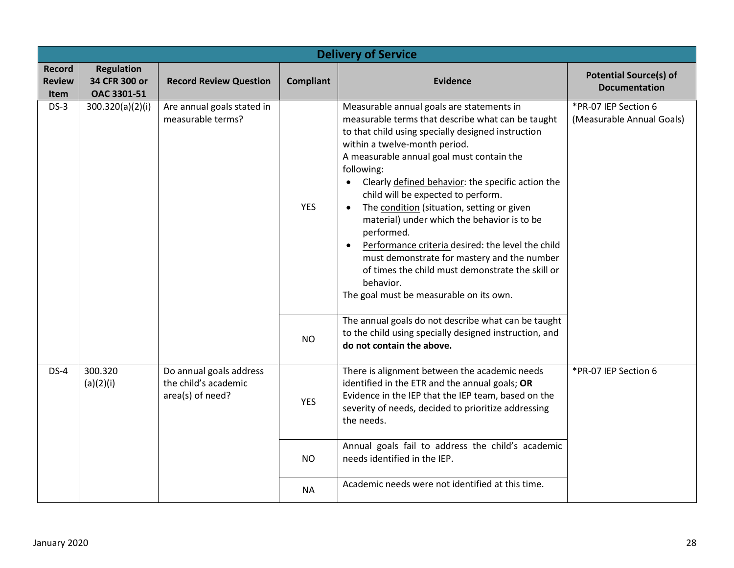| <b>Delivery of Service</b>             |                                                   |                                                                     |                  |                                                                                                                                                                                                                                                                                                                                                                                                                                                                                                                                                                                                                                                                                     |                                                       |  |  |
|----------------------------------------|---------------------------------------------------|---------------------------------------------------------------------|------------------|-------------------------------------------------------------------------------------------------------------------------------------------------------------------------------------------------------------------------------------------------------------------------------------------------------------------------------------------------------------------------------------------------------------------------------------------------------------------------------------------------------------------------------------------------------------------------------------------------------------------------------------------------------------------------------------|-------------------------------------------------------|--|--|
| <b>Record</b><br><b>Review</b><br>Item | <b>Regulation</b><br>34 CFR 300 or<br>OAC 3301-51 | <b>Record Review Question</b>                                       | <b>Compliant</b> | <b>Evidence</b>                                                                                                                                                                                                                                                                                                                                                                                                                                                                                                                                                                                                                                                                     | <b>Potential Source(s) of</b><br><b>Documentation</b> |  |  |
| $DS-3$                                 | 300.320(a)(2)(i)                                  | Are annual goals stated in<br>measurable terms?                     | <b>YES</b>       | Measurable annual goals are statements in<br>measurable terms that describe what can be taught<br>to that child using specially designed instruction<br>within a twelve-month period.<br>A measurable annual goal must contain the<br>following:<br>Clearly defined behavior: the specific action the<br>child will be expected to perform.<br>The condition (situation, setting or given<br>material) under which the behavior is to be<br>performed.<br>Performance criteria desired: the level the child<br>$\bullet$<br>must demonstrate for mastery and the number<br>of times the child must demonstrate the skill or<br>behavior.<br>The goal must be measurable on its own. | *PR-07 IEP Section 6<br>(Measurable Annual Goals)     |  |  |
|                                        |                                                   |                                                                     | <b>NO</b>        | The annual goals do not describe what can be taught<br>to the child using specially designed instruction, and<br>do not contain the above.                                                                                                                                                                                                                                                                                                                                                                                                                                                                                                                                          |                                                       |  |  |
| $DS-4$                                 | 300.320<br>(a)(2)(i)                              | Do annual goals address<br>the child's academic<br>area(s) of need? | <b>YES</b>       | There is alignment between the academic needs<br>identified in the ETR and the annual goals; OR<br>Evidence in the IEP that the IEP team, based on the<br>severity of needs, decided to prioritize addressing<br>the needs.                                                                                                                                                                                                                                                                                                                                                                                                                                                         | *PR-07 IEP Section 6                                  |  |  |
|                                        |                                                   |                                                                     | <b>NO</b>        | Annual goals fail to address the child's academic<br>needs identified in the IEP.                                                                                                                                                                                                                                                                                                                                                                                                                                                                                                                                                                                                   |                                                       |  |  |
|                                        |                                                   |                                                                     | <b>NA</b>        | Academic needs were not identified at this time.                                                                                                                                                                                                                                                                                                                                                                                                                                                                                                                                                                                                                                    |                                                       |  |  |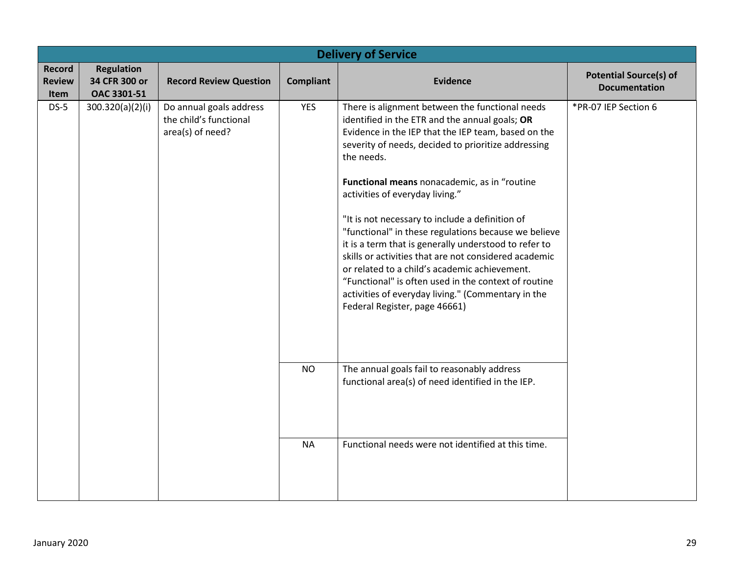|                                 | <b>Delivery of Service</b>                        |                                                                       |                  |                                                                                                                                                                                                                                                                                                                                                                                                                                                                                                                                                                                                                                                                                                                                               |                                                       |  |  |
|---------------------------------|---------------------------------------------------|-----------------------------------------------------------------------|------------------|-----------------------------------------------------------------------------------------------------------------------------------------------------------------------------------------------------------------------------------------------------------------------------------------------------------------------------------------------------------------------------------------------------------------------------------------------------------------------------------------------------------------------------------------------------------------------------------------------------------------------------------------------------------------------------------------------------------------------------------------------|-------------------------------------------------------|--|--|
| Record<br><b>Review</b><br>Item | <b>Regulation</b><br>34 CFR 300 or<br>OAC 3301-51 | <b>Record Review Question</b>                                         | <b>Compliant</b> | <b>Evidence</b>                                                                                                                                                                                                                                                                                                                                                                                                                                                                                                                                                                                                                                                                                                                               | <b>Potential Source(s) of</b><br><b>Documentation</b> |  |  |
| $DS-5$                          | 300.320(a)(2)(i)                                  | Do annual goals address<br>the child's functional<br>area(s) of need? | <b>YES</b>       | There is alignment between the functional needs<br>identified in the ETR and the annual goals; OR<br>Evidence in the IEP that the IEP team, based on the<br>severity of needs, decided to prioritize addressing<br>the needs.<br>Functional means nonacademic, as in "routine<br>activities of everyday living."<br>"It is not necessary to include a definition of<br>"functional" in these regulations because we believe<br>it is a term that is generally understood to refer to<br>skills or activities that are not considered academic<br>or related to a child's academic achievement.<br>"Functional" is often used in the context of routine<br>activities of everyday living." (Commentary in the<br>Federal Register, page 46661) | *PR-07 IEP Section 6                                  |  |  |
|                                 |                                                   |                                                                       | <b>NO</b>        | The annual goals fail to reasonably address<br>functional area(s) of need identified in the IEP.                                                                                                                                                                                                                                                                                                                                                                                                                                                                                                                                                                                                                                              |                                                       |  |  |
|                                 |                                                   |                                                                       | <b>NA</b>        | Functional needs were not identified at this time.                                                                                                                                                                                                                                                                                                                                                                                                                                                                                                                                                                                                                                                                                            |                                                       |  |  |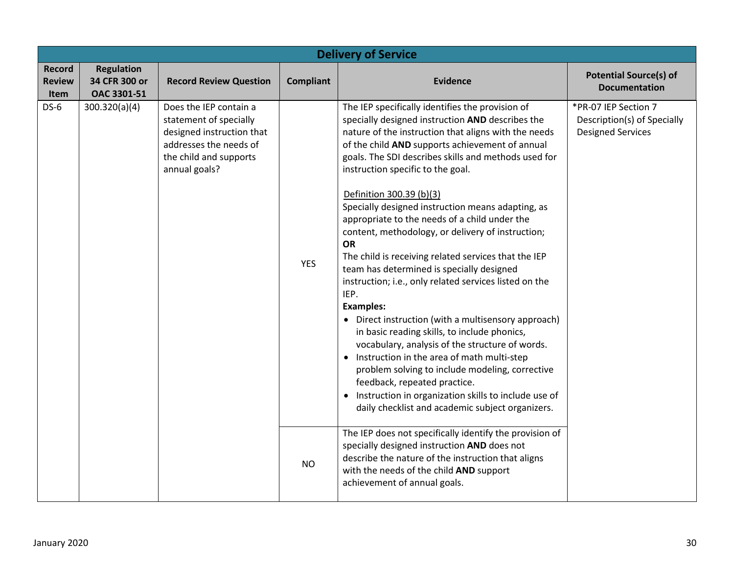|                                               | <b>Delivery of Service</b>                        |                                                                                                                                                    |                  |                                                                                                                                                                                                                                                                                                                                                                                                                                                                                                                                                                                                                                                                                                                                                                                                                                                                                                                                                                                                                                                                                                                                                                                 |                                                                                 |  |  |
|-----------------------------------------------|---------------------------------------------------|----------------------------------------------------------------------------------------------------------------------------------------------------|------------------|---------------------------------------------------------------------------------------------------------------------------------------------------------------------------------------------------------------------------------------------------------------------------------------------------------------------------------------------------------------------------------------------------------------------------------------------------------------------------------------------------------------------------------------------------------------------------------------------------------------------------------------------------------------------------------------------------------------------------------------------------------------------------------------------------------------------------------------------------------------------------------------------------------------------------------------------------------------------------------------------------------------------------------------------------------------------------------------------------------------------------------------------------------------------------------|---------------------------------------------------------------------------------|--|--|
| <b>Record</b><br><b>Review</b><br><b>Item</b> | <b>Regulation</b><br>34 CFR 300 or<br>OAC 3301-51 | <b>Record Review Question</b>                                                                                                                      | <b>Compliant</b> | <b>Evidence</b>                                                                                                                                                                                                                                                                                                                                                                                                                                                                                                                                                                                                                                                                                                                                                                                                                                                                                                                                                                                                                                                                                                                                                                 | <b>Potential Source(s) of</b><br><b>Documentation</b>                           |  |  |
| $DS-6$                                        | 300.320(a)(4)                                     | Does the IEP contain a<br>statement of specially<br>designed instruction that<br>addresses the needs of<br>the child and supports<br>annual goals? | <b>YES</b>       | The IEP specifically identifies the provision of<br>specially designed instruction AND describes the<br>nature of the instruction that aligns with the needs<br>of the child AND supports achievement of annual<br>goals. The SDI describes skills and methods used for<br>instruction specific to the goal.<br>Definition 300.39 (b)(3)<br>Specially designed instruction means adapting, as<br>appropriate to the needs of a child under the<br>content, methodology, or delivery of instruction;<br><b>OR</b><br>The child is receiving related services that the IEP<br>team has determined is specially designed<br>instruction; i.e., only related services listed on the<br>IEP.<br><b>Examples:</b><br>• Direct instruction (with a multisensory approach)<br>in basic reading skills, to include phonics,<br>vocabulary, analysis of the structure of words.<br>Instruction in the area of math multi-step<br>problem solving to include modeling, corrective<br>feedback, repeated practice.<br>• Instruction in organization skills to include use of<br>daily checklist and academic subject organizers.<br>The IEP does not specifically identify the provision of | *PR-07 IEP Section 7<br>Description(s) of Specially<br><b>Designed Services</b> |  |  |
|                                               |                                                   |                                                                                                                                                    | <b>NO</b>        | specially designed instruction AND does not<br>describe the nature of the instruction that aligns<br>with the needs of the child AND support<br>achievement of annual goals.                                                                                                                                                                                                                                                                                                                                                                                                                                                                                                                                                                                                                                                                                                                                                                                                                                                                                                                                                                                                    |                                                                                 |  |  |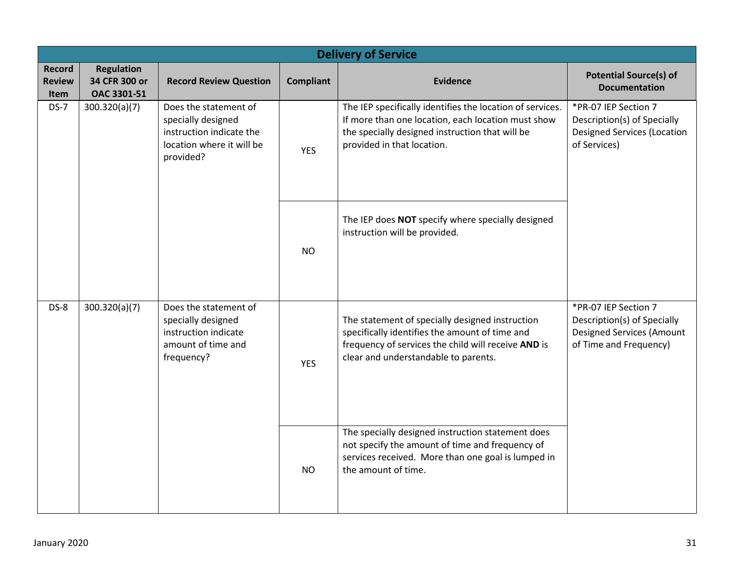|                                        | <b>Delivery of Service</b>                        |                                                                                                                   |                  |                                                                                                                                                                                                  |                                                                                                                   |  |  |
|----------------------------------------|---------------------------------------------------|-------------------------------------------------------------------------------------------------------------------|------------------|--------------------------------------------------------------------------------------------------------------------------------------------------------------------------------------------------|-------------------------------------------------------------------------------------------------------------------|--|--|
| <b>Record</b><br><b>Review</b><br>Item | <b>Regulation</b><br>34 CFR 300 or<br>OAC 3301-51 | <b>Record Review Question</b>                                                                                     | <b>Compliant</b> | <b>Evidence</b>                                                                                                                                                                                  | <b>Potential Source(s) of</b><br><b>Documentation</b>                                                             |  |  |
| $DS-7$                                 | 300.320(a)(7)                                     | Does the statement of<br>specially designed<br>instruction indicate the<br>location where it will be<br>provided? | <b>YES</b>       | The IEP specifically identifies the location of services.<br>If more than one location, each location must show<br>the specially designed instruction that will be<br>provided in that location. | *PR-07 IEP Section 7<br>Description(s) of Specially<br><b>Designed Services (Location</b><br>of Services)         |  |  |
|                                        |                                                   |                                                                                                                   | <b>NO</b>        | The IEP does NOT specify where specially designed<br>instruction will be provided.                                                                                                               |                                                                                                                   |  |  |
| $DS-8$                                 | 300.320(a)(7)                                     | Does the statement of<br>specially designed<br>instruction indicate<br>amount of time and<br>frequency?           | <b>YES</b>       | The statement of specially designed instruction<br>specifically identifies the amount of time and<br>frequency of services the child will receive AND is<br>clear and understandable to parents. | *PR-07 IEP Section 7<br>Description(s) of Specially<br><b>Designed Services (Amount</b><br>of Time and Frequency) |  |  |
|                                        |                                                   |                                                                                                                   | <b>NO</b>        | The specially designed instruction statement does<br>not specify the amount of time and frequency of<br>services received. More than one goal is lumped in<br>the amount of time.                |                                                                                                                   |  |  |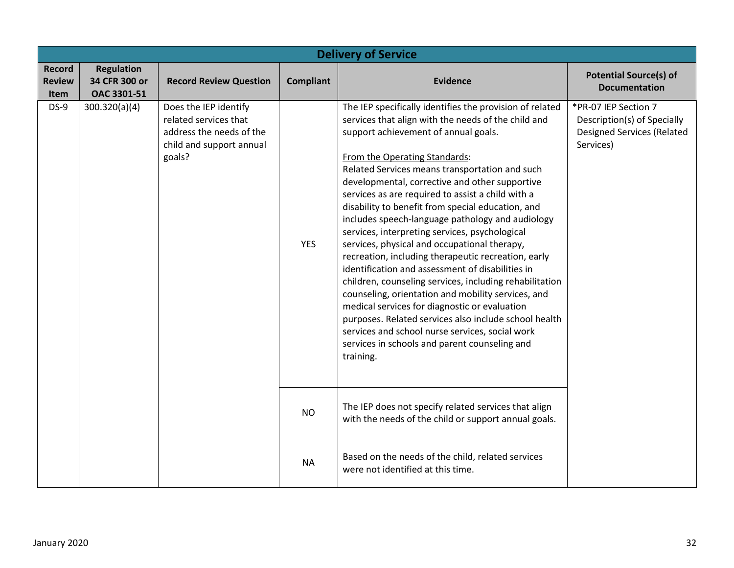|                                        | <b>Delivery of Service</b>                        |                                                                                                                  |                  |                                                                                                                                                                                                                                                                                                                                                                                                                                                                                                                                                                                                                                                                                                                                                                                                                                                                                                                                                                                                                     |                                                                                                       |  |  |  |
|----------------------------------------|---------------------------------------------------|------------------------------------------------------------------------------------------------------------------|------------------|---------------------------------------------------------------------------------------------------------------------------------------------------------------------------------------------------------------------------------------------------------------------------------------------------------------------------------------------------------------------------------------------------------------------------------------------------------------------------------------------------------------------------------------------------------------------------------------------------------------------------------------------------------------------------------------------------------------------------------------------------------------------------------------------------------------------------------------------------------------------------------------------------------------------------------------------------------------------------------------------------------------------|-------------------------------------------------------------------------------------------------------|--|--|--|
| <b>Record</b><br><b>Review</b><br>Item | <b>Regulation</b><br>34 CFR 300 or<br>OAC 3301-51 | <b>Record Review Question</b>                                                                                    | <b>Compliant</b> | <b>Evidence</b>                                                                                                                                                                                                                                                                                                                                                                                                                                                                                                                                                                                                                                                                                                                                                                                                                                                                                                                                                                                                     | <b>Potential Source(s) of</b><br><b>Documentation</b>                                                 |  |  |  |
| $DS-9$                                 | 300.320(a)(4)                                     | Does the IEP identify<br>related services that<br>address the needs of the<br>child and support annual<br>goals? | <b>YES</b>       | The IEP specifically identifies the provision of related<br>services that align with the needs of the child and<br>support achievement of annual goals.<br>From the Operating Standards:<br>Related Services means transportation and such<br>developmental, corrective and other supportive<br>services as are required to assist a child with a<br>disability to benefit from special education, and<br>includes speech-language pathology and audiology<br>services, interpreting services, psychological<br>services, physical and occupational therapy,<br>recreation, including therapeutic recreation, early<br>identification and assessment of disabilities in<br>children, counseling services, including rehabilitation<br>counseling, orientation and mobility services, and<br>medical services for diagnostic or evaluation<br>purposes. Related services also include school health<br>services and school nurse services, social work<br>services in schools and parent counseling and<br>training. | *PR-07 IEP Section 7<br>Description(s) of Specially<br><b>Designed Services (Related</b><br>Services) |  |  |  |
|                                        |                                                   |                                                                                                                  | <b>NO</b>        | The IEP does not specify related services that align<br>with the needs of the child or support annual goals.                                                                                                                                                                                                                                                                                                                                                                                                                                                                                                                                                                                                                                                                                                                                                                                                                                                                                                        |                                                                                                       |  |  |  |
|                                        |                                                   |                                                                                                                  | <b>NA</b>        | Based on the needs of the child, related services<br>were not identified at this time.                                                                                                                                                                                                                                                                                                                                                                                                                                                                                                                                                                                                                                                                                                                                                                                                                                                                                                                              |                                                                                                       |  |  |  |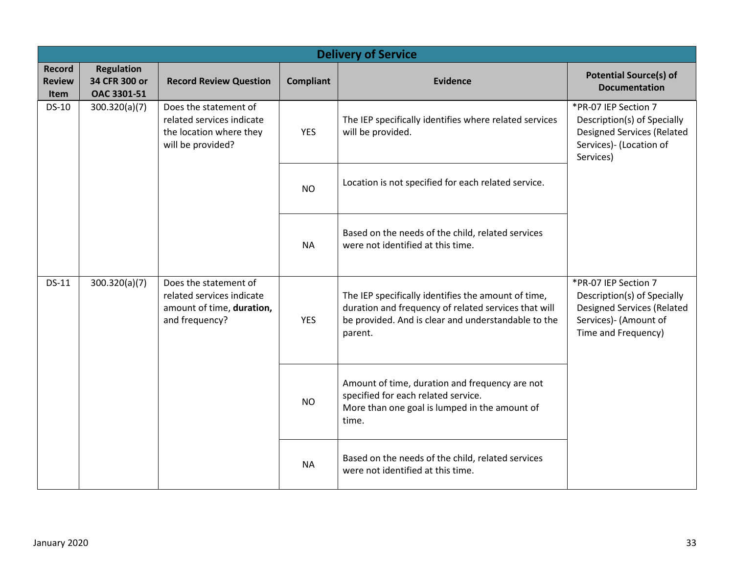|                                        | <b>Delivery of Service</b>                        |                                                                                                    |                  |                                                                                                                                                                               |                                                                                                                                          |  |  |  |
|----------------------------------------|---------------------------------------------------|----------------------------------------------------------------------------------------------------|------------------|-------------------------------------------------------------------------------------------------------------------------------------------------------------------------------|------------------------------------------------------------------------------------------------------------------------------------------|--|--|--|
| <b>Record</b><br><b>Review</b><br>Item | <b>Regulation</b><br>34 CFR 300 or<br>OAC 3301-51 | <b>Record Review Question</b>                                                                      | <b>Compliant</b> | <b>Evidence</b>                                                                                                                                                               | <b>Potential Source(s) of</b><br><b>Documentation</b>                                                                                    |  |  |  |
| <b>DS-10</b>                           | 300.320(a)(7)                                     | Does the statement of<br>related services indicate<br>the location where they<br>will be provided? | <b>YES</b>       | The IEP specifically identifies where related services<br>will be provided.                                                                                                   | *PR-07 IEP Section 7<br>Description(s) of Specially<br><b>Designed Services (Related</b><br>Services)- (Location of<br>Services)         |  |  |  |
|                                        |                                                   |                                                                                                    | <b>NO</b>        | Location is not specified for each related service.                                                                                                                           |                                                                                                                                          |  |  |  |
|                                        |                                                   |                                                                                                    | <b>NA</b>        | Based on the needs of the child, related services<br>were not identified at this time.                                                                                        |                                                                                                                                          |  |  |  |
| DS-11                                  | 300.320(a)(7)                                     | Does the statement of<br>related services indicate<br>amount of time, duration,<br>and frequency?  | <b>YES</b>       | The IEP specifically identifies the amount of time,<br>duration and frequency of related services that will<br>be provided. And is clear and understandable to the<br>parent. | *PR-07 IEP Section 7<br>Description(s) of Specially<br><b>Designed Services (Related</b><br>Services)- (Amount of<br>Time and Frequency) |  |  |  |
|                                        |                                                   |                                                                                                    | <b>NO</b>        | Amount of time, duration and frequency are not<br>specified for each related service.<br>More than one goal is lumped in the amount of<br>time.                               |                                                                                                                                          |  |  |  |
|                                        |                                                   |                                                                                                    | <b>NA</b>        | Based on the needs of the child, related services<br>were not identified at this time.                                                                                        |                                                                                                                                          |  |  |  |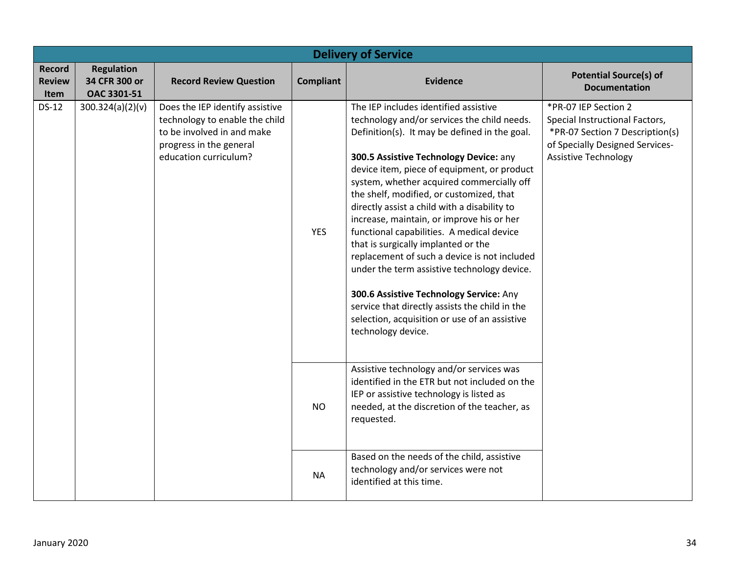|                                        | <b>Delivery of Service</b>                        |                                                                                                                                                     |                  |                                                                                                                                                                                                                                                                                                                                                                                                                                                                                                                                                                                                                                                                                                                                                                             |                                                                                                                                                             |  |  |
|----------------------------------------|---------------------------------------------------|-----------------------------------------------------------------------------------------------------------------------------------------------------|------------------|-----------------------------------------------------------------------------------------------------------------------------------------------------------------------------------------------------------------------------------------------------------------------------------------------------------------------------------------------------------------------------------------------------------------------------------------------------------------------------------------------------------------------------------------------------------------------------------------------------------------------------------------------------------------------------------------------------------------------------------------------------------------------------|-------------------------------------------------------------------------------------------------------------------------------------------------------------|--|--|
| <b>Record</b><br><b>Review</b><br>Item | <b>Regulation</b><br>34 CFR 300 or<br>OAC 3301-51 | <b>Record Review Question</b>                                                                                                                       | <b>Compliant</b> | <b>Evidence</b>                                                                                                                                                                                                                                                                                                                                                                                                                                                                                                                                                                                                                                                                                                                                                             | <b>Potential Source(s) of</b><br><b>Documentation</b>                                                                                                       |  |  |
| <b>DS-12</b>                           | 300.324(a)(2)(v)                                  | Does the IEP identify assistive<br>technology to enable the child<br>to be involved in and make<br>progress in the general<br>education curriculum? | <b>YES</b>       | The IEP includes identified assistive<br>technology and/or services the child needs.<br>Definition(s). It may be defined in the goal.<br>300.5 Assistive Technology Device: any<br>device item, piece of equipment, or product<br>system, whether acquired commercially off<br>the shelf, modified, or customized, that<br>directly assist a child with a disability to<br>increase, maintain, or improve his or her<br>functional capabilities. A medical device<br>that is surgically implanted or the<br>replacement of such a device is not included<br>under the term assistive technology device.<br>300.6 Assistive Technology Service: Any<br>service that directly assists the child in the<br>selection, acquisition or use of an assistive<br>technology device. | *PR-07 IEP Section 2<br>Special Instructional Factors,<br>*PR-07 Section 7 Description(s)<br>of Specially Designed Services-<br><b>Assistive Technology</b> |  |  |
|                                        |                                                   |                                                                                                                                                     | <b>NO</b>        | Assistive technology and/or services was<br>identified in the ETR but not included on the<br>IEP or assistive technology is listed as<br>needed, at the discretion of the teacher, as<br>requested.                                                                                                                                                                                                                                                                                                                                                                                                                                                                                                                                                                         |                                                                                                                                                             |  |  |
|                                        |                                                   |                                                                                                                                                     | <b>NA</b>        | Based on the needs of the child, assistive<br>technology and/or services were not<br>identified at this time.                                                                                                                                                                                                                                                                                                                                                                                                                                                                                                                                                                                                                                                               |                                                                                                                                                             |  |  |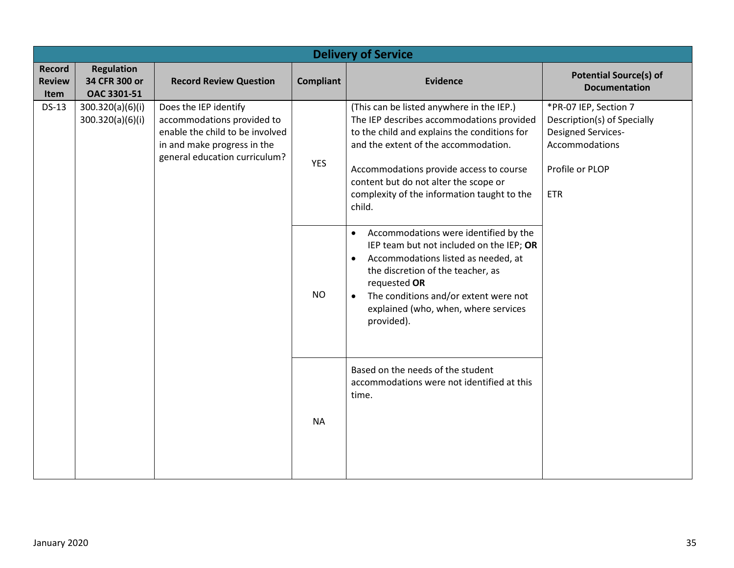|                                        | <b>Delivery of Service</b>                        |                                                                                                                                                        |                  |                                                                                                                                                                                                                                                                                                                             |                                                                                                                               |  |
|----------------------------------------|---------------------------------------------------|--------------------------------------------------------------------------------------------------------------------------------------------------------|------------------|-----------------------------------------------------------------------------------------------------------------------------------------------------------------------------------------------------------------------------------------------------------------------------------------------------------------------------|-------------------------------------------------------------------------------------------------------------------------------|--|
| <b>Record</b><br><b>Review</b><br>Item | <b>Regulation</b><br>34 CFR 300 or<br>OAC 3301-51 | <b>Record Review Question</b>                                                                                                                          | <b>Compliant</b> | <b>Evidence</b>                                                                                                                                                                                                                                                                                                             | <b>Potential Source(s) of</b><br><b>Documentation</b>                                                                         |  |
| <b>DS-13</b>                           | 300.320(a)(6)(i)<br>300.320(a)(6)(i)              | Does the IEP identify<br>accommodations provided to<br>enable the child to be involved<br>in and make progress in the<br>general education curriculum? | <b>YES</b>       | (This can be listed anywhere in the IEP.)<br>The IEP describes accommodations provided<br>to the child and explains the conditions for<br>and the extent of the accommodation.<br>Accommodations provide access to course<br>content but do not alter the scope or<br>complexity of the information taught to the<br>child. | *PR-07 IEP, Section 7<br>Description(s) of Specially<br>Designed Services-<br>Accommodations<br>Profile or PLOP<br><b>ETR</b> |  |
|                                        |                                                   |                                                                                                                                                        | <b>NO</b>        | Accommodations were identified by the<br>$\bullet$<br>IEP team but not included on the IEP; OR<br>Accommodations listed as needed, at<br>$\bullet$<br>the discretion of the teacher, as<br>requested OR<br>The conditions and/or extent were not<br>$\bullet$<br>explained (who, when, where services<br>provided).         |                                                                                                                               |  |
|                                        |                                                   |                                                                                                                                                        | <b>NA</b>        | Based on the needs of the student<br>accommodations were not identified at this<br>time.                                                                                                                                                                                                                                    |                                                                                                                               |  |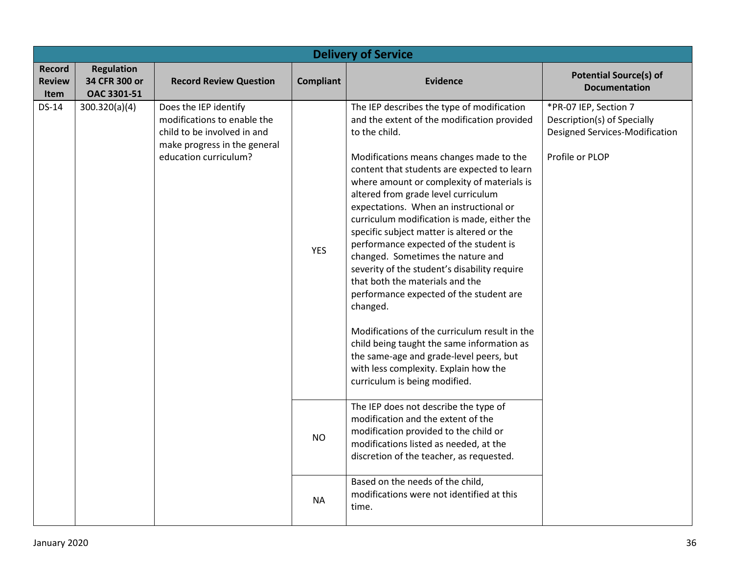|                                               | <b>Delivery of Service</b>                        |                                                                                                                                              |                  |                                                                                                                                                                                                                                                                                                                                                                                                                                                                                                                                                                                                                                                                                                                                                                                                                                                                              |                                                                                                           |  |  |
|-----------------------------------------------|---------------------------------------------------|----------------------------------------------------------------------------------------------------------------------------------------------|------------------|------------------------------------------------------------------------------------------------------------------------------------------------------------------------------------------------------------------------------------------------------------------------------------------------------------------------------------------------------------------------------------------------------------------------------------------------------------------------------------------------------------------------------------------------------------------------------------------------------------------------------------------------------------------------------------------------------------------------------------------------------------------------------------------------------------------------------------------------------------------------------|-----------------------------------------------------------------------------------------------------------|--|--|
| <b>Record</b><br><b>Review</b><br><b>Item</b> | <b>Regulation</b><br>34 CFR 300 or<br>OAC 3301-51 | <b>Record Review Question</b>                                                                                                                | <b>Compliant</b> | <b>Evidence</b>                                                                                                                                                                                                                                                                                                                                                                                                                                                                                                                                                                                                                                                                                                                                                                                                                                                              | <b>Potential Source(s) of</b><br><b>Documentation</b>                                                     |  |  |
| DS-14                                         | 300.320(a)(4)                                     | Does the IEP identify<br>modifications to enable the<br>child to be involved in and<br>make progress in the general<br>education curriculum? | <b>YES</b>       | The IEP describes the type of modification<br>and the extent of the modification provided<br>to the child.<br>Modifications means changes made to the<br>content that students are expected to learn<br>where amount or complexity of materials is<br>altered from grade level curriculum<br>expectations. When an instructional or<br>curriculum modification is made, either the<br>specific subject matter is altered or the<br>performance expected of the student is<br>changed. Sometimes the nature and<br>severity of the student's disability require<br>that both the materials and the<br>performance expected of the student are<br>changed.<br>Modifications of the curriculum result in the<br>child being taught the same information as<br>the same-age and grade-level peers, but<br>with less complexity. Explain how the<br>curriculum is being modified. | *PR-07 IEP, Section 7<br>Description(s) of Specially<br>Designed Services-Modification<br>Profile or PLOP |  |  |
|                                               |                                                   |                                                                                                                                              | <b>NO</b>        | The IEP does not describe the type of<br>modification and the extent of the<br>modification provided to the child or<br>modifications listed as needed, at the<br>discretion of the teacher, as requested.                                                                                                                                                                                                                                                                                                                                                                                                                                                                                                                                                                                                                                                                   |                                                                                                           |  |  |
|                                               |                                                   |                                                                                                                                              | <b>NA</b>        | Based on the needs of the child,<br>modifications were not identified at this<br>time.                                                                                                                                                                                                                                                                                                                                                                                                                                                                                                                                                                                                                                                                                                                                                                                       |                                                                                                           |  |  |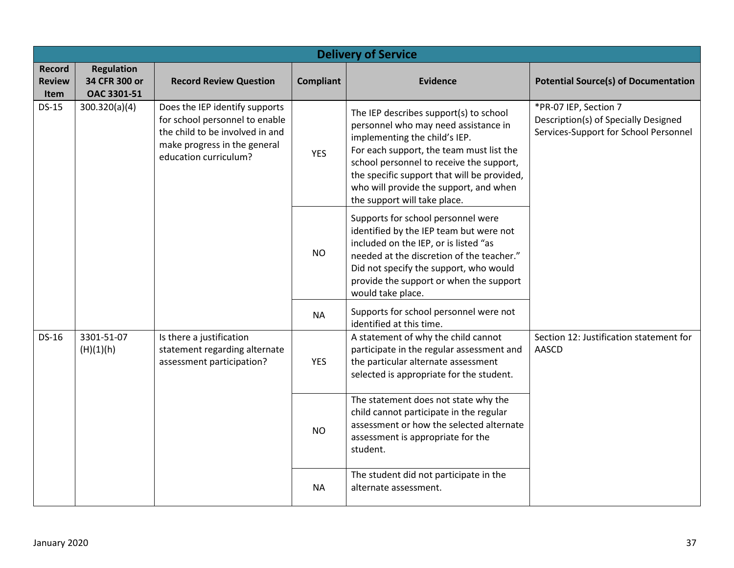|                                        | <b>Delivery of Service</b>                        |                                                                                                                                                                            |                  |                                                                                                                                                                                                                                                                                                                                  |                                                                                                        |  |  |  |
|----------------------------------------|---------------------------------------------------|----------------------------------------------------------------------------------------------------------------------------------------------------------------------------|------------------|----------------------------------------------------------------------------------------------------------------------------------------------------------------------------------------------------------------------------------------------------------------------------------------------------------------------------------|--------------------------------------------------------------------------------------------------------|--|--|--|
| <b>Record</b><br><b>Review</b><br>Item | <b>Regulation</b><br>34 CFR 300 or<br>OAC 3301-51 | <b>Record Review Question</b>                                                                                                                                              | <b>Compliant</b> | <b>Evidence</b>                                                                                                                                                                                                                                                                                                                  | <b>Potential Source(s) of Documentation</b>                                                            |  |  |  |
| <b>DS-15</b>                           | 300.320(a)(4)                                     | Does the IEP identify supports<br>for school personnel to enable<br>the child to be involved in and<br>make progress in the general<br><b>YES</b><br>education curriculum? |                  | The IEP describes support(s) to school<br>personnel who may need assistance in<br>implementing the child's IEP.<br>For each support, the team must list the<br>school personnel to receive the support,<br>the specific support that will be provided,<br>who will provide the support, and when<br>the support will take place. | *PR-07 IEP, Section 7<br>Description(s) of Specially Designed<br>Services-Support for School Personnel |  |  |  |
|                                        |                                                   |                                                                                                                                                                            | <b>NO</b>        | Supports for school personnel were<br>identified by the IEP team but were not<br>included on the IEP, or is listed "as<br>needed at the discretion of the teacher."<br>Did not specify the support, who would<br>provide the support or when the support<br>would take place.                                                    |                                                                                                        |  |  |  |
|                                        |                                                   |                                                                                                                                                                            | <b>NA</b>        | Supports for school personnel were not<br>identified at this time.                                                                                                                                                                                                                                                               |                                                                                                        |  |  |  |
| <b>DS-16</b>                           | 3301-51-07<br>(H)(1)(h)                           | Is there a justification<br>statement regarding alternate<br>assessment participation?                                                                                     | <b>YES</b>       | A statement of why the child cannot<br>participate in the regular assessment and<br>the particular alternate assessment<br>selected is appropriate for the student.                                                                                                                                                              | Section 12: Justification statement for<br><b>AASCD</b>                                                |  |  |  |
|                                        |                                                   |                                                                                                                                                                            | <b>NO</b>        | The statement does not state why the<br>child cannot participate in the regular<br>assessment or how the selected alternate<br>assessment is appropriate for the<br>student.                                                                                                                                                     |                                                                                                        |  |  |  |
|                                        |                                                   |                                                                                                                                                                            | <b>NA</b>        | The student did not participate in the<br>alternate assessment.                                                                                                                                                                                                                                                                  |                                                                                                        |  |  |  |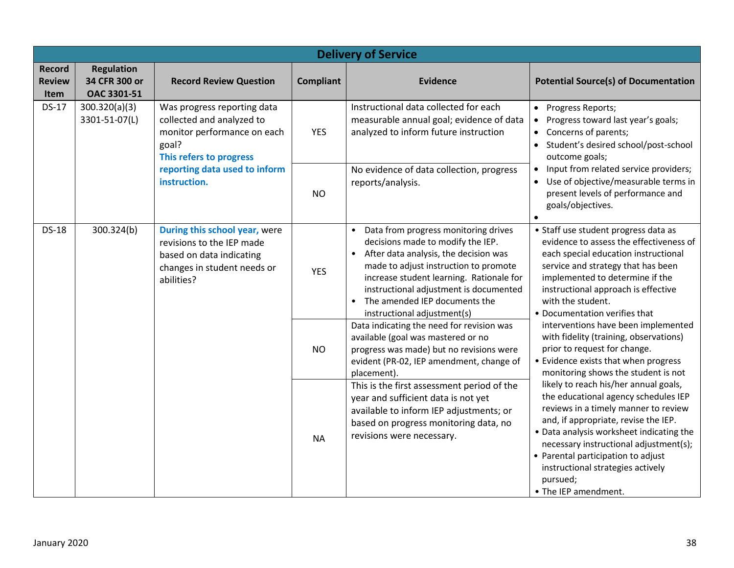| <b>Delivery of Service</b>             |                                                   |                                                                                                                                     |                  |                                                                                                                                                                                                                                                                                                                         |                                                                                                                                                                                                                                                                                                                                                                    |  |  |  |
|----------------------------------------|---------------------------------------------------|-------------------------------------------------------------------------------------------------------------------------------------|------------------|-------------------------------------------------------------------------------------------------------------------------------------------------------------------------------------------------------------------------------------------------------------------------------------------------------------------------|--------------------------------------------------------------------------------------------------------------------------------------------------------------------------------------------------------------------------------------------------------------------------------------------------------------------------------------------------------------------|--|--|--|
| <b>Record</b><br><b>Review</b><br>Item | <b>Regulation</b><br>34 CFR 300 or<br>OAC 3301-51 | <b>Record Review Question</b>                                                                                                       | <b>Compliant</b> | <b>Evidence</b>                                                                                                                                                                                                                                                                                                         | <b>Potential Source(s) of Documentation</b>                                                                                                                                                                                                                                                                                                                        |  |  |  |
| <b>DS-17</b>                           | 300.320(a)(3)<br>3301-51-07(L)                    | Was progress reporting data<br>collected and analyzed to<br>monitor performance on each<br>goal?<br>This refers to progress         | <b>YES</b>       | Instructional data collected for each<br>measurable annual goal; evidence of data<br>analyzed to inform future instruction                                                                                                                                                                                              | • Progress Reports;<br>Progress toward last year's goals;<br>Concerns of parents;<br>$\bullet$<br>Student's desired school/post-school<br>outcome goals;                                                                                                                                                                                                           |  |  |  |
|                                        |                                                   | reporting data used to inform<br>instruction.                                                                                       | <b>NO</b>        | No evidence of data collection, progress<br>reports/analysis.                                                                                                                                                                                                                                                           | Input from related service providers;<br>$\bullet$<br>Use of objective/measurable terms in<br>$\bullet$<br>present levels of performance and<br>goals/objectives.                                                                                                                                                                                                  |  |  |  |
| <b>DS-18</b>                           | 300.324(b)                                        | During this school year, were<br>revisions to the IEP made<br>based on data indicating<br>changes in student needs or<br>abilities? | <b>YES</b>       | • Data from progress monitoring drives<br>decisions made to modify the IEP.<br>• After data analysis, the decision was<br>made to adjust instruction to promote<br>increase student learning. Rationale for<br>instructional adjustment is documented<br>• The amended IEP documents the<br>instructional adjustment(s) | • Staff use student progress data as<br>evidence to assess the effectiveness of<br>each special education instructional<br>service and strategy that has been<br>implemented to determine if the<br>instructional approach is effective<br>with the student.<br>• Documentation verifies that                                                                      |  |  |  |
|                                        |                                                   |                                                                                                                                     | <b>NO</b>        | Data indicating the need for revision was<br>available (goal was mastered or no<br>progress was made) but no revisions were<br>evident (PR-02, IEP amendment, change of<br>placement).                                                                                                                                  | interventions have been implemented<br>with fidelity (training, observations)<br>prior to request for change.<br>• Evidence exists that when progress<br>monitoring shows the student is not                                                                                                                                                                       |  |  |  |
|                                        |                                                   | <b>NA</b>                                                                                                                           |                  | This is the first assessment period of the<br>year and sufficient data is not yet<br>available to inform IEP adjustments; or<br>based on progress monitoring data, no<br>revisions were necessary.                                                                                                                      | likely to reach his/her annual goals,<br>the educational agency schedules IEP<br>reviews in a timely manner to review<br>and, if appropriate, revise the IEP.<br>• Data analysis worksheet indicating the<br>necessary instructional adjustment(s);<br>• Parental participation to adjust<br>instructional strategies actively<br>pursued;<br>• The IEP amendment. |  |  |  |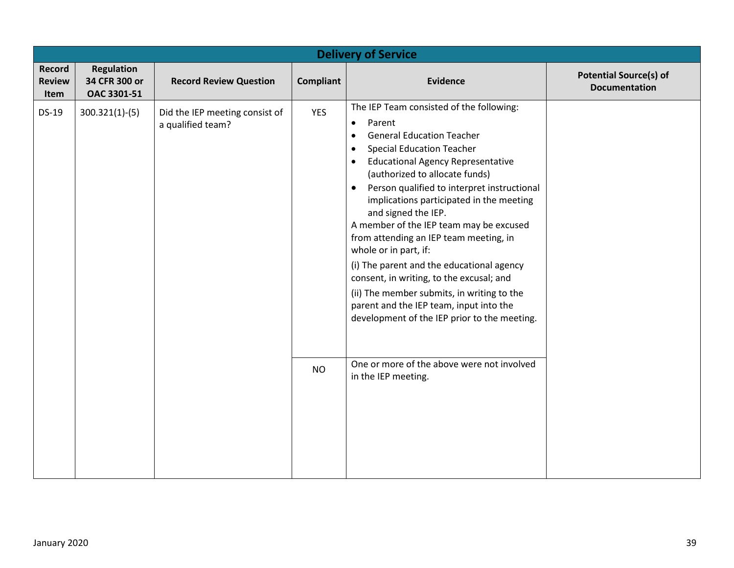| <b>Delivery of Service</b>      |                                                   |                                                     |                  |                                                                                                                                                                                                                                                                                                                                                                                                                                                                                                                                                                                                                                                                                                                                             |                                                       |  |  |  |  |
|---------------------------------|---------------------------------------------------|-----------------------------------------------------|------------------|---------------------------------------------------------------------------------------------------------------------------------------------------------------------------------------------------------------------------------------------------------------------------------------------------------------------------------------------------------------------------------------------------------------------------------------------------------------------------------------------------------------------------------------------------------------------------------------------------------------------------------------------------------------------------------------------------------------------------------------------|-------------------------------------------------------|--|--|--|--|
| Record<br><b>Review</b><br>Item | <b>Regulation</b><br>34 CFR 300 or<br>OAC 3301-51 | <b>Record Review Question</b>                       | <b>Compliant</b> | <b>Evidence</b>                                                                                                                                                                                                                                                                                                                                                                                                                                                                                                                                                                                                                                                                                                                             | <b>Potential Source(s) of</b><br><b>Documentation</b> |  |  |  |  |
| <b>DS-19</b>                    | $300.321(1)-(5)$                                  | Did the IEP meeting consist of<br>a qualified team? | <b>YES</b>       | The IEP Team consisted of the following:<br>Parent<br>$\bullet$<br><b>General Education Teacher</b><br>$\bullet$<br><b>Special Education Teacher</b><br>$\bullet$<br><b>Educational Agency Representative</b><br>$\bullet$<br>(authorized to allocate funds)<br>Person qualified to interpret instructional<br>$\bullet$<br>implications participated in the meeting<br>and signed the IEP.<br>A member of the IEP team may be excused<br>from attending an IEP team meeting, in<br>whole or in part, if:<br>(i) The parent and the educational agency<br>consent, in writing, to the excusal; and<br>(ii) The member submits, in writing to the<br>parent and the IEP team, input into the<br>development of the IEP prior to the meeting. |                                                       |  |  |  |  |
|                                 |                                                   |                                                     | <b>NO</b>        | One or more of the above were not involved<br>in the IEP meeting.                                                                                                                                                                                                                                                                                                                                                                                                                                                                                                                                                                                                                                                                           |                                                       |  |  |  |  |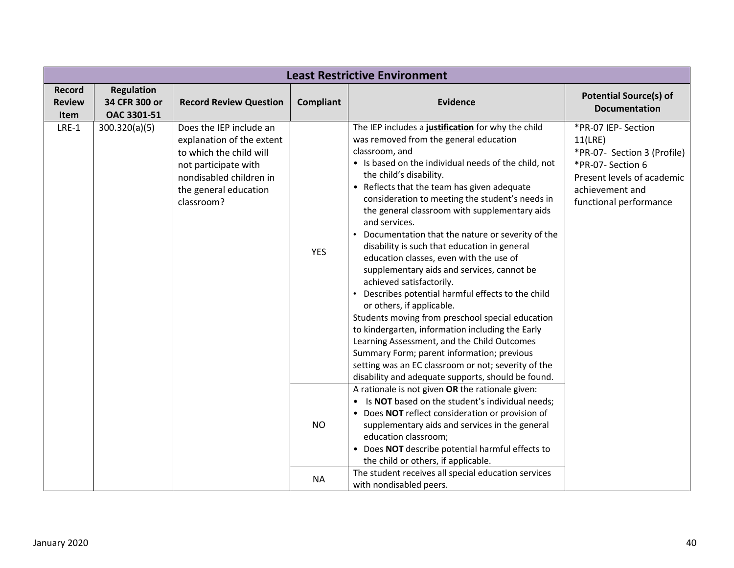| <b>Least Restrictive Environment</b> |                   |                                                                                                                                                                           |                  |                                                                                                                                                                                                                                                                                                                                                                                                                                                                                                                                                                                                                                                                                                                                                                                                                                                                                                                                                                                                     |                                                                                                                                                               |  |  |  |
|--------------------------------------|-------------------|---------------------------------------------------------------------------------------------------------------------------------------------------------------------------|------------------|-----------------------------------------------------------------------------------------------------------------------------------------------------------------------------------------------------------------------------------------------------------------------------------------------------------------------------------------------------------------------------------------------------------------------------------------------------------------------------------------------------------------------------------------------------------------------------------------------------------------------------------------------------------------------------------------------------------------------------------------------------------------------------------------------------------------------------------------------------------------------------------------------------------------------------------------------------------------------------------------------------|---------------------------------------------------------------------------------------------------------------------------------------------------------------|--|--|--|
| <b>Record</b>                        | <b>Regulation</b> |                                                                                                                                                                           |                  |                                                                                                                                                                                                                                                                                                                                                                                                                                                                                                                                                                                                                                                                                                                                                                                                                                                                                                                                                                                                     | <b>Potential Source(s) of</b>                                                                                                                                 |  |  |  |
| <b>Review</b>                        | 34 CFR 300 or     | <b>Record Review Question</b>                                                                                                                                             | <b>Compliant</b> | <b>Evidence</b>                                                                                                                                                                                                                                                                                                                                                                                                                                                                                                                                                                                                                                                                                                                                                                                                                                                                                                                                                                                     | <b>Documentation</b>                                                                                                                                          |  |  |  |
| Item                                 | OAC 3301-51       |                                                                                                                                                                           |                  |                                                                                                                                                                                                                                                                                                                                                                                                                                                                                                                                                                                                                                                                                                                                                                                                                                                                                                                                                                                                     |                                                                                                                                                               |  |  |  |
| $LRE-1$                              | 300.320(a)(5)     | Does the IEP include an<br>explanation of the extent<br>to which the child will<br>not participate with<br>nondisabled children in<br>the general education<br>classroom? | <b>YES</b>       | The IEP includes a justification for why the child<br>was removed from the general education<br>classroom, and<br>• Is based on the individual needs of the child, not<br>the child's disability.<br>• Reflects that the team has given adequate<br>consideration to meeting the student's needs in<br>the general classroom with supplementary aids<br>and services.<br>Documentation that the nature or severity of the<br>disability is such that education in general<br>education classes, even with the use of<br>supplementary aids and services, cannot be<br>achieved satisfactorily.<br>• Describes potential harmful effects to the child<br>or others, if applicable.<br>Students moving from preschool special education<br>to kindergarten, information including the Early<br>Learning Assessment, and the Child Outcomes<br>Summary Form; parent information; previous<br>setting was an EC classroom or not; severity of the<br>disability and adequate supports, should be found. | *PR-07 IEP- Section<br>11(LRE)<br>*PR-07- Section 3 (Profile)<br>*PR-07- Section 6<br>Present levels of academic<br>achievement and<br>functional performance |  |  |  |
|                                      |                   |                                                                                                                                                                           | <b>NO</b>        | A rationale is not given OR the rationale given:<br>• Is NOT based on the student's individual needs;<br>• Does NOT reflect consideration or provision of<br>supplementary aids and services in the general<br>education classroom;<br>• Does NOT describe potential harmful effects to<br>the child or others, if applicable.<br>The student receives all special education services                                                                                                                                                                                                                                                                                                                                                                                                                                                                                                                                                                                                               |                                                                                                                                                               |  |  |  |
|                                      |                   |                                                                                                                                                                           | <b>NA</b>        | with nondisabled peers.                                                                                                                                                                                                                                                                                                                                                                                                                                                                                                                                                                                                                                                                                                                                                                                                                                                                                                                                                                             |                                                                                                                                                               |  |  |  |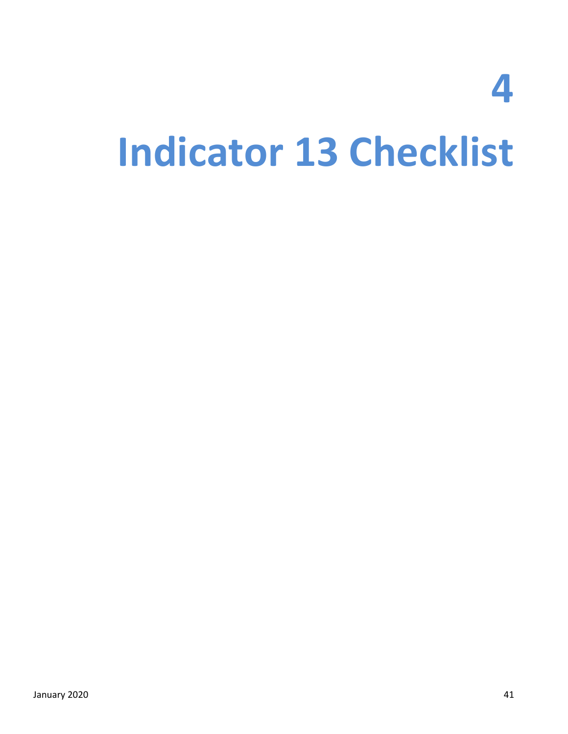## **4 Indicator 13 Checklist**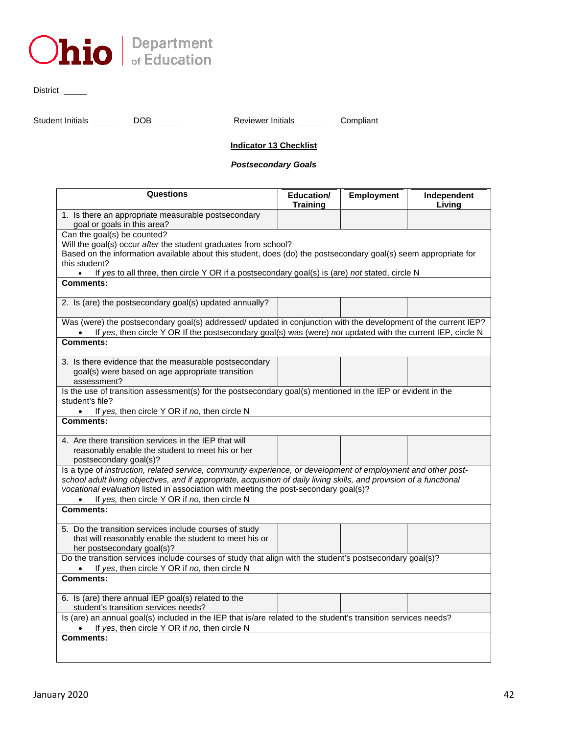

District \_\_\_\_\_\_\_

Student Initials \_\_\_\_\_\_ DOB \_\_\_\_\_ Reviewer Initials \_\_\_\_\_ Compliant

#### **Indicator 13 Checklist**

#### *Postsecondary Goals*

| <b>Questions</b>                                                                                                                                                                                                                                                                                                                                                                | Education/<br><b>Training</b> | Employment | Independent<br>Living |
|---------------------------------------------------------------------------------------------------------------------------------------------------------------------------------------------------------------------------------------------------------------------------------------------------------------------------------------------------------------------------------|-------------------------------|------------|-----------------------|
| 1. Is there an appropriate measurable postsecondary<br>goal or goals in this area?                                                                                                                                                                                                                                                                                              |                               |            |                       |
| Can the goal(s) be counted?<br>Will the goal(s) occur after the student graduates from school?<br>Based on the information available about this student, does (do) the postsecondary goal(s) seem appropriate for<br>this student?                                                                                                                                              |                               |            |                       |
| If yes to all three, then circle Y OR if a postsecondary goal(s) is (are) not stated, circle N<br>$\bullet$<br><b>Comments:</b>                                                                                                                                                                                                                                                 |                               |            |                       |
|                                                                                                                                                                                                                                                                                                                                                                                 |                               |            |                       |
| 2. Is (are) the postsecondary goal(s) updated annually?                                                                                                                                                                                                                                                                                                                         |                               |            |                       |
| Was (were) the postsecondary goal(s) addressed/ updated in conjunction with the development of the current IEP?<br>If yes, then circle Y OR If the postsecondary goal(s) was (were) not updated with the current IEP, circle N                                                                                                                                                  |                               |            |                       |
| Comments:                                                                                                                                                                                                                                                                                                                                                                       |                               |            |                       |
| 3. Is there evidence that the measurable postsecondary<br>goal(s) were based on age appropriate transition<br>assessment?                                                                                                                                                                                                                                                       |                               |            |                       |
| Is the use of transition assessment(s) for the postsecondary goal(s) mentioned in the IEP or evident in the<br>student's file?<br>If yes, then circle Y OR if no, then circle N<br>$\bullet$                                                                                                                                                                                    |                               |            |                       |
| <b>Comments:</b>                                                                                                                                                                                                                                                                                                                                                                |                               |            |                       |
| 4. Are there transition services in the IEP that will<br>reasonably enable the student to meet his or her<br>postsecondary goal(s)?                                                                                                                                                                                                                                             |                               |            |                       |
| Is a type of instruction, related service, community experience, or development of employment and other post-<br>school adult living objectives, and if appropriate, acquisition of daily living skills, and provision of a functional<br>vocational evaluation listed in association with meeting the post-secondary goal(s)?<br>If yes, then circle Y OR if no, then circle N |                               |            |                       |
| <b>Comments:</b>                                                                                                                                                                                                                                                                                                                                                                |                               |            |                       |
| 5. Do the transition services include courses of study<br>that will reasonably enable the student to meet his or<br>her postsecondary goal(s)?                                                                                                                                                                                                                                  |                               |            |                       |
| Do the transition services include courses of study that align with the student's postsecondary goal(s)?<br>If yes, then circle Y OR if no, then circle N                                                                                                                                                                                                                       |                               |            |                       |
| <b>Comments:</b>                                                                                                                                                                                                                                                                                                                                                                |                               |            |                       |
| 6. Is (are) there annual IEP goal(s) related to the<br>student's transition services needs?                                                                                                                                                                                                                                                                                     |                               |            |                       |
| Is (are) an annual goal(s) included in the IEP that is/are related to the student's transition services needs?<br>If yes, then circle Y OR if no, then circle N                                                                                                                                                                                                                 |                               |            |                       |
| <b>Comments:</b>                                                                                                                                                                                                                                                                                                                                                                |                               |            |                       |
|                                                                                                                                                                                                                                                                                                                                                                                 |                               |            |                       |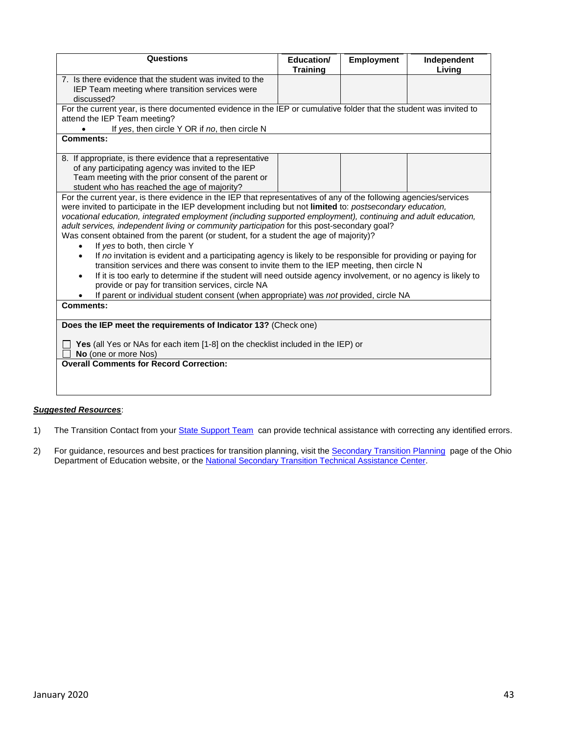| Questions                                                                                                                                                                                                                                                                                                                                                                                                                                                                                                                                                                                                                                                                                                                                                                                                                                                                                                                                                                                                                                                              | Education/<br><b>Training</b> | <b>Employment</b> | Independent<br>Living |  |  |  |
|------------------------------------------------------------------------------------------------------------------------------------------------------------------------------------------------------------------------------------------------------------------------------------------------------------------------------------------------------------------------------------------------------------------------------------------------------------------------------------------------------------------------------------------------------------------------------------------------------------------------------------------------------------------------------------------------------------------------------------------------------------------------------------------------------------------------------------------------------------------------------------------------------------------------------------------------------------------------------------------------------------------------------------------------------------------------|-------------------------------|-------------------|-----------------------|--|--|--|
| 7. Is there evidence that the student was invited to the                                                                                                                                                                                                                                                                                                                                                                                                                                                                                                                                                                                                                                                                                                                                                                                                                                                                                                                                                                                                               |                               |                   |                       |  |  |  |
| IEP Team meeting where transition services were                                                                                                                                                                                                                                                                                                                                                                                                                                                                                                                                                                                                                                                                                                                                                                                                                                                                                                                                                                                                                        |                               |                   |                       |  |  |  |
| discussed?                                                                                                                                                                                                                                                                                                                                                                                                                                                                                                                                                                                                                                                                                                                                                                                                                                                                                                                                                                                                                                                             |                               |                   |                       |  |  |  |
| For the current year, is there documented evidence in the IEP or cumulative folder that the student was invited to                                                                                                                                                                                                                                                                                                                                                                                                                                                                                                                                                                                                                                                                                                                                                                                                                                                                                                                                                     |                               |                   |                       |  |  |  |
| attend the IEP Team meeting?                                                                                                                                                                                                                                                                                                                                                                                                                                                                                                                                                                                                                                                                                                                                                                                                                                                                                                                                                                                                                                           |                               |                   |                       |  |  |  |
| If yes, then circle Y OR if no, then circle N                                                                                                                                                                                                                                                                                                                                                                                                                                                                                                                                                                                                                                                                                                                                                                                                                                                                                                                                                                                                                          |                               |                   |                       |  |  |  |
| Comments:                                                                                                                                                                                                                                                                                                                                                                                                                                                                                                                                                                                                                                                                                                                                                                                                                                                                                                                                                                                                                                                              |                               |                   |                       |  |  |  |
| 8. If appropriate, is there evidence that a representative                                                                                                                                                                                                                                                                                                                                                                                                                                                                                                                                                                                                                                                                                                                                                                                                                                                                                                                                                                                                             |                               |                   |                       |  |  |  |
| of any participating agency was invited to the IEP                                                                                                                                                                                                                                                                                                                                                                                                                                                                                                                                                                                                                                                                                                                                                                                                                                                                                                                                                                                                                     |                               |                   |                       |  |  |  |
| Team meeting with the prior consent of the parent or                                                                                                                                                                                                                                                                                                                                                                                                                                                                                                                                                                                                                                                                                                                                                                                                                                                                                                                                                                                                                   |                               |                   |                       |  |  |  |
| student who has reached the age of majority?                                                                                                                                                                                                                                                                                                                                                                                                                                                                                                                                                                                                                                                                                                                                                                                                                                                                                                                                                                                                                           |                               |                   |                       |  |  |  |
| For the current year, is there evidence in the IEP that representatives of any of the following agencies/services<br>were invited to participate in the IEP development including but not limited to: postsecondary education,<br>vocational education, integrated employment (including supported employment), continuing and adult education,<br>adult services, independent living or community participation for this post-secondary goal?<br>Was consent obtained from the parent (or student, for a student the age of majority)?<br>If yes to both, then circle Y<br>If no invitation is evident and a participating agency is likely to be responsible for providing or paying for<br>$\bullet$<br>transition services and there was consent to invite them to the IEP meeting, then circle N<br>If it is too early to determine if the student will need outside agency involvement, or no agency is likely to<br>provide or pay for transition services, circle NA<br>If parent or individual student consent (when appropriate) was not provided, circle NA |                               |                   |                       |  |  |  |
| <b>Comments:</b>                                                                                                                                                                                                                                                                                                                                                                                                                                                                                                                                                                                                                                                                                                                                                                                                                                                                                                                                                                                                                                                       |                               |                   |                       |  |  |  |
| Does the IEP meet the requirements of Indicator 13? (Check one)                                                                                                                                                                                                                                                                                                                                                                                                                                                                                                                                                                                                                                                                                                                                                                                                                                                                                                                                                                                                        |                               |                   |                       |  |  |  |
| Yes (all Yes or NAs for each item [1-8] on the checklist included in the IEP) or<br>No (one or more Nos)                                                                                                                                                                                                                                                                                                                                                                                                                                                                                                                                                                                                                                                                                                                                                                                                                                                                                                                                                               |                               |                   |                       |  |  |  |
| <b>Overall Comments for Record Correction:</b>                                                                                                                                                                                                                                                                                                                                                                                                                                                                                                                                                                                                                                                                                                                                                                                                                                                                                                                                                                                                                         |                               |                   |                       |  |  |  |
|                                                                                                                                                                                                                                                                                                                                                                                                                                                                                                                                                                                                                                                                                                                                                                                                                                                                                                                                                                                                                                                                        |                               |                   |                       |  |  |  |
|                                                                                                                                                                                                                                                                                                                                                                                                                                                                                                                                                                                                                                                                                                                                                                                                                                                                                                                                                                                                                                                                        |                               |                   |                       |  |  |  |

#### *Suggested Resources*:

- 1) The Transition Contact from your **State Support Team** can provide technical assistance with correcting any identified errors.
- 2) For guidance, resources and best practices for transition planning, visit the <u>Secondary Transition Planning</u> page of the Ohio Department of Education website, or th[e National Secondary Transition Technical Assistance Center.](http://www.nsttac.org/)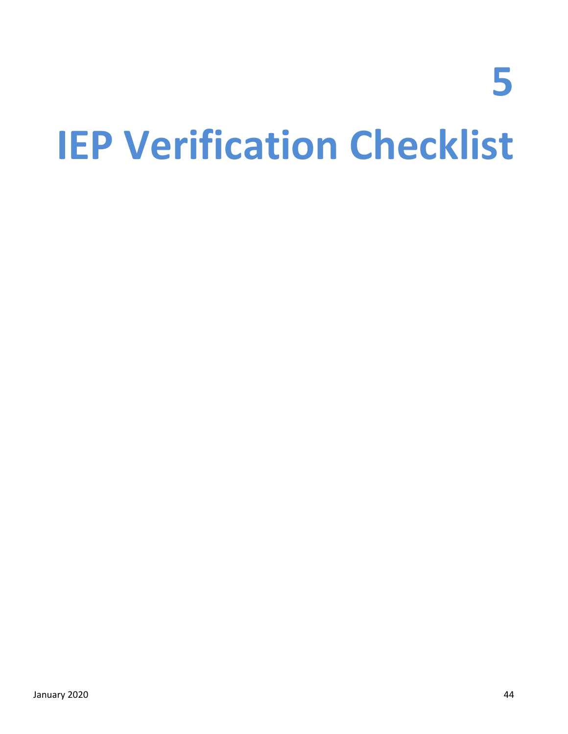# **5 IEP Verification Checklist**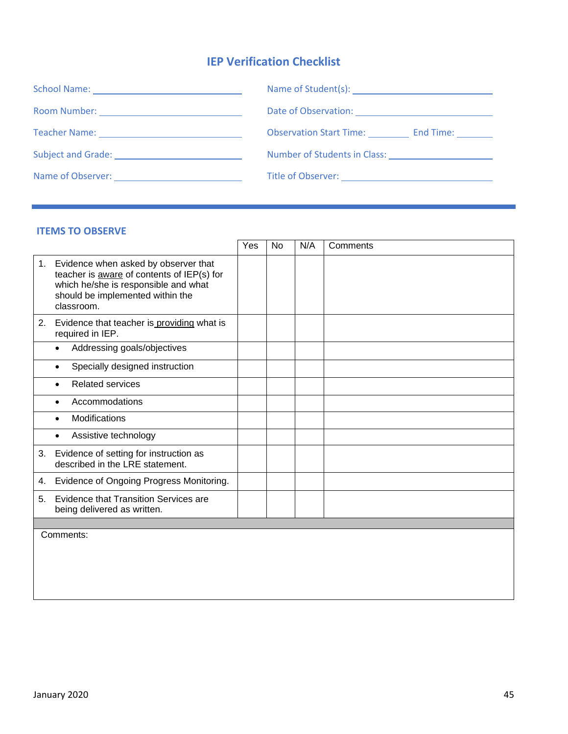#### **IEP Verification Checklist**

| Teacher Name: 1990 March 1990 March 1990 March 1990 March 1990 March 1990 March 1990 March 1990 March 1990 March 1990 March 1990 March 1990 March 1990 March 1990 March 1990 March 1990 March 1990 March 1990 March 1990 March | Observation Start Time: End Time:                      |  |  |  |  |
|--------------------------------------------------------------------------------------------------------------------------------------------------------------------------------------------------------------------------------|--------------------------------------------------------|--|--|--|--|
|                                                                                                                                                                                                                                |                                                        |  |  |  |  |
| Name of Observer: Name of Observer:                                                                                                                                                                                            | Title of Observer: ___________________________________ |  |  |  |  |

#### **ITEMS TO OBSERVE**

|    | <b>ITEMS TO OBSERVE</b>                                                                                                                                                      |     |    |     |          |
|----|------------------------------------------------------------------------------------------------------------------------------------------------------------------------------|-----|----|-----|----------|
|    |                                                                                                                                                                              | Yes | No | N/A | Comments |
| 1. | Evidence when asked by observer that<br>teacher is aware of contents of IEP(s) for<br>which he/she is responsible and what<br>should be implemented within the<br>classroom. |     |    |     |          |
|    | 2. Evidence that teacher is providing what is<br>required in IEP.                                                                                                            |     |    |     |          |
|    | Addressing goals/objectives<br>$\bullet$                                                                                                                                     |     |    |     |          |
|    | Specially designed instruction                                                                                                                                               |     |    |     |          |
|    | <b>Related services</b><br>$\bullet$                                                                                                                                         |     |    |     |          |
|    | Accommodations                                                                                                                                                               |     |    |     |          |
|    | Modifications<br>$\bullet$                                                                                                                                                   |     |    |     |          |
|    | Assistive technology                                                                                                                                                         |     |    |     |          |
| 3. | Evidence of setting for instruction as<br>described in the LRE statement.                                                                                                    |     |    |     |          |
| 4. | Evidence of Ongoing Progress Monitoring.                                                                                                                                     |     |    |     |          |
| 5. | <b>Evidence that Transition Services are</b><br>being delivered as written.                                                                                                  |     |    |     |          |
|    |                                                                                                                                                                              |     |    |     |          |
|    | Comments:                                                                                                                                                                    |     |    |     |          |
|    |                                                                                                                                                                              |     |    |     |          |
|    |                                                                                                                                                                              |     |    |     |          |
|    |                                                                                                                                                                              |     |    |     |          |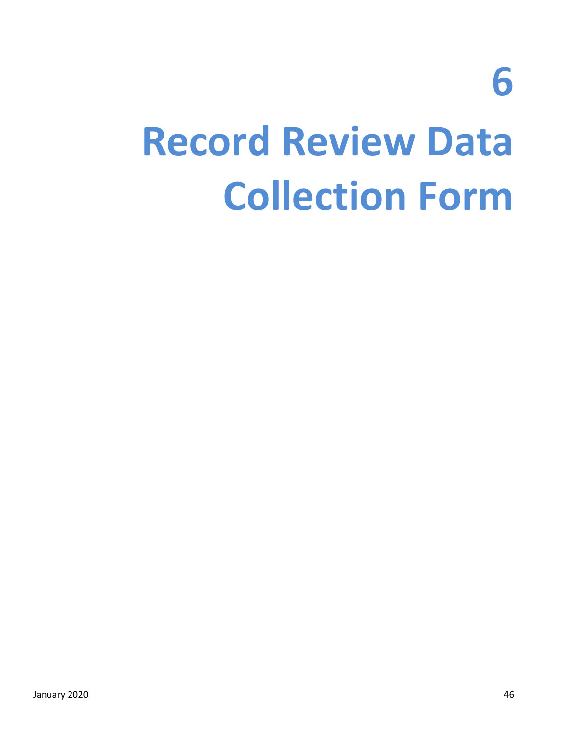**6**

### **Record Review Data Collection Form**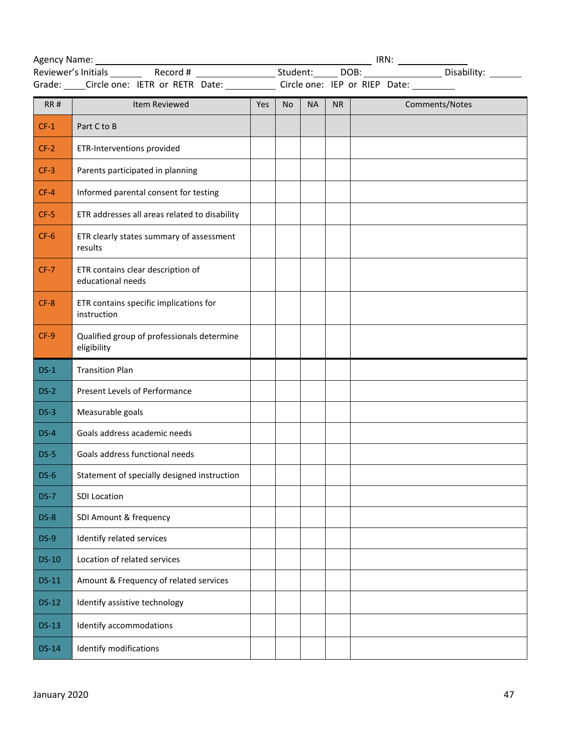|              | Grade: _____Circle one: IETR or RETR Date: _____________ Circle one: IEP or RIEP Date: __________ |     |           |           |    |  |  |                |
|--------------|---------------------------------------------------------------------------------------------------|-----|-----------|-----------|----|--|--|----------------|
| RR#          | Item Reviewed                                                                                     | Yes | <b>No</b> | <b>NA</b> | NR |  |  | Comments/Notes |
| $CF-1$       | Part C to B                                                                                       |     |           |           |    |  |  |                |
| $CF-2$       | ETR-Interventions provided                                                                        |     |           |           |    |  |  |                |
| $CF-3$       | Parents participated in planning                                                                  |     |           |           |    |  |  |                |
| $CF-4$       | Informed parental consent for testing                                                             |     |           |           |    |  |  |                |
| $CF-5$       | ETR addresses all areas related to disability                                                     |     |           |           |    |  |  |                |
| $CF-6$       | ETR clearly states summary of assessment<br>results                                               |     |           |           |    |  |  |                |
| $CF-7$       | ETR contains clear description of<br>educational needs                                            |     |           |           |    |  |  |                |
| $CF-8$       | ETR contains specific implications for<br>instruction                                             |     |           |           |    |  |  |                |
| $CF-9$       | Qualified group of professionals determine<br>eligibility                                         |     |           |           |    |  |  |                |
| $DS-1$       | <b>Transition Plan</b>                                                                            |     |           |           |    |  |  |                |
| $DS-2$       | Present Levels of Performance                                                                     |     |           |           |    |  |  |                |
| $DS-3$       | Measurable goals                                                                                  |     |           |           |    |  |  |                |
| $DS-4$       | Goals address academic needs                                                                      |     |           |           |    |  |  |                |
| $DS-5$       | Goals address functional needs                                                                    |     |           |           |    |  |  |                |
| $DS-6$       | Statement of specially designed instruction                                                       |     |           |           |    |  |  |                |
| $DS-7$       | SDI Location                                                                                      |     |           |           |    |  |  |                |
| $DS-8$       | SDI Amount & frequency                                                                            |     |           |           |    |  |  |                |
| $DS-9$       | Identify related services                                                                         |     |           |           |    |  |  |                |
| <b>DS-10</b> | Location of related services                                                                      |     |           |           |    |  |  |                |
| <b>DS-11</b> | Amount & Frequency of related services                                                            |     |           |           |    |  |  |                |
| $DS-12$      | Identify assistive technology                                                                     |     |           |           |    |  |  |                |
| $DS-13$      | Identify accommodations                                                                           |     |           |           |    |  |  |                |
| <b>DS-14</b> | Identify modifications                                                                            |     |           |           |    |  |  |                |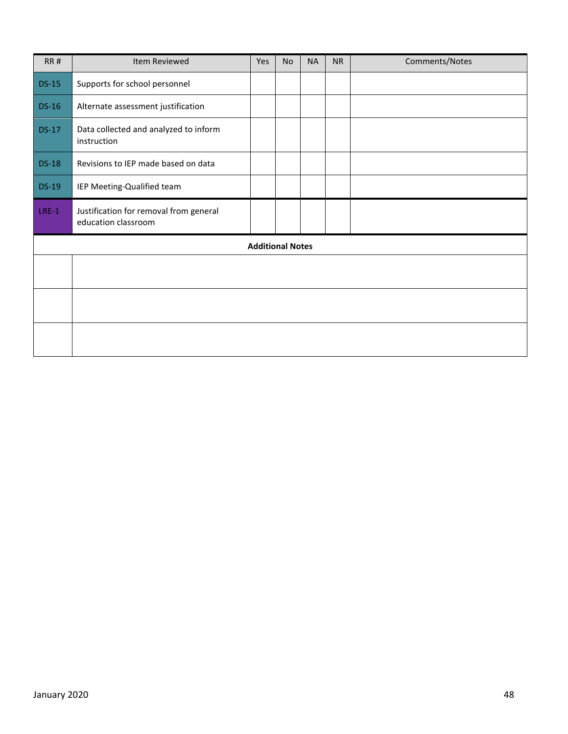| <b>RR#</b>   | Item Reviewed                                                 | Yes                     | <b>No</b> | <b>NA</b> | <b>NR</b> | Comments/Notes |
|--------------|---------------------------------------------------------------|-------------------------|-----------|-----------|-----------|----------------|
| $DS-15$      | Supports for school personnel                                 |                         |           |           |           |                |
| <b>DS-16</b> | Alternate assessment justification                            |                         |           |           |           |                |
| <b>DS-17</b> | Data collected and analyzed to inform<br>instruction          |                         |           |           |           |                |
| <b>DS-18</b> | Revisions to IEP made based on data                           |                         |           |           |           |                |
| <b>DS-19</b> | IEP Meeting-Qualified team                                    |                         |           |           |           |                |
| $LRE-1$      | Justification for removal from general<br>education classroom |                         |           |           |           |                |
|              |                                                               | <b>Additional Notes</b> |           |           |           |                |
|              |                                                               |                         |           |           |           |                |
|              |                                                               |                         |           |           |           |                |
|              |                                                               |                         |           |           |           |                |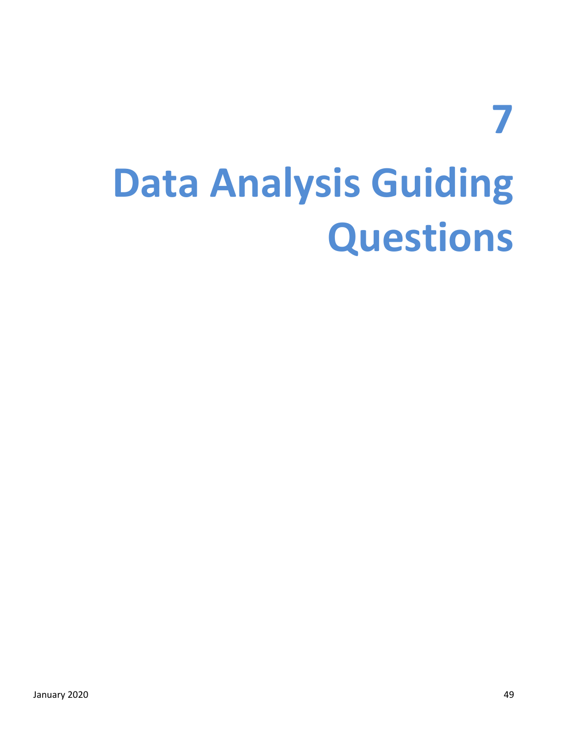### **7 Data Analysis Guiding Questions**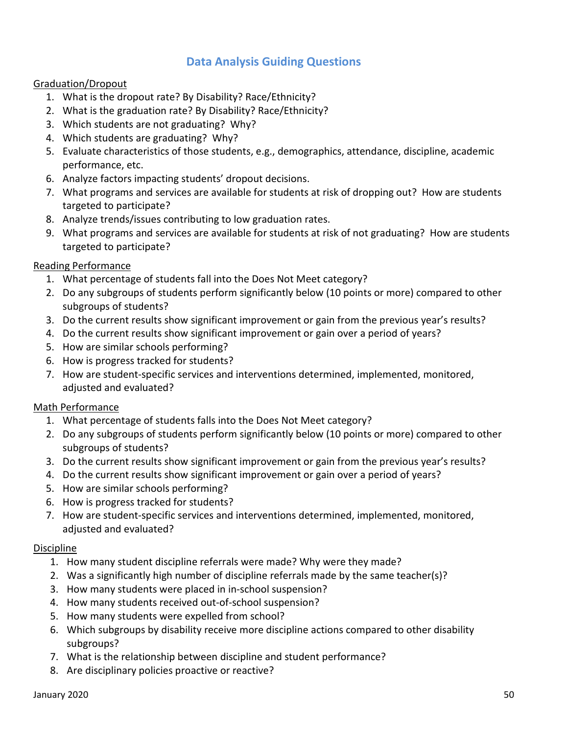#### **Data Analysis Guiding Questions**

#### Graduation/Dropout

- 1. What is the dropout rate? By Disability? Race/Ethnicity?
- 2. What is the graduation rate? By Disability? Race/Ethnicity?
- 3. Which students are not graduating? Why?
- 4. Which students are graduating? Why?
- 5. Evaluate characteristics of those students, e.g., demographics, attendance, discipline, academic performance, etc.
- 6. Analyze factors impacting students' dropout decisions.
- 7. What programs and services are available for students at risk of dropping out? How are students targeted to participate?
- 8. Analyze trends/issues contributing to low graduation rates.
- 9. What programs and services are available for students at risk of not graduating? How are students targeted to participate?

#### Reading Performance

- 1. What percentage of students fall into the Does Not Meet category?
- 2. Do any subgroups of students perform significantly below (10 points or more) compared to other subgroups of students?
- 3. Do the current results show significant improvement or gain from the previous year's results?
- 4. Do the current results show significant improvement or gain over a period of years?
- 5. How are similar schools performing?
- 6. How is progress tracked for students?
- 7. How are student-specific services and interventions determined, implemented, monitored, adjusted and evaluated?

#### Math Performance

- 1. What percentage of students falls into the Does Not Meet category?
- 2. Do any subgroups of students perform significantly below (10 points or more) compared to other subgroups of students?
- 3. Do the current results show significant improvement or gain from the previous year's results?
- 4. Do the current results show significant improvement or gain over a period of years?
- 5. How are similar schools performing?
- 6. How is progress tracked for students?
- 7. How are student-specific services and interventions determined, implemented, monitored, adjusted and evaluated?

#### **Discipline**

- 1. How many student discipline referrals were made? Why were they made?
- 2. Was a significantly high number of discipline referrals made by the same teacher(s)?
- 3. How many students were placed in in-school suspension?
- 4. How many students received out-of-school suspension?
- 5. How many students were expelled from school?
- 6. Which subgroups by disability receive more discipline actions compared to other disability subgroups?
- 7. What is the relationship between discipline and student performance?
- 8. Are disciplinary policies proactive or reactive?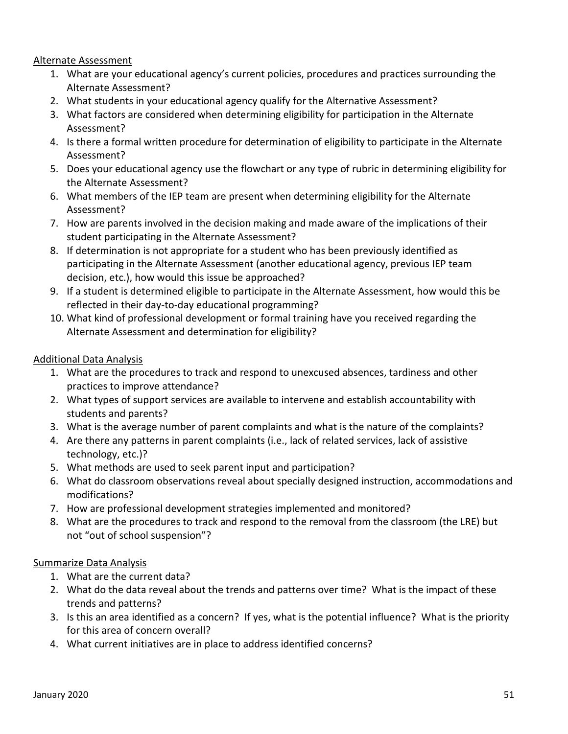#### Alternate Assessment

- 1. What are your educational agency's current policies, procedures and practices surrounding the Alternate Assessment?
- 2. What students in your educational agency qualify for the Alternative Assessment?
- 3. What factors are considered when determining eligibility for participation in the Alternate Assessment?
- 4. Is there a formal written procedure for determination of eligibility to participate in the Alternate Assessment?
- 5. Does your educational agency use the flowchart or any type of rubric in determining eligibility for the Alternate Assessment?
- 6. What members of the IEP team are present when determining eligibility for the Alternate Assessment?
- 7. How are parents involved in the decision making and made aware of the implications of their student participating in the Alternate Assessment?
- 8. If determination is not appropriate for a student who has been previously identified as participating in the Alternate Assessment (another educational agency, previous IEP team decision, etc.), how would this issue be approached?
- 9. If a student is determined eligible to participate in the Alternate Assessment, how would this be reflected in their day-to-day educational programming?
- 10. What kind of professional development or formal training have you received regarding the Alternate Assessment and determination for eligibility?

#### Additional Data Analysis

- 1. What are the procedures to track and respond to unexcused absences, tardiness and other practices to improve attendance?
- 2. What types of support services are available to intervene and establish accountability with students and parents?
- 3. What is the average number of parent complaints and what is the nature of the complaints?
- 4. Are there any patterns in parent complaints (i.e., lack of related services, lack of assistive technology, etc.)?
- 5. What methods are used to seek parent input and participation?
- 6. What do classroom observations reveal about specially designed instruction, accommodations and modifications?
- 7. How are professional development strategies implemented and monitored?
- 8. What are the procedures to track and respond to the removal from the classroom (the LRE) but not "out of school suspension"?

#### Summarize Data Analysis

- 1. What are the current data?
- 2. What do the data reveal about the trends and patterns over time? What is the impact of these trends and patterns?
- 3. Is this an area identified as a concern? If yes, what is the potential influence? What is the priority for this area of concern overall?
- 4. What current initiatives are in place to address identified concerns?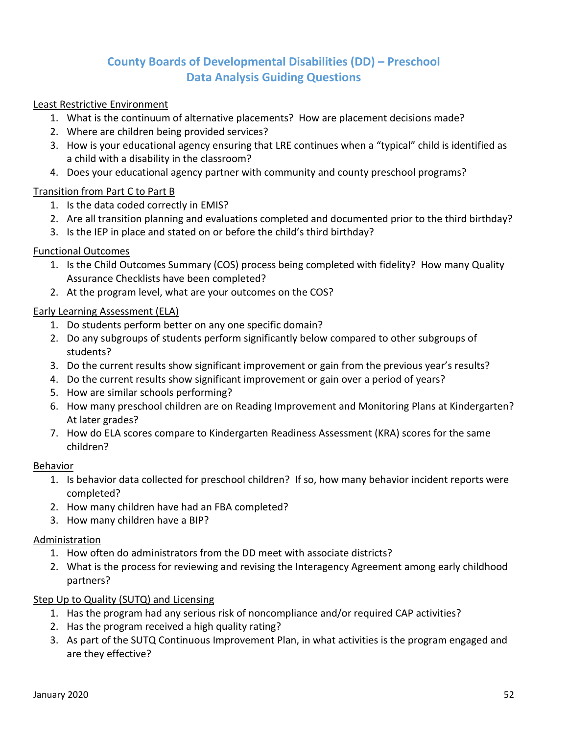#### **County Boards of Developmental Disabilities (DD) – Preschool Data Analysis Guiding Questions**

#### Least Restrictive Environment

- 1. What is the continuum of alternative placements? How are placement decisions made?
- 2. Where are children being provided services?
- 3. How is your educational agency ensuring that LRE continues when a "typical" child is identified as a child with a disability in the classroom?
- 4. Does your educational agency partner with community and county preschool programs?

#### Transition from Part C to Part B

- 1. Is the data coded correctly in EMIS?
- 2. Are all transition planning and evaluations completed and documented prior to the third birthday?
- 3. Is the IEP in place and stated on or before the child's third birthday?

#### Functional Outcomes

- 1. Is the Child Outcomes Summary (COS) process being completed with fidelity? How many Quality Assurance Checklists have been completed?
- 2. At the program level, what are your outcomes on the COS?

#### Early Learning Assessment (ELA)

- 1. Do students perform better on any one specific domain?
- 2. Do any subgroups of students perform significantly below compared to other subgroups of students?
- 3. Do the current results show significant improvement or gain from the previous year's results?
- 4. Do the current results show significant improvement or gain over a period of years?
- 5. How are similar schools performing?
- 6. How many preschool children are on Reading Improvement and Monitoring Plans at Kindergarten? At later grades?
- 7. How do ELA scores compare to Kindergarten Readiness Assessment (KRA) scores for the same children?

#### Behavior

- 1. Is behavior data collected for preschool children? If so, how many behavior incident reports were completed?
- 2. How many children have had an FBA completed?
- 3. How many children have a BIP?

#### Administration

- 1. How often do administrators from the DD meet with associate districts?
- 2. What is the process for reviewing and revising the Interagency Agreement among early childhood partners?

#### Step Up to Quality (SUTQ) and Licensing

- 1. Has the program had any serious risk of noncompliance and/or required CAP activities?
- 2. Has the program received a high quality rating?
- 3. As part of the SUTQ Continuous Improvement Plan, in what activities is the program engaged and are they effective?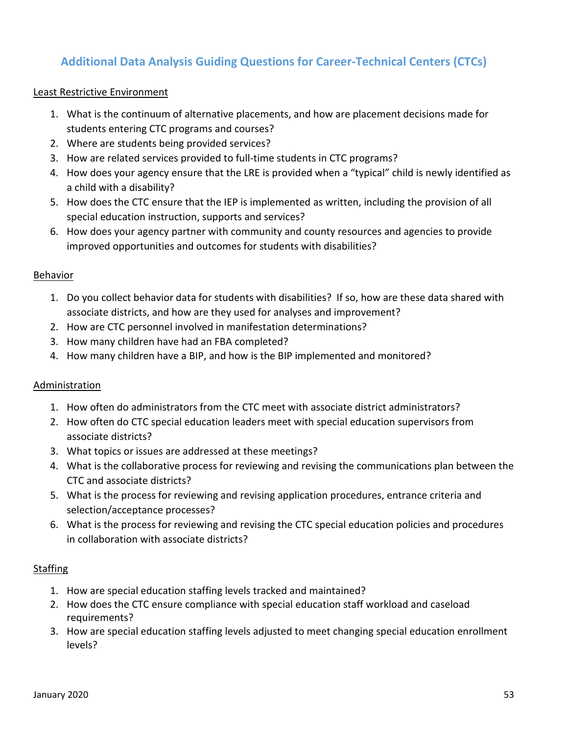### **Additional Data Analysis Guiding Questions for Career-Technical Centers (CTCs)**

#### Least Restrictive Environment

- 1. What is the continuum of alternative placements, and how are placement decisions made for students entering CTC programs and courses?
- 2. Where are students being provided services?
- 3. How are related services provided to full-time students in CTC programs?
- 4. How does your agency ensure that the LRE is provided when a "typical" child is newly identified as a child with a disability?
- 5. How does the CTC ensure that the IEP is implemented as written, including the provision of all special education instruction, supports and services?
- 6. How does your agency partner with community and county resources and agencies to provide improved opportunities and outcomes for students with disabilities?

#### Behavior

- 1. Do you collect behavior data for students with disabilities? If so, how are these data shared with associate districts, and how are they used for analyses and improvement?
- 2. How are CTC personnel involved in manifestation determinations?
- 3. How many children have had an FBA completed?
- 4. How many children have a BIP, and how is the BIP implemented and monitored?

#### Administration

- 1. How often do administrators from the CTC meet with associate district administrators?
- 2. How often do CTC special education leaders meet with special education supervisors from associate districts?
- 3. What topics or issues are addressed at these meetings?
- 4. What is the collaborative process for reviewing and revising the communications plan between the CTC and associate districts?
- 5. What is the process for reviewing and revising application procedures, entrance criteria and selection/acceptance processes?
- 6. What is the process for reviewing and revising the CTC special education policies and procedures in collaboration with associate districts?

#### **Staffing**

- 1. How are special education staffing levels tracked and maintained?
- 2. How does the CTC ensure compliance with special education staff workload and caseload requirements?
- 3. How are special education staffing levels adjusted to meet changing special education enrollment levels?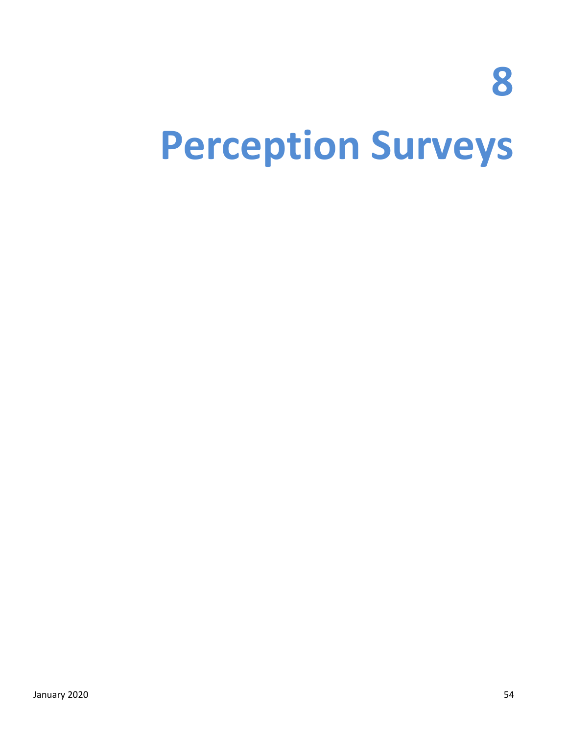**8**

### **Perception Surveys**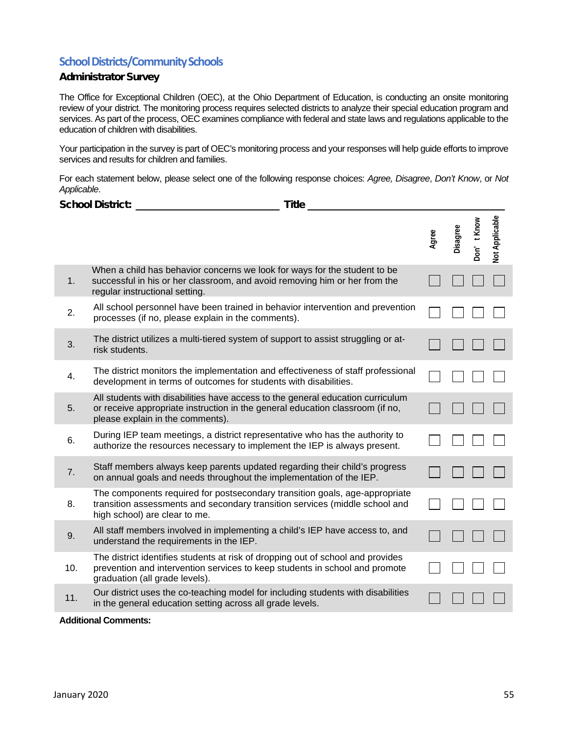#### **School Districts/Community Schools**

#### Administrator Survey

The Office for Exceptional Children (OEC), at the Ohio Department of Education, is conducting an onsite monitoring review of your district. The monitoring process requires selected districts to analyze their special education program and services. As part of the process, OEC examines compliance with federal and state laws and regulations applicable to the education of children with disabilities.

Your participation in the survey is part of OEC's monitoring process and your responses will help guide efforts to improve services and results for children and families.

For each statement below, please select one of the following response choices: *Agree, Disagree*, *Don't Know*, or *Not Applicable*.

|     | <b>School District:</b><br><b>Title</b>                                                                                                                                                             |       |          |            |                |
|-----|-----------------------------------------------------------------------------------------------------------------------------------------------------------------------------------------------------|-------|----------|------------|----------------|
|     |                                                                                                                                                                                                     | Agree | Disagree | Don't Know | Not Applicable |
| 1.  | When a child has behavior concerns we look for ways for the student to be<br>successful in his or her classroom, and avoid removing him or her from the<br>regular instructional setting.           |       |          |            |                |
| 2.  | All school personnel have been trained in behavior intervention and prevention<br>processes (if no, please explain in the comments).                                                                |       |          |            |                |
| 3.  | The district utilizes a multi-tiered system of support to assist struggling or at-<br>risk students.                                                                                                |       |          |            |                |
| 4.  | The district monitors the implementation and effectiveness of staff professional<br>development in terms of outcomes for students with disabilities.                                                |       |          |            |                |
| 5.  | All students with disabilities have access to the general education curriculum<br>or receive appropriate instruction in the general education classroom (if no,<br>please explain in the comments). |       |          |            |                |
| 6.  | During IEP team meetings, a district representative who has the authority to<br>authorize the resources necessary to implement the IEP is always present.                                           |       |          |            |                |
| 7.  | Staff members always keep parents updated regarding their child's progress<br>on annual goals and needs throughout the implementation of the IEP.                                                   |       |          |            |                |
| 8.  | The components required for postsecondary transition goals, age-appropriate<br>transition assessments and secondary transition services (middle school and<br>high school) are clear to me.         |       |          |            |                |
| 9.  | All staff members involved in implementing a child's IEP have access to, and<br>understand the requirements in the IEP.                                                                             |       |          |            |                |
| 10. | The district identifies students at risk of dropping out of school and provides<br>prevention and intervention services to keep students in school and promote<br>graduation (all grade levels).    |       |          |            |                |
| 11. | Our district uses the co-teaching model for including students with disabilities<br>in the general education setting across all grade levels.                                                       |       |          |            |                |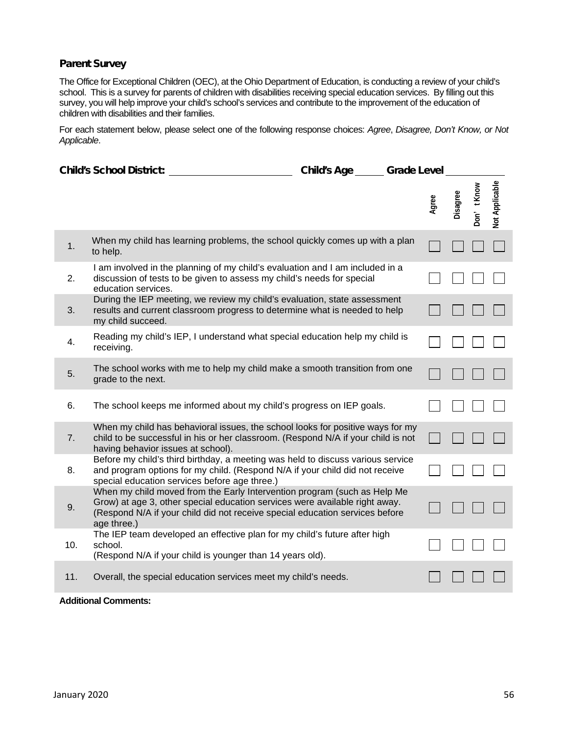#### Parent Survey

The Office for Exceptional Children (OEC), at the Ohio Department of Education, is conducting a review of your child's school. This is a survey for parents of children with disabilities receiving special education services. By filling out this survey, you will help improve your child's school's services and contribute to the improvement of the education of children with disabilities and their families.

For each statement below, please select one of the following response choices: *Agree*, *Disagree, Don't Know, or Not Applicable*.

|     | <b>Child's School District:</b>                                                                                                                                                                                                                        | <b>Child's Age</b> | <b>Grade Level</b> |          |            |                |
|-----|--------------------------------------------------------------------------------------------------------------------------------------------------------------------------------------------------------------------------------------------------------|--------------------|--------------------|----------|------------|----------------|
|     |                                                                                                                                                                                                                                                        |                    | Agree              | Disagree | Don't Know | Not Applicable |
| 1.  | When my child has learning problems, the school quickly comes up with a plan<br>to help.                                                                                                                                                               |                    |                    |          |            |                |
| 2.  | I am involved in the planning of my child's evaluation and I am included in a<br>discussion of tests to be given to assess my child's needs for special<br>education services.                                                                         |                    |                    |          |            |                |
| 3.  | During the IEP meeting, we review my child's evaluation, state assessment<br>results and current classroom progress to determine what is needed to help<br>my child succeed.                                                                           |                    |                    |          |            |                |
| 4.  | Reading my child's IEP, I understand what special education help my child is<br>receiving.                                                                                                                                                             |                    |                    |          |            |                |
| 5.  | The school works with me to help my child make a smooth transition from one<br>grade to the next.                                                                                                                                                      |                    |                    |          |            |                |
| 6.  | The school keeps me informed about my child's progress on IEP goals.                                                                                                                                                                                   |                    |                    |          |            |                |
| 7.  | When my child has behavioral issues, the school looks for positive ways for my<br>child to be successful in his or her classroom. (Respond N/A if your child is not<br>having behavior issues at school).                                              |                    |                    |          |            |                |
| 8.  | Before my child's third birthday, a meeting was held to discuss various service<br>and program options for my child. (Respond N/A if your child did not receive<br>special education services before age three.)                                       |                    |                    |          |            |                |
| 9.  | When my child moved from the Early Intervention program (such as Help Me<br>Grow) at age 3, other special education services were available right away.<br>(Respond N/A if your child did not receive special education services before<br>age three.) |                    |                    |          |            |                |
| 10. | The IEP team developed an effective plan for my child's future after high<br>school.<br>(Respond N/A if your child is younger than 14 years old).                                                                                                      |                    |                    |          |            |                |
| 11. | Overall, the special education services meet my child's needs.                                                                                                                                                                                         |                    |                    |          |            |                |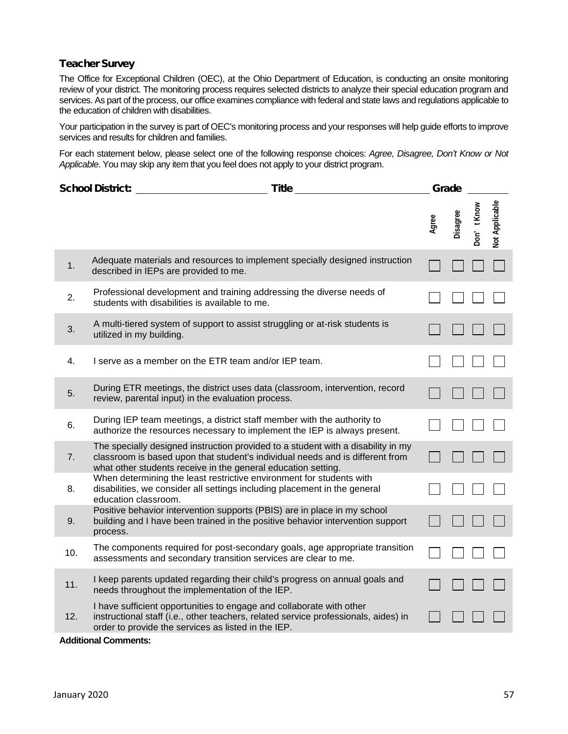#### Teacher Survey

The Office for Exceptional Children (OEC), at the Ohio Department of Education, is conducting an onsite monitoring review of your district. The monitoring process requires selected districts to analyze their special education program and services. As part of the process, our office examines compliance with federal and state laws and regulations applicable to the education of children with disabilities.

Your participation in the survey is part of OEC's monitoring process and your responses will help guide efforts to improve services and results for children and families.

For each statement below, please select one of the following response choices: *Agree, Disagree, Don't Know or Not Applicable*. You may skip any item that you feel does not apply to your district program.

| <b>School District:</b><br><b>Title</b> |                                                                                                                                                                                                                                    | Grade |          |            |                       |  |
|-----------------------------------------|------------------------------------------------------------------------------------------------------------------------------------------------------------------------------------------------------------------------------------|-------|----------|------------|-----------------------|--|
|                                         |                                                                                                                                                                                                                                    | Agree | Disagree | Don't Know | <b>Vot Applicable</b> |  |
| 1.                                      | Adequate materials and resources to implement specially designed instruction<br>described in IEPs are provided to me.                                                                                                              |       |          |            |                       |  |
| 2.                                      | Professional development and training addressing the diverse needs of<br>students with disabilities is available to me.                                                                                                            |       |          |            |                       |  |
| 3.                                      | A multi-tiered system of support to assist struggling or at-risk students is<br>utilized in my building.                                                                                                                           |       |          |            |                       |  |
| 4.                                      | I serve as a member on the ETR team and/or IEP team.                                                                                                                                                                               |       |          |            |                       |  |
| 5.                                      | During ETR meetings, the district uses data (classroom, intervention, record<br>review, parental input) in the evaluation process.                                                                                                 |       |          |            |                       |  |
| 6.                                      | During IEP team meetings, a district staff member with the authority to<br>authorize the resources necessary to implement the IEP is always present.                                                                               |       |          |            |                       |  |
| 7.                                      | The specially designed instruction provided to a student with a disability in my<br>classroom is based upon that student's individual needs and is different from<br>what other students receive in the general education setting. |       |          |            |                       |  |
| 8.                                      | When determining the least restrictive environment for students with<br>disabilities, we consider all settings including placement in the general<br>education classroom.                                                          |       |          |            |                       |  |
| 9.                                      | Positive behavior intervention supports (PBIS) are in place in my school<br>building and I have been trained in the positive behavior intervention support<br>process.                                                             |       |          |            |                       |  |
| 10.                                     | The components required for post-secondary goals, age appropriate transition<br>assessments and secondary transition services are clear to me.                                                                                     |       |          |            |                       |  |
| 11.                                     | I keep parents updated regarding their child's progress on annual goals and<br>needs throughout the implementation of the IEP.                                                                                                     |       |          |            |                       |  |
| 12.                                     | I have sufficient opportunities to engage and collaborate with other<br>instructional staff (i.e., other teachers, related service professionals, aides) in<br>order to provide the services as listed in the IEP.                 |       |          |            |                       |  |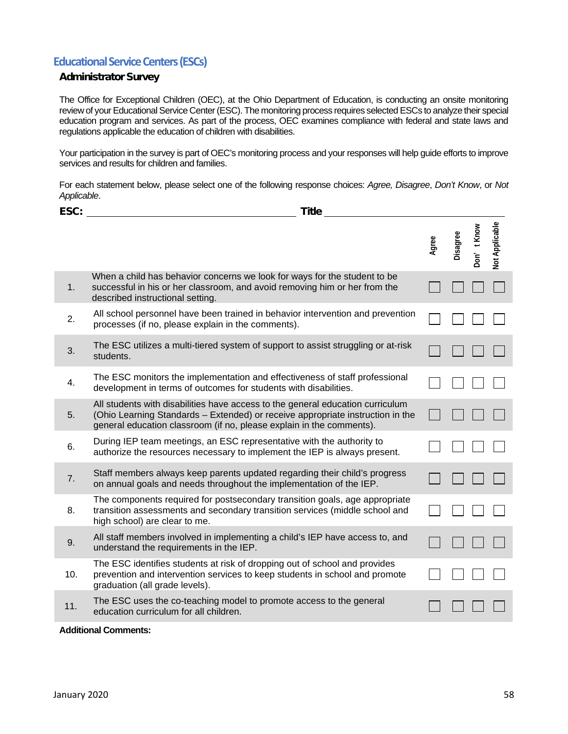#### **Educational Service Centers (ESCs)**

#### Administrator Survey

The Office for Exceptional Children (OEC), at the Ohio Department of Education, is conducting an onsite monitoring review of your Educational Service Center (ESC). The monitoring process requires selected ESCs to analyze their special education program and services. As part of the process, OEC examines compliance with federal and state laws and regulations applicable the education of children with disabilities.

Your participation in the survey is part of OEC's monitoring process and your responses will help guide efforts to improve services and results for children and families.

For each statement below, please select one of the following response choices: *Agree, Disagree*, *Don't Know*, or *Not Applicable*.

| ESC: | <b>Title</b>                                                                                                                                                                                                                             |       |          |            |                       |  |
|------|------------------------------------------------------------------------------------------------------------------------------------------------------------------------------------------------------------------------------------------|-------|----------|------------|-----------------------|--|
|      |                                                                                                                                                                                                                                          | Agree | Disagree | Don't Know | <b>Vot Applicable</b> |  |
| 1.   | When a child has behavior concerns we look for ways for the student to be<br>successful in his or her classroom, and avoid removing him or her from the<br>described instructional setting                                               |       |          |            |                       |  |
| 2.   | All school personnel have been trained in behavior intervention and prevention<br>processes (if no, please explain in the comments).                                                                                                     |       |          |            |                       |  |
| 3.   | The ESC utilizes a multi-tiered system of support to assist struggling or at-risk<br>students.                                                                                                                                           |       |          |            |                       |  |
| 4.   | The ESC monitors the implementation and effectiveness of staff professional<br>development in terms of outcomes for students with disabilities.                                                                                          |       |          |            |                       |  |
| 5.   | All students with disabilities have access to the general education curriculum<br>(Ohio Learning Standards - Extended) or receive appropriate instruction in the<br>general education classroom (if no, please explain in the comments). |       |          |            |                       |  |
| 6.   | During IEP team meetings, an ESC representative with the authority to<br>authorize the resources necessary to implement the IEP is always present.                                                                                       |       |          |            |                       |  |
| 7.   | Staff members always keep parents updated regarding their child's progress<br>on annual goals and needs throughout the implementation of the IEP.                                                                                        |       |          |            |                       |  |
| 8.   | The components required for postsecondary transition goals, age appropriate<br>transition assessments and secondary transition services (middle school and<br>high school) are clear to me.                                              |       |          |            |                       |  |
| 9.   | All staff members involved in implementing a child's IEP have access to, and<br>understand the requirements in the IEP.                                                                                                                  |       |          |            |                       |  |
| 10.  | The ESC identifies students at risk of dropping out of school and provides<br>prevention and intervention services to keep students in school and promote<br>graduation (all grade levels).                                              |       |          |            |                       |  |
| 11.  | The ESC uses the co-teaching model to promote access to the general<br>education curriculum for all children.                                                                                                                            |       |          |            |                       |  |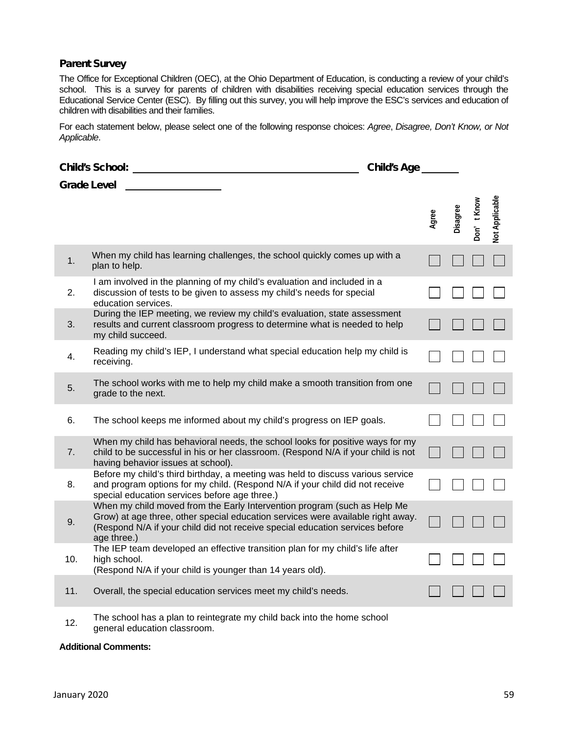#### Parent Survey

The Office for Exceptional Children (OEC), at the Ohio Department of Education, is conducting a review of your child's school. This is a survey for parents of children with disabilities receiving special education services through the Educational Service Center (ESC). By filling out this survey, you will help improve the ESC's services and education of children with disabilities and their families.

For each statement below, please select one of the following response choices: *Agree*, *Disagree, Don't Know, or Not Applicable*.

|                    | <b>Child's School:</b>                                                                                                                                                                                                                                     | <b>Child's Age</b> |       |          |            |                |
|--------------------|------------------------------------------------------------------------------------------------------------------------------------------------------------------------------------------------------------------------------------------------------------|--------------------|-------|----------|------------|----------------|
| <b>Grade Level</b> |                                                                                                                                                                                                                                                            |                    |       |          |            |                |
|                    |                                                                                                                                                                                                                                                            |                    | Agree | Disagree | Don't Know | Not Applicable |
| 1.                 | When my child has learning challenges, the school quickly comes up with a<br>plan to help.                                                                                                                                                                 |                    |       |          |            |                |
| 2.                 | I am involved in the planning of my child's evaluation and included in a<br>discussion of tests to be given to assess my child's needs for special<br>education services.                                                                                  |                    |       |          |            |                |
| 3.                 | During the IEP meeting, we review my child's evaluation, state assessment<br>results and current classroom progress to determine what is needed to help<br>my child succeed.                                                                               |                    |       |          |            |                |
| 4.                 | Reading my child's IEP, I understand what special education help my child is<br>receiving.                                                                                                                                                                 |                    |       |          |            |                |
| 5.                 | The school works with me to help my child make a smooth transition from one<br>grade to the next.                                                                                                                                                          |                    |       |          |            |                |
| 6.                 | The school keeps me informed about my child's progress on IEP goals.                                                                                                                                                                                       |                    |       |          |            |                |
| 7.                 | When my child has behavioral needs, the school looks for positive ways for my<br>child to be successful in his or her classroom. (Respond N/A if your child is not<br>having behavior issues at school).                                                   |                    |       |          |            |                |
| 8.                 | Before my child's third birthday, a meeting was held to discuss various service<br>and program options for my child. (Respond N/A if your child did not receive<br>special education services before age three.)                                           |                    |       |          |            |                |
| 9.                 | When my child moved from the Early Intervention program (such as Help Me<br>Grow) at age three, other special education services were available right away.<br>(Respond N/A if your child did not receive special education services before<br>age three.) |                    |       |          |            |                |
| 10.                | The IEP team developed an effective transition plan for my child's life after<br>high school.<br>(Respond N/A if your child is younger than 14 years old).                                                                                                 |                    |       |          |            |                |
| 11.                | Overall, the special education services meet my child's needs.                                                                                                                                                                                             |                    |       |          |            |                |

12. The school has a plan to reintegrate my child back into the home school general education classroom.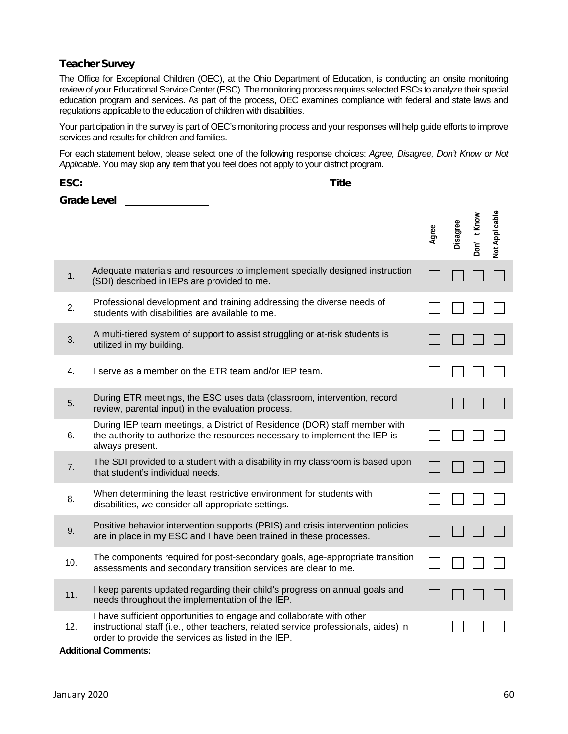#### Teacher Survey

The Office for Exceptional Children (OEC), at the Ohio Department of Education, is conducting an onsite monitoring review of your Educational Service Center (ESC). The monitoring process requires selected ESCs to analyze their special education program and services. As part of the process, OEC examines compliance with federal and state laws and regulations applicable to the education of children with disabilities.

Your participation in the survey is part of OEC's monitoring process and your responses will help guide efforts to improve services and results for children and families.

For each statement below, please select one of the following response choices: *Agree, Disagree, Don't Know or Not Applicable*. You may skip any item that you feel does not apply to your district program.

| <b>Grade Level</b><br><b>Vot Applicable</b><br>Don't Know<br>Disagree<br>Agree<br>Adequate materials and resources to implement specially designed instruction<br>1.<br>(SDI) described in IEPs are provided to me.<br>Professional development and training addressing the diverse needs of<br>2.<br>students with disabilities are available to me. |
|-------------------------------------------------------------------------------------------------------------------------------------------------------------------------------------------------------------------------------------------------------------------------------------------------------------------------------------------------------|
|                                                                                                                                                                                                                                                                                                                                                       |
|                                                                                                                                                                                                                                                                                                                                                       |
|                                                                                                                                                                                                                                                                                                                                                       |
| A multi-tiered system of support to assist struggling or at-risk students is<br>3.<br>utilized in my building.                                                                                                                                                                                                                                        |
| I serve as a member on the ETR team and/or IEP team.<br>4.                                                                                                                                                                                                                                                                                            |
| During ETR meetings, the ESC uses data (classroom, intervention, record<br>5.<br>review, parental input) in the evaluation process.                                                                                                                                                                                                                   |
| During IEP team meetings, a District of Residence (DOR) staff member with<br>the authority to authorize the resources necessary to implement the IEP is<br>6.<br>always present.                                                                                                                                                                      |
| The SDI provided to a student with a disability in my classroom is based upon<br>7.<br>that student's individual needs.                                                                                                                                                                                                                               |
| When determining the least restrictive environment for students with<br>8.<br>disabilities, we consider all appropriate settings.                                                                                                                                                                                                                     |
| Positive behavior intervention supports (PBIS) and crisis intervention policies<br>9.<br>are in place in my ESC and I have been trained in these processes.                                                                                                                                                                                           |
| The components required for post-secondary goals, age-appropriate transition<br>10.<br>assessments and secondary transition services are clear to me.                                                                                                                                                                                                 |
| I keep parents updated regarding their child's progress on annual goals and<br>11.<br>needs throughout the implementation of the IEP.                                                                                                                                                                                                                 |
| I have sufficient opportunities to engage and collaborate with other<br>instructional staff (i.e., other teachers, related service professionals, aides) in<br>12.<br>order to provide the services as listed in the IEP.<br><b>Additional Comments:</b>                                                                                              |

#### January 2020 60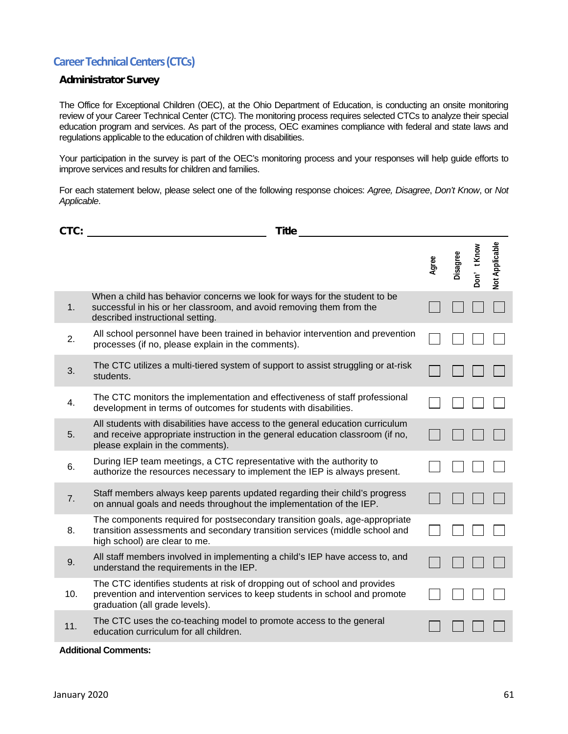#### **Career Technical Centers (CTCs)**

#### Administrator Survey

The Office for Exceptional Children (OEC), at the Ohio Department of Education, is conducting an onsite monitoring review of your Career Technical Center (CTC). The monitoring process requires selected CTCs to analyze their special education program and services. As part of the process, OEC examines compliance with federal and state laws and regulations applicable to the education of children with disabilities.

Your participation in the survey is part of the OEC's monitoring process and your responses will help guide efforts to improve services and results for children and families.

For each statement below, please select one of the following response choices: *Agree, Disagree*, *Don't Know*, or *Not Applicable*.

| CTC: | <b>Title</b>                                                                                                                                                                                         |       |          |             |                       |
|------|------------------------------------------------------------------------------------------------------------------------------------------------------------------------------------------------------|-------|----------|-------------|-----------------------|
|      |                                                                                                                                                                                                      | Agree | Disagree | Don' t Know | <b>Vot Applicable</b> |
| 1.   | When a child has behavior concerns we look for ways for the student to be<br>successful in his or her classroom, and avoid removing them from the<br>described instructional setting.                |       |          |             |                       |
| 2.   | All school personnel have been trained in behavior intervention and prevention<br>processes (if no, please explain in the comments).                                                                 |       |          |             |                       |
| 3.   | The CTC utilizes a multi-tiered system of support to assist struggling or at-risk<br>students.                                                                                                       |       |          |             |                       |
| 4.   | The CTC monitors the implementation and effectiveness of staff professional<br>development in terms of outcomes for students with disabilities.                                                      |       |          |             |                       |
| 5.   | All students with disabilities have access to the general education curriculum<br>and receive appropriate instruction in the general education classroom (if no,<br>please explain in the comments). |       |          |             |                       |
| 6.   | During IEP team meetings, a CTC representative with the authority to<br>authorize the resources necessary to implement the IEP is always present.                                                    |       |          |             |                       |
| 7.   | Staff members always keep parents updated regarding their child's progress<br>on annual goals and needs throughout the implementation of the IEP.                                                    |       |          |             |                       |
| 8.   | The components required for postsecondary transition goals, age-appropriate<br>transition assessments and secondary transition services (middle school and<br>high school) are clear to me.          |       |          |             |                       |
| 9.   | All staff members involved in implementing a child's IEP have access to, and<br>understand the requirements in the IEP.                                                                              |       |          |             |                       |
| 10.  | The CTC identifies students at risk of dropping out of school and provides<br>prevention and intervention services to keep students in school and promote<br>graduation (all grade levels).          |       |          |             |                       |
| 11.  | The CTC uses the co-teaching model to promote access to the general<br>education curriculum for all children.                                                                                        |       |          |             |                       |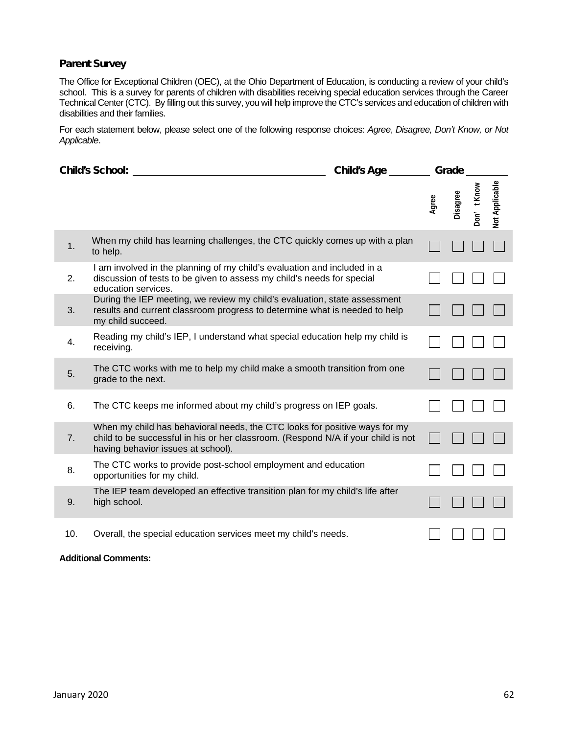#### Parent Survey

The Office for Exceptional Children (OEC), at the Ohio Department of Education, is conducting a review of your child's school. This is a survey for parents of children with disabilities receiving special education services through the Career Technical Center (CTC). By filling out this survey, you will help improve the CTC's services and education of children with disabilities and their families.

For each statement below, please select one of the following response choices: *Agree*, *Disagree, Don't Know, or Not Applicable*.

|     | <b>Child's School:</b>                                                                                                                                                                                | <b>Child's Age</b> |       | Grade    |            |                       |
|-----|-------------------------------------------------------------------------------------------------------------------------------------------------------------------------------------------------------|--------------------|-------|----------|------------|-----------------------|
|     |                                                                                                                                                                                                       |                    | Agree | Disagree | Don't Know | <b>Vot Applicable</b> |
| 1.  | When my child has learning challenges, the CTC quickly comes up with a plan<br>to help.                                                                                                               |                    |       |          |            |                       |
| 2.  | I am involved in the planning of my child's evaluation and included in a<br>discussion of tests to be given to assess my child's needs for special<br>education services.                             |                    |       |          |            |                       |
| 3.  | During the IEP meeting, we review my child's evaluation, state assessment<br>results and current classroom progress to determine what is needed to help<br>my child succeed.                          |                    |       |          |            |                       |
| 4.  | Reading my child's IEP, I understand what special education help my child is<br>receiving.                                                                                                            |                    |       |          |            |                       |
| 5.  | The CTC works with me to help my child make a smooth transition from one<br>grade to the next.                                                                                                        |                    |       |          |            |                       |
| 6.  | The CTC keeps me informed about my child's progress on IEP goals.                                                                                                                                     |                    |       |          |            |                       |
| 7.  | When my child has behavioral needs, the CTC looks for positive ways for my<br>child to be successful in his or her classroom. (Respond N/A if your child is not<br>having behavior issues at school). |                    |       |          |            |                       |
| 8.  | The CTC works to provide post-school employment and education<br>opportunities for my child.                                                                                                          |                    |       |          |            |                       |
| 9.  | The IEP team developed an effective transition plan for my child's life after<br>high school.                                                                                                         |                    |       |          |            |                       |
| 10. | Overall, the special education services meet my child's needs.                                                                                                                                        |                    |       |          |            |                       |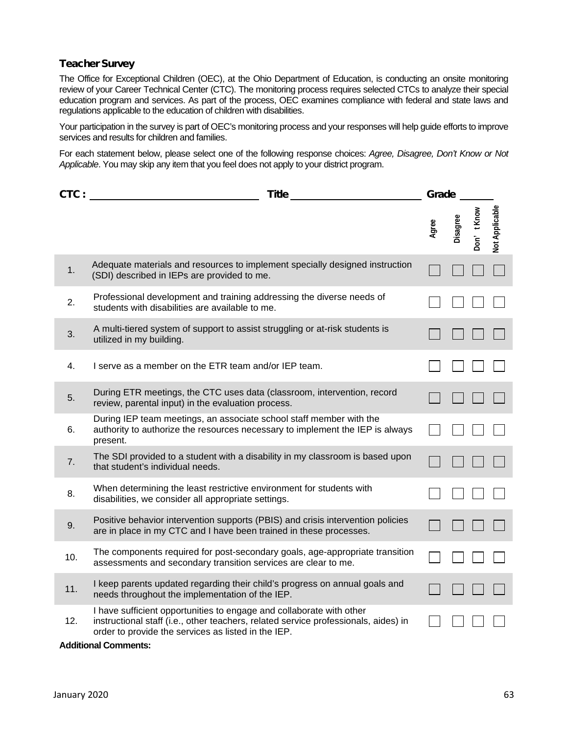#### Teacher Survey

The Office for Exceptional Children (OEC), at the Ohio Department of Education, is conducting an onsite monitoring review of your Career Technical Center (CTC). The monitoring process requires selected CTCs to analyze their special education program and services. As part of the process, OEC examines compliance with federal and state laws and regulations applicable to the education of children with disabilities.

Your participation in the survey is part of OEC's monitoring process and your responses will help guide efforts to improve services and results for children and families.

For each statement below, please select one of the following response choices: *Agree, Disagree, Don't Know or Not Applicable*. You may skip any item that you feel does not apply to your district program.

| CTC: | <b>Title</b>                                                                                                                                                                                                       |       | Grade    |            |                |  |
|------|--------------------------------------------------------------------------------------------------------------------------------------------------------------------------------------------------------------------|-------|----------|------------|----------------|--|
|      |                                                                                                                                                                                                                    | Agree | Disagree | Don't Know | Not Applicable |  |
| 1.   | Adequate materials and resources to implement specially designed instruction<br>(SDI) described in IEPs are provided to me.                                                                                        |       |          |            |                |  |
| 2.   | Professional development and training addressing the diverse needs of<br>students with disabilities are available to me.                                                                                           |       |          |            |                |  |
| 3.   | A multi-tiered system of support to assist struggling or at-risk students is<br>utilized in my building.                                                                                                           |       |          |            |                |  |
| 4.   | I serve as a member on the ETR team and/or IEP team.                                                                                                                                                               |       |          |            |                |  |
| 5.   | During ETR meetings, the CTC uses data (classroom, intervention, record<br>review, parental input) in the evaluation process.                                                                                      |       |          |            |                |  |
| 6.   | During IEP team meetings, an associate school staff member with the<br>authority to authorize the resources necessary to implement the IEP is always<br>present.                                                   |       |          |            |                |  |
| 7.   | The SDI provided to a student with a disability in my classroom is based upon<br>that student's individual needs.                                                                                                  |       |          |            |                |  |
| 8.   | When determining the least restrictive environment for students with<br>disabilities, we consider all appropriate settings.                                                                                        |       |          |            |                |  |
| 9.   | Positive behavior intervention supports (PBIS) and crisis intervention policies<br>are in place in my CTC and I have been trained in these processes.                                                              |       |          |            |                |  |
| 10.  | The components required for post-secondary goals, age-appropriate transition<br>assessments and secondary transition services are clear to me.                                                                     |       |          |            |                |  |
| 11.  | I keep parents updated regarding their child's progress on annual goals and<br>needs throughout the implementation of the IEP.                                                                                     |       |          |            |                |  |
| 12.  | I have sufficient opportunities to engage and collaborate with other<br>instructional staff (i.e., other teachers, related service professionals, aides) in<br>order to provide the services as listed in the IEP. |       |          |            |                |  |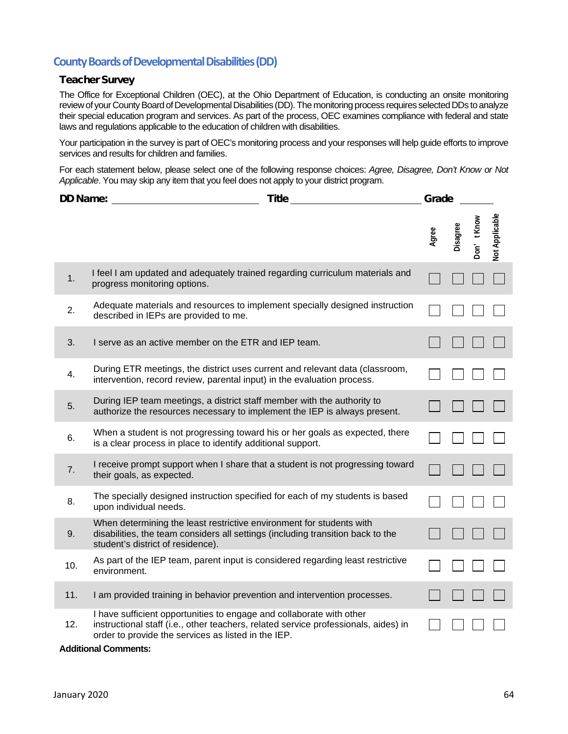#### **County Boards of Developmental Disabilities (DD)**

#### Teacher Survey

The Office for Exceptional Children (OEC), at the Ohio Department of Education, is conducting an onsite monitoring review of your County Board of Developmental Disabilities (DD). The monitoring process requires selected DDs to analyze their special education program and services. As part of the process, OEC examines compliance with federal and state laws and regulations applicable to the education of children with disabilities.

Your participation in the survey is part of OEC's monitoring process and your responses will help guide efforts to improve services and results for children and families.

For each statement below, please select one of the following response choices: *Agree, Disagree, Don't Know or Not Applicable*. You may skip any item that you feel does not apply to your district program.

| <b>DD Name:</b> | <b>Title</b>                                                                                                                                                                                                       | Grade |          |            |                |
|-----------------|--------------------------------------------------------------------------------------------------------------------------------------------------------------------------------------------------------------------|-------|----------|------------|----------------|
|                 |                                                                                                                                                                                                                    | Agree | Disagree | Don't Know | Not Applicable |
| 1.              | I feel I am updated and adequately trained regarding curriculum materials and<br>progress monitoring options.                                                                                                      |       |          |            |                |
| 2.              | Adequate materials and resources to implement specially designed instruction<br>described in IEPs are provided to me.                                                                                              |       |          |            |                |
| 3.              | I serve as an active member on the ETR and IEP team.                                                                                                                                                               |       |          |            |                |
| 4.              | During ETR meetings, the district uses current and relevant data (classroom,<br>intervention, record review, parental input) in the evaluation process.                                                            |       |          |            |                |
| 5.              | During IEP team meetings, a district staff member with the authority to<br>authorize the resources necessary to implement the IEP is always present.                                                               |       |          |            |                |
| 6.              | When a student is not progressing toward his or her goals as expected, there<br>is a clear process in place to identify additional support.                                                                        |       |          |            |                |
| 7.              | I receive prompt support when I share that a student is not progressing toward<br>their goals, as expected.                                                                                                        |       |          |            |                |
| 8.              | The specially designed instruction specified for each of my students is based<br>upon individual needs.                                                                                                            |       |          |            |                |
| 9.              | When determining the least restrictive environment for students with<br>disabilities, the team considers all settings (including transition back to the<br>student's district of residence).                       |       |          |            |                |
| 10.             | As part of the IEP team, parent input is considered regarding least restrictive<br>environment.                                                                                                                    |       |          |            |                |
| 11.             | I am provided training in behavior prevention and intervention processes.                                                                                                                                          |       |          |            |                |
| 12.             | I have sufficient opportunities to engage and collaborate with other<br>instructional staff (i.e., other teachers, related service professionals, aides) in<br>order to provide the services as listed in the IEP. |       |          |            |                |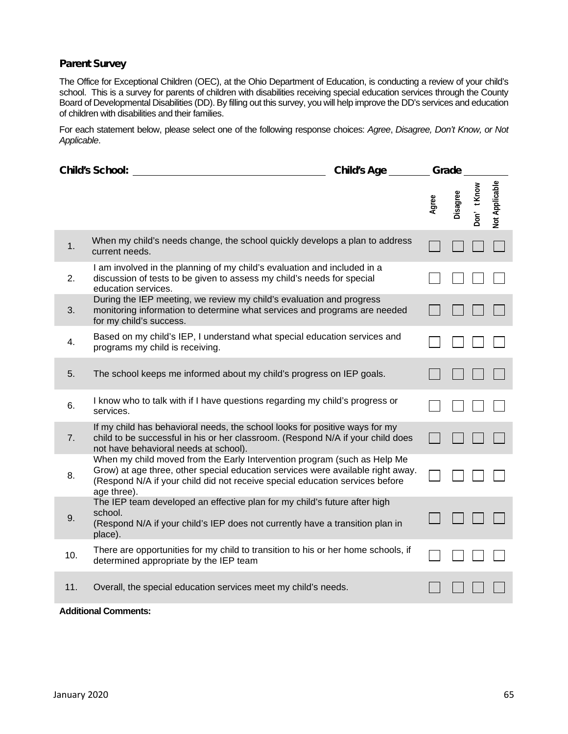#### Parent Survey

The Office for Exceptional Children (OEC), at the Ohio Department of Education, is conducting a review of your child's school. This is a survey for parents of children with disabilities receiving special education services through the County Board of Developmental Disabilities (DD). By filling out this survey, you will help improve the DD's services and education of children with disabilities and their families.

For each statement below, please select one of the following response choices: *Agree*, *Disagree, Don't Know, or Not Applicable*.

|     | <b>Child's School:</b>                                                                                                                                                                                                                                     | <b>Child's Age</b> | Grade |          |            |                |
|-----|------------------------------------------------------------------------------------------------------------------------------------------------------------------------------------------------------------------------------------------------------------|--------------------|-------|----------|------------|----------------|
|     |                                                                                                                                                                                                                                                            |                    | Agree | Disagree | Don't Know | Not Applicable |
| 1.  | When my child's needs change, the school quickly develops a plan to address<br>current needs.                                                                                                                                                              |                    |       |          |            |                |
| 2.  | I am involved in the planning of my child's evaluation and included in a<br>discussion of tests to be given to assess my child's needs for special<br>education services.                                                                                  |                    |       |          |            |                |
| 3.  | During the IEP meeting, we review my child's evaluation and progress<br>monitoring information to determine what services and programs are needed<br>for my child's success.                                                                               |                    |       |          |            |                |
| 4.  | Based on my child's IEP, I understand what special education services and<br>programs my child is receiving.                                                                                                                                               |                    |       |          |            |                |
| 5.  | The school keeps me informed about my child's progress on IEP goals.                                                                                                                                                                                       |                    |       |          |            |                |
| 6.  | I know who to talk with if I have questions regarding my child's progress or<br>services.                                                                                                                                                                  |                    |       |          |            |                |
| 7.  | If my child has behavioral needs, the school looks for positive ways for my<br>child to be successful in his or her classroom. (Respond N/A if your child does<br>not have behavioral needs at school).                                                    |                    |       |          |            |                |
| 8.  | When my child moved from the Early Intervention program (such as Help Me<br>Grow) at age three, other special education services were available right away.<br>(Respond N/A if your child did not receive special education services before<br>age three). |                    |       |          |            |                |
| 9.  | The IEP team developed an effective plan for my child's future after high<br>school.<br>(Respond N/A if your child's IEP does not currently have a transition plan in<br>place).                                                                           |                    |       |          |            |                |
| 10. | There are opportunities for my child to transition to his or her home schools, if<br>determined appropriate by the IEP team                                                                                                                                |                    |       |          |            |                |
| 11. | Overall, the special education services meet my child's needs.                                                                                                                                                                                             |                    |       |          |            |                |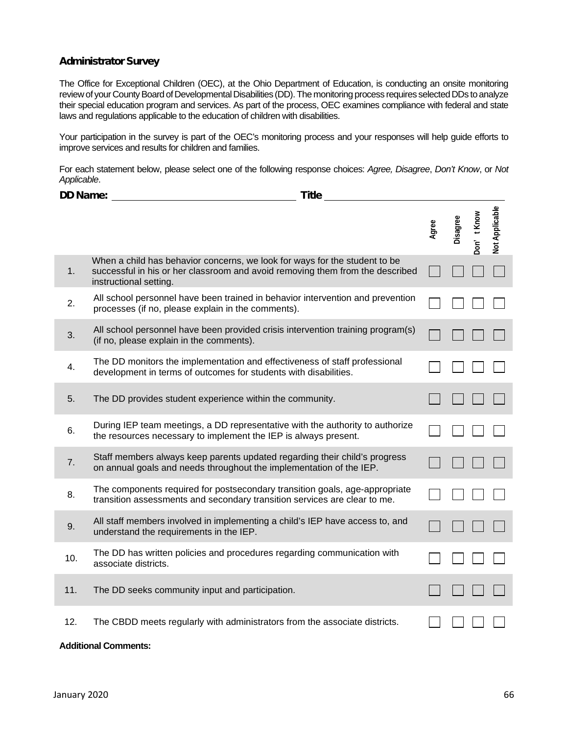#### Administrator Survey

The Office for Exceptional Children (OEC), at the Ohio Department of Education, is conducting an onsite monitoring review of your County Board of Developmental Disabilities (DD). The monitoring process requires selected DDs to analyze their special education program and services. As part of the process, OEC examines compliance with federal and state laws and regulations applicable to the education of children with disabilities.

Your participation in the survey is part of the OEC's monitoring process and your responses will help guide efforts to improve services and results for children and families.

For each statement below, please select one of the following response choices: *Agree, Disagree*, *Don't Know*, or *Not Applicable*.

| <b>DD Name:</b> | <b>Title</b>                                                                                                                                                                          |       |          |            |                |
|-----------------|---------------------------------------------------------------------------------------------------------------------------------------------------------------------------------------|-------|----------|------------|----------------|
|                 |                                                                                                                                                                                       | Agree | Disagree | Don't Know | Not Applicable |
| 1.              | When a child has behavior concerns, we look for ways for the student to be<br>successful in his or her classroom and avoid removing them from the described<br>instructional setting. |       |          |            |                |
| 2.              | All school personnel have been trained in behavior intervention and prevention<br>processes (if no, please explain in the comments).                                                  |       |          |            |                |
| 3.              | All school personnel have been provided crisis intervention training program(s)<br>(if no, please explain in the comments).                                                           |       |          |            |                |
| 4.              | The DD monitors the implementation and effectiveness of staff professional<br>development in terms of outcomes for students with disabilities.                                        |       |          |            |                |
| 5.              | The DD provides student experience within the community.                                                                                                                              |       |          |            |                |
| 6.              | During IEP team meetings, a DD representative with the authority to authorize<br>the resources necessary to implement the IEP is always present.                                      |       |          |            |                |
| 7.              | Staff members always keep parents updated regarding their child's progress<br>on annual goals and needs throughout the implementation of the IEP.                                     |       |          |            |                |
| 8.              | The components required for postsecondary transition goals, age-appropriate<br>transition assessments and secondary transition services are clear to me.                              |       |          |            |                |
| 9.              | All staff members involved in implementing a child's IEP have access to, and<br>understand the requirements in the IEP.                                                               |       |          |            |                |
| 10.             | The DD has written policies and procedures regarding communication with<br>associate districts.                                                                                       |       |          |            |                |
| 11.             | The DD seeks community input and participation.                                                                                                                                       |       |          |            |                |
| 12.             | The CBDD meets regularly with administrators from the associate districts.                                                                                                            |       |          |            |                |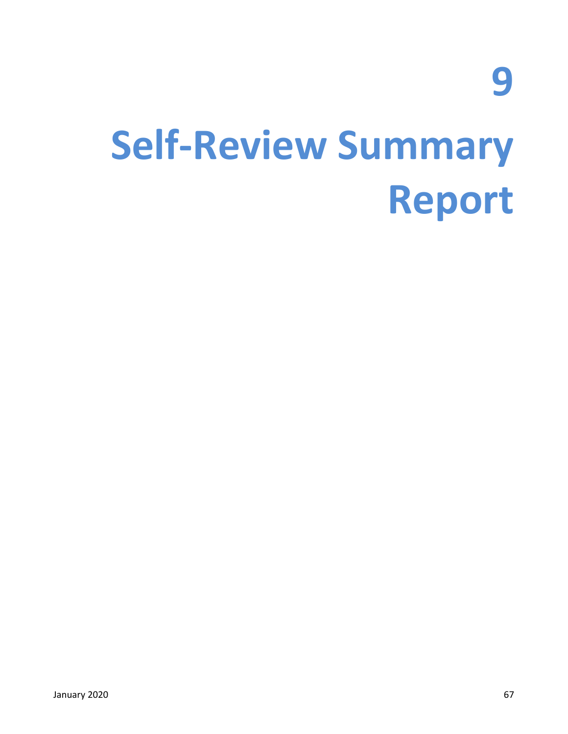**9**

### **Self-Review Summary Report**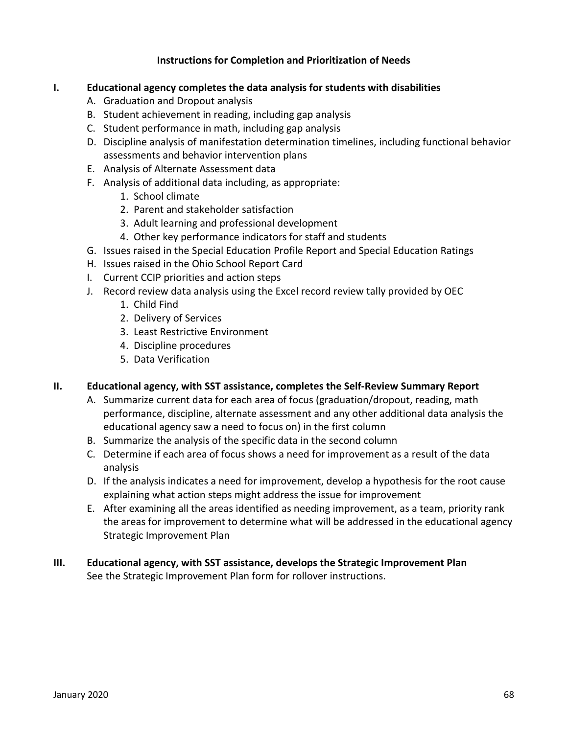#### **Instructions for Completion and Prioritization of Needs**

#### **I. Educational agency completes the data analysis for students with disabilities**

- A. Graduation and Dropout analysis
- B. Student achievement in reading, including gap analysis
- C. Student performance in math, including gap analysis
- D. Discipline analysis of manifestation determination timelines, including functional behavior assessments and behavior intervention plans
- E. Analysis of Alternate Assessment data
- F. Analysis of additional data including, as appropriate:
	- 1. School climate
	- 2. Parent and stakeholder satisfaction
	- 3. Adult learning and professional development
	- 4. Other key performance indicators for staff and students
- G. Issues raised in the Special Education Profile Report and Special Education Ratings
- H. Issues raised in the Ohio School Report Card
- I. Current CCIP priorities and action steps
- J. Record review data analysis using the Excel record review tally provided by OEC
	- 1. Child Find
	- 2. Delivery of Services
	- 3. Least Restrictive Environment
	- 4. Discipline procedures
	- 5. Data Verification

#### **II. Educational agency, with SST assistance, completes the Self-Review Summary Report**

- A. Summarize current data for each area of focus (graduation/dropout, reading, math performance, discipline, alternate assessment and any other additional data analysis the educational agency saw a need to focus on) in the first column
- B. Summarize the analysis of the specific data in the second column
- C. Determine if each area of focus shows a need for improvement as a result of the data analysis
- D. If the analysis indicates a need for improvement, develop a hypothesis for the root cause explaining what action steps might address the issue for improvement
- E. After examining all the areas identified as needing improvement, as a team, priority rank the areas for improvement to determine what will be addressed in the educational agency Strategic Improvement Plan

#### **III. Educational agency, with SST assistance, develops the Strategic Improvement Plan** See the Strategic Improvement Plan form for rollover instructions.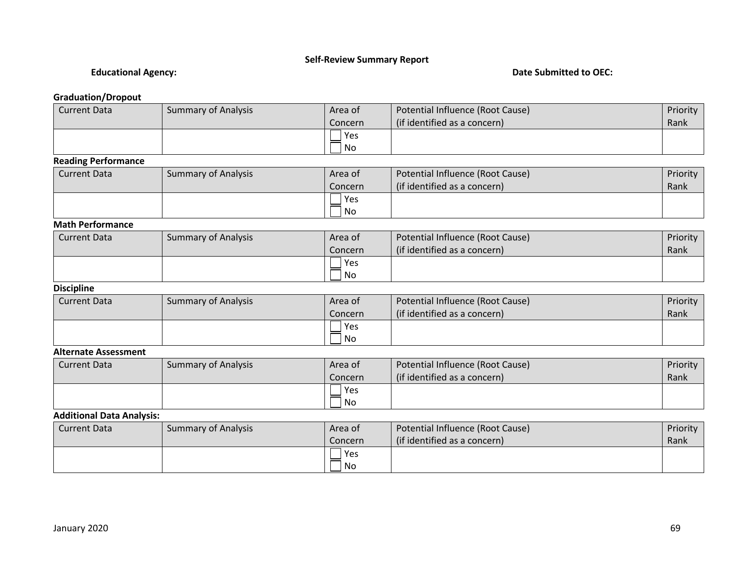#### **Self-Review Summary Report**

#### **Educational Agency: Date Submitted to OEC:**

#### **Graduation/Dropout**

| <b>Current Data</b>              | <b>Summary of Analysis</b> | Area of   | Potential Influence (Root Cause) | Priority |
|----------------------------------|----------------------------|-----------|----------------------------------|----------|
|                                  |                            | Concern   | (if identified as a concern)     | Rank     |
|                                  |                            | Yes       |                                  |          |
|                                  |                            | <b>No</b> |                                  |          |
| <b>Reading Performance</b>       |                            |           |                                  |          |
| <b>Current Data</b>              | <b>Summary of Analysis</b> | Area of   | Potential Influence (Root Cause) | Priority |
|                                  |                            | Concern   | (if identified as a concern)     | Rank     |
|                                  |                            | Yes       |                                  |          |
|                                  |                            | <b>No</b> |                                  |          |
| <b>Math Performance</b>          |                            |           |                                  |          |
| <b>Current Data</b>              | <b>Summary of Analysis</b> | Area of   | Potential Influence (Root Cause) | Priority |
|                                  |                            | Concern   | (if identified as a concern)     | Rank     |
|                                  |                            | Yes       |                                  |          |
|                                  |                            | <b>No</b> |                                  |          |
| <b>Discipline</b>                |                            |           |                                  |          |
| <b>Current Data</b>              | <b>Summary of Analysis</b> | Area of   | Potential Influence (Root Cause) | Priority |
|                                  |                            | Concern   | (if identified as a concern)     | Rank     |
|                                  |                            | Yes       |                                  |          |
|                                  |                            | No        |                                  |          |
| <b>Alternate Assessment</b>      |                            |           |                                  |          |
| <b>Current Data</b>              | <b>Summary of Analysis</b> | Area of   | Potential Influence (Root Cause) | Priority |
|                                  |                            | Concern   | (if identified as a concern)     | Rank     |
|                                  |                            | Yes       |                                  |          |
|                                  |                            | No        |                                  |          |
| <b>Additional Data Analysis:</b> |                            |           |                                  |          |
| <b>Current Data</b>              | <b>Summary of Analysis</b> | Area of   | Potential Influence (Root Cause) | Priority |
|                                  |                            | Concern   | (if identified as a concern)     | Rank     |
|                                  |                            | Yes       |                                  |          |
|                                  |                            | No        |                                  |          |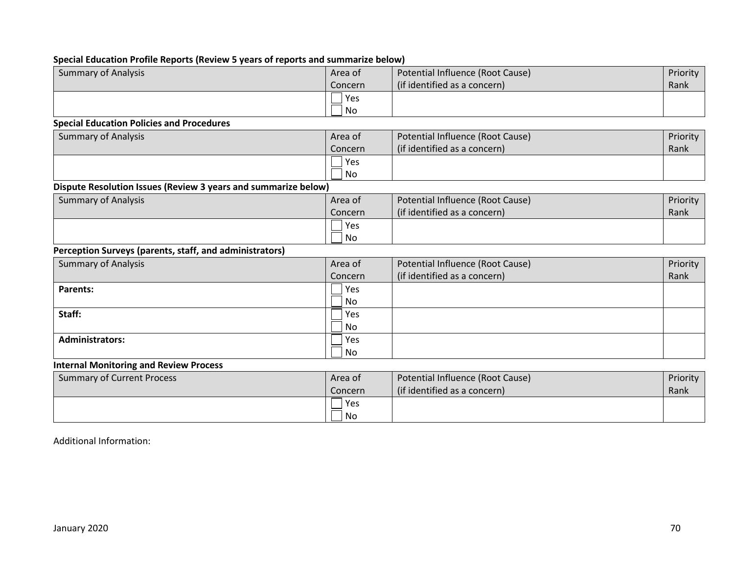#### **Special Education Profile Reports (Review 5 years of reports and summarize below)**

| <b>Summary of Analysis</b>                                     | Area of | Potential Influence (Root Cause) | Priority |
|----------------------------------------------------------------|---------|----------------------------------|----------|
|                                                                | Concern | (if identified as a concern)     | Rank     |
|                                                                | Yes     |                                  |          |
|                                                                | No      |                                  |          |
| <b>Special Education Policies and Procedures</b>               |         |                                  |          |
| <b>Summary of Analysis</b>                                     | Area of | Potential Influence (Root Cause) | Priority |
|                                                                | Concern | (if identified as a concern)     | Rank     |
|                                                                | Yes     |                                  |          |
|                                                                | No      |                                  |          |
| Dispute Resolution Issues (Review 3 years and summarize below) |         |                                  |          |
| <b>Summary of Analysis</b>                                     | Area of | Potential Influence (Root Cause) | Priority |
|                                                                | Concern | (if identified as a concern)     | Rank     |
|                                                                | Yes     |                                  |          |
|                                                                | No      |                                  |          |
| Perception Surveys (parents, staff, and administrators)        |         |                                  |          |
| <b>Summary of Analysis</b>                                     | Area of | Potential Influence (Root Cause) | Priority |
|                                                                | Concern | (if identified as a concern)     | Rank     |
| <b>Parents:</b>                                                | Yes     |                                  |          |
|                                                                | No      |                                  |          |
| Staff:                                                         | Yes     |                                  |          |
|                                                                | No      |                                  |          |
| <b>Administrators:</b>                                         | Yes     |                                  |          |
|                                                                | No      |                                  |          |
| <b>Internal Monitoring and Review Process</b>                  |         |                                  |          |
| <b>Summary of Current Process</b>                              | Area of | Potential Influence (Root Cause) | Priority |
|                                                                | Concern | (if identified as a concern)     | Rank     |
|                                                                | Yes     |                                  |          |
|                                                                | No      |                                  |          |

Additional Information: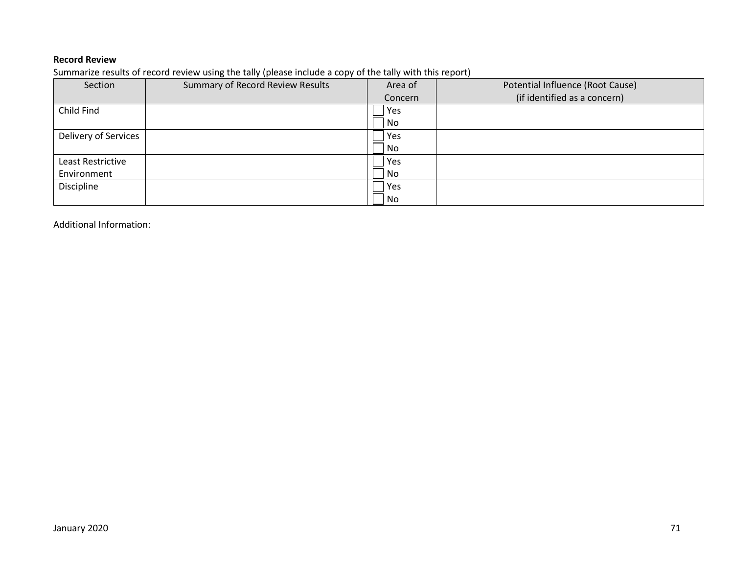#### **Record Review**

Summarize results of record review using the tally (please include a copy of the tally with this report)

| Section              | Summary of Record Review Results | Area of | Potential Influence (Root Cause) |
|----------------------|----------------------------------|---------|----------------------------------|
|                      |                                  | Concern | (if identified as a concern)     |
| Child Find           |                                  | Yes     |                                  |
|                      |                                  | No      |                                  |
| Delivery of Services |                                  | Yes     |                                  |
|                      |                                  | No      |                                  |
| Least Restrictive    |                                  | Yes     |                                  |
| Environment          |                                  | No      |                                  |
| Discipline           |                                  | Yes     |                                  |
|                      |                                  | No      |                                  |

Additional Information: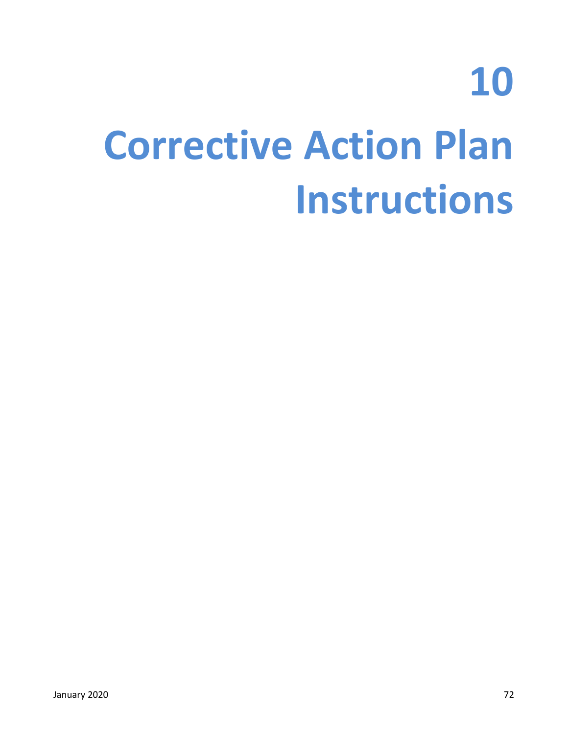## **10 Corrective Action Plan Instructions**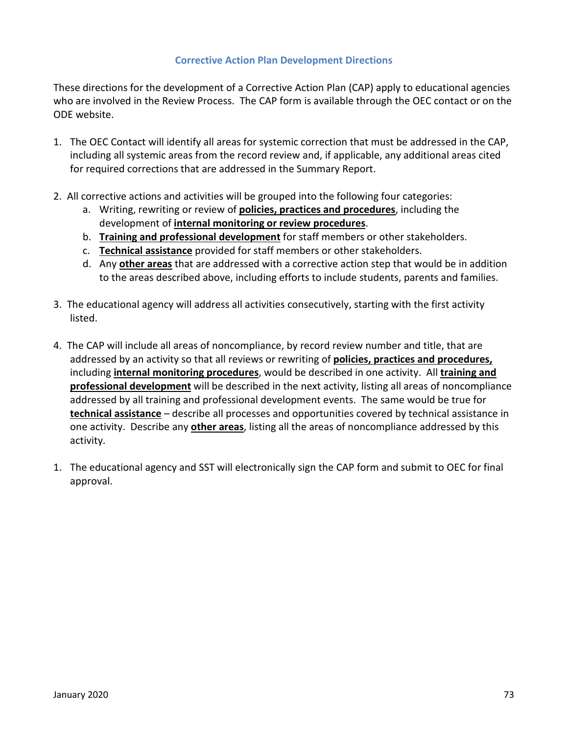### **Corrective Action Plan Development Directions**

These directions for the development of a Corrective Action Plan (CAP) apply to educational agencies who are involved in the Review Process. The CAP form is available through the OEC contact or on the ODE website.

- 1. The OEC Contact will identify all areas for systemic correction that must be addressed in the CAP, including all systemic areas from the record review and, if applicable, any additional areas cited for required corrections that are addressed in the Summary Report.
- 2. All corrective actions and activities will be grouped into the following four categories:
	- a. Writing, rewriting or review of **policies, practices and procedures**, including the development of **internal monitoring or review procedures**.
	- b. **Training and professional development** for staff members or other stakeholders.
	- c. **Technical assistance** provided for staff members or other stakeholders.
	- d. Any **other areas** that are addressed with a corrective action step that would be in addition to the areas described above, including efforts to include students, parents and families.
- 3. The educational agency will address all activities consecutively, starting with the first activity listed.
- 4. The CAP will include all areas of noncompliance, by record review number and title, that are addressed by an activity so that all reviews or rewriting of **policies, practices and procedures,** including **internal monitoring procedures**, would be described in one activity. All **training and professional development** will be described in the next activity, listing all areas of noncompliance addressed by all training and professional development events. The same would be true for **technical assistance** – describe all processes and opportunities covered by technical assistance in one activity. Describe any **other areas**, listing all the areas of noncompliance addressed by this activity.
- 1. The educational agency and SST will electronically sign the CAP form and submit to OEC for final approval.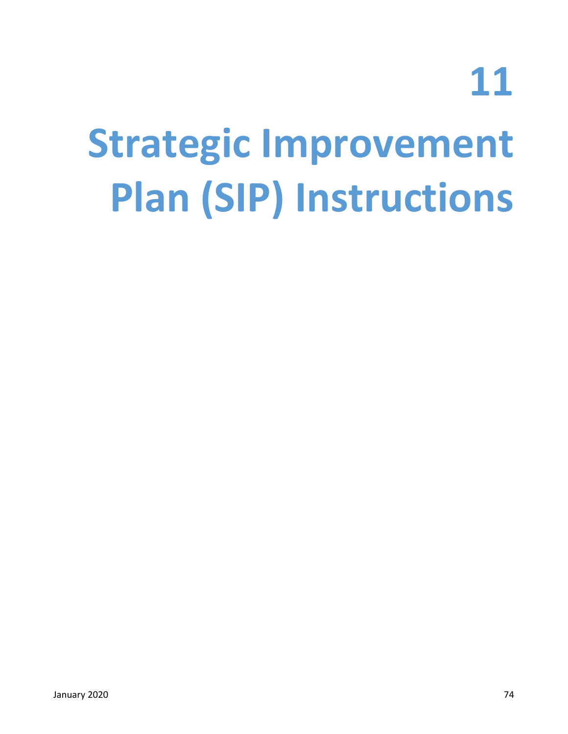**11**

## **Strategic Improvement Plan (SIP) Instructions**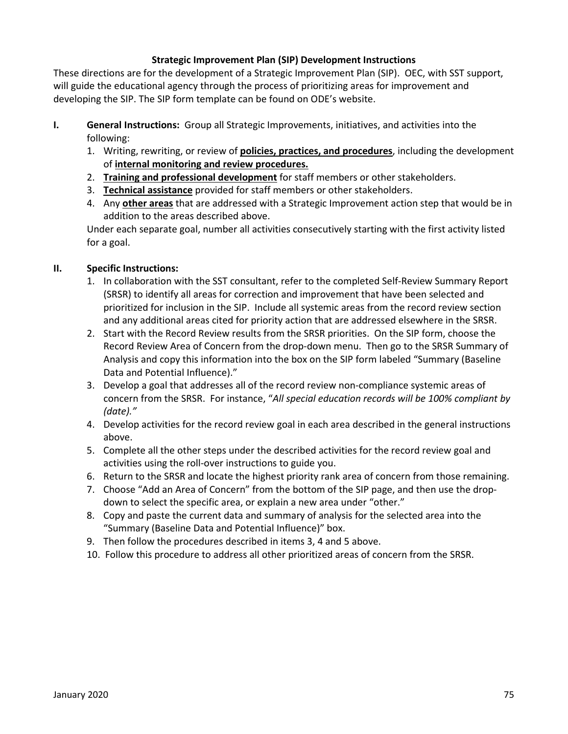### **Strategic Improvement Plan (SIP) Development Instructions**

These directions are for the development of a Strategic Improvement Plan (SIP). OEC, with SST support, will guide the educational agency through the process of prioritizing areas for improvement and developing the SIP. The SIP form template can be found on ODE's website.

- **I. General Instructions:** Group all Strategic Improvements, initiatives, and activities into the following:
	- 1. Writing, rewriting, or review of **policies, practices, and procedures**, including the development of **internal monitoring and review procedures.**
	- 2. **Training and professional development** for staff members or other stakeholders.
	- 3. **Technical assistance** provided for staff members or other stakeholders.
	- 4. Any **other areas** that are addressed with a Strategic Improvement action step that would be in addition to the areas described above.

Under each separate goal, number all activities consecutively starting with the first activity listed for a goal.

## **II. Specific Instructions:**

- 1. In collaboration with the SST consultant, refer to the completed Self-Review Summary Report (SRSR) to identify all areas for correction and improvement that have been selected and prioritized for inclusion in the SIP. Include all systemic areas from the record review section and any additional areas cited for priority action that are addressed elsewhere in the SRSR.
- 2. Start with the Record Review results from the SRSR priorities. On the SIP form, choose the Record Review Area of Concern from the drop-down menu. Then go to the SRSR Summary of Analysis and copy this information into the box on the SIP form labeled "Summary (Baseline Data and Potential Influence)."
- 3. Develop a goal that addresses all of the record review non-compliance systemic areas of concern from the SRSR. For instance, "*All special education records will be 100% compliant by (date)."*
- 4. Develop activities for the record review goal in each area described in the general instructions above.
- 5.Complete all the other steps under the described activities for the record review goal and activities using the roll-over instructions to guide you.
- 6.Return to the SRSR and locate the highest priority rank area of concern from those remaining.
- 7. Choose "Add an Area of Concern" from the bottom of the SIP page, and then use the dropdown to select the specific area, or explain a new area under "other."
- 8. Copy and paste the current data and summary of analysis for the selected area into the "Summary (Baseline Data and Potential Influence)" box.
- 9. Then follow the procedures described in items 3, 4 and 5 above.
- 10. Follow this procedure to address all other prioritized areas of concern from the SRSR.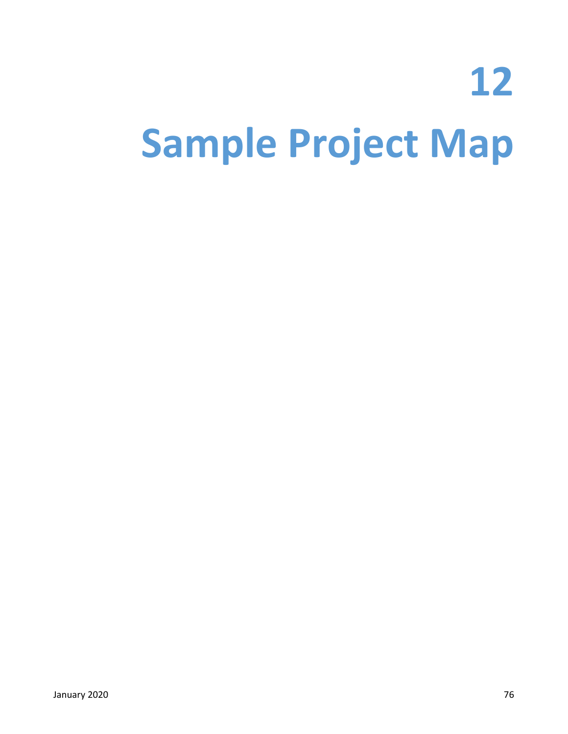# **12 Sample Project Map**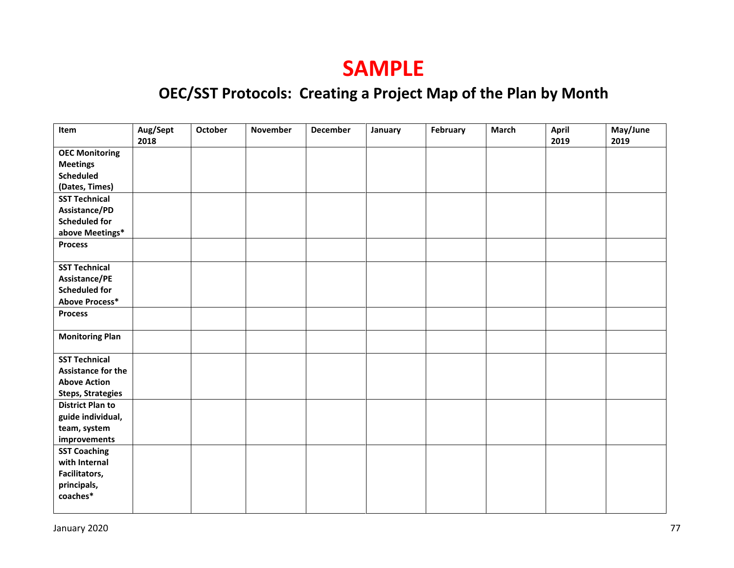## **SAMPLE**

## **OEC/SST Protocols: Creating a Project Map of the Plan by Month**

| Item                      | Aug/Sept<br>2018 | <b>October</b> | <b>November</b> | <b>December</b> | January | February | March | <b>April</b><br>2019 | May/June<br>2019 |
|---------------------------|------------------|----------------|-----------------|-----------------|---------|----------|-------|----------------------|------------------|
| <b>OEC Monitoring</b>     |                  |                |                 |                 |         |          |       |                      |                  |
| <b>Meetings</b>           |                  |                |                 |                 |         |          |       |                      |                  |
| <b>Scheduled</b>          |                  |                |                 |                 |         |          |       |                      |                  |
| (Dates, Times)            |                  |                |                 |                 |         |          |       |                      |                  |
| <b>SST Technical</b>      |                  |                |                 |                 |         |          |       |                      |                  |
| Assistance/PD             |                  |                |                 |                 |         |          |       |                      |                  |
| <b>Scheduled for</b>      |                  |                |                 |                 |         |          |       |                      |                  |
| above Meetings*           |                  |                |                 |                 |         |          |       |                      |                  |
| <b>Process</b>            |                  |                |                 |                 |         |          |       |                      |                  |
|                           |                  |                |                 |                 |         |          |       |                      |                  |
| <b>SST Technical</b>      |                  |                |                 |                 |         |          |       |                      |                  |
| Assistance/PE             |                  |                |                 |                 |         |          |       |                      |                  |
| <b>Scheduled for</b>      |                  |                |                 |                 |         |          |       |                      |                  |
| <b>Above Process*</b>     |                  |                |                 |                 |         |          |       |                      |                  |
| <b>Process</b>            |                  |                |                 |                 |         |          |       |                      |                  |
|                           |                  |                |                 |                 |         |          |       |                      |                  |
| <b>Monitoring Plan</b>    |                  |                |                 |                 |         |          |       |                      |                  |
| <b>SST Technical</b>      |                  |                |                 |                 |         |          |       |                      |                  |
| <b>Assistance for the</b> |                  |                |                 |                 |         |          |       |                      |                  |
| <b>Above Action</b>       |                  |                |                 |                 |         |          |       |                      |                  |
| <b>Steps, Strategies</b>  |                  |                |                 |                 |         |          |       |                      |                  |
| <b>District Plan to</b>   |                  |                |                 |                 |         |          |       |                      |                  |
| guide individual,         |                  |                |                 |                 |         |          |       |                      |                  |
| team, system              |                  |                |                 |                 |         |          |       |                      |                  |
| improvements              |                  |                |                 |                 |         |          |       |                      |                  |
| <b>SST Coaching</b>       |                  |                |                 |                 |         |          |       |                      |                  |
| with Internal             |                  |                |                 |                 |         |          |       |                      |                  |
| Facilitators,             |                  |                |                 |                 |         |          |       |                      |                  |
| principals,               |                  |                |                 |                 |         |          |       |                      |                  |
| coaches*                  |                  |                |                 |                 |         |          |       |                      |                  |
|                           |                  |                |                 |                 |         |          |       |                      |                  |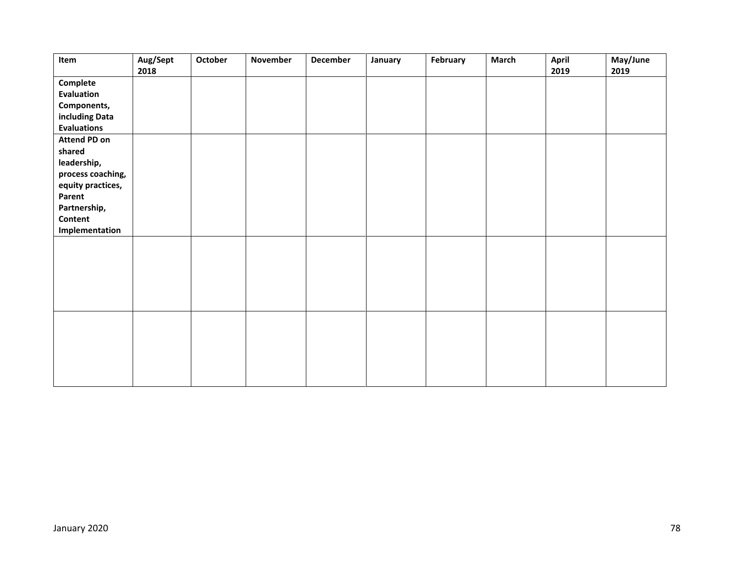| Item                      | Aug/Sept<br>2018 | October | November | <b>December</b> | January | February | <b>March</b> | April<br>2019 | May/June<br>2019 |
|---------------------------|------------------|---------|----------|-----------------|---------|----------|--------------|---------------|------------------|
| Complete                  |                  |         |          |                 |         |          |              |               |                  |
| Evaluation                |                  |         |          |                 |         |          |              |               |                  |
| Components,               |                  |         |          |                 |         |          |              |               |                  |
| including Data            |                  |         |          |                 |         |          |              |               |                  |
| <b>Evaluations</b>        |                  |         |          |                 |         |          |              |               |                  |
| <b>Attend PD on</b>       |                  |         |          |                 |         |          |              |               |                  |
| shared                    |                  |         |          |                 |         |          |              |               |                  |
| leadership,               |                  |         |          |                 |         |          |              |               |                  |
| process coaching,         |                  |         |          |                 |         |          |              |               |                  |
| equity practices,         |                  |         |          |                 |         |          |              |               |                  |
| Parent                    |                  |         |          |                 |         |          |              |               |                  |
| Partnership,              |                  |         |          |                 |         |          |              |               |                  |
| Content<br>Implementation |                  |         |          |                 |         |          |              |               |                  |
|                           |                  |         |          |                 |         |          |              |               |                  |
|                           |                  |         |          |                 |         |          |              |               |                  |
|                           |                  |         |          |                 |         |          |              |               |                  |
|                           |                  |         |          |                 |         |          |              |               |                  |
|                           |                  |         |          |                 |         |          |              |               |                  |
|                           |                  |         |          |                 |         |          |              |               |                  |
|                           |                  |         |          |                 |         |          |              |               |                  |
|                           |                  |         |          |                 |         |          |              |               |                  |
|                           |                  |         |          |                 |         |          |              |               |                  |
|                           |                  |         |          |                 |         |          |              |               |                  |
|                           |                  |         |          |                 |         |          |              |               |                  |
|                           |                  |         |          |                 |         |          |              |               |                  |
|                           |                  |         |          |                 |         |          |              |               |                  |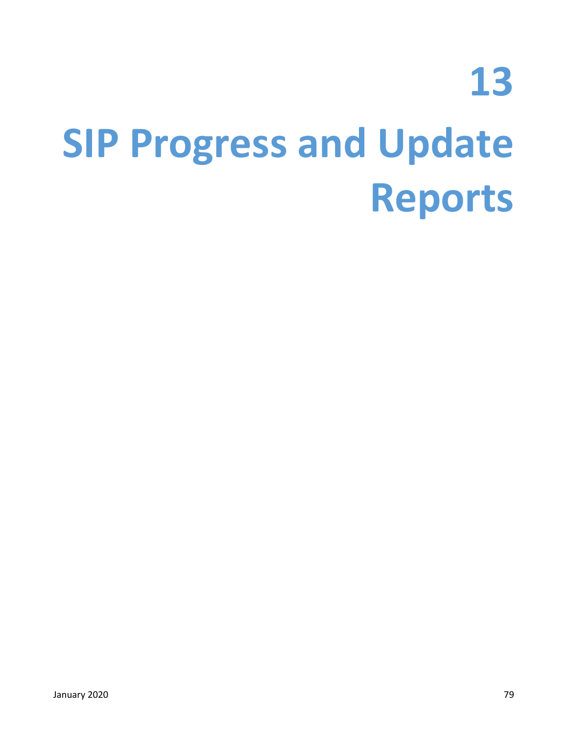## **13 SIP Progress and Update Reports**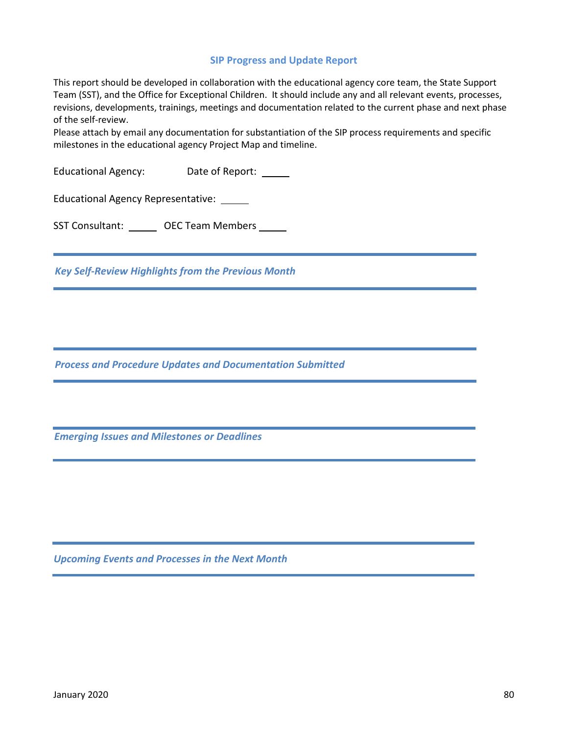#### **SIP Progress and Update Report**

This report should be developed in collaboration with the educational agency core team, the State Support Team (SST), and the Office for Exceptional Children. It should include any and all relevant events, processes, revisions, developments, trainings, meetings and documentation related to the current phase and next phase of the self-review.

Please attach by email any documentation for substantiation of the SIP process requirements and specific milestones in the educational agency Project Map and timeline.

Educational Agency: Date of Report: \_\_\_\_\_\_

Educational Agency Representative:

SST Consultant: OEC Team Members

*Key Self-Review Highlights from the Previous Month*

*Process and Procedure Updates and Documentation Submitted*

*Emerging Issues and Milestones or Deadlines*

*Upcoming Events and Processes in the Next Month*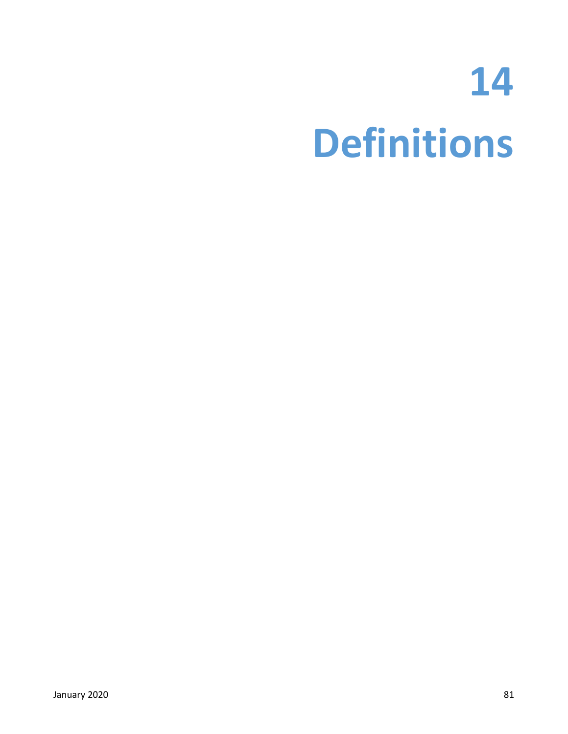## **14 Definitions**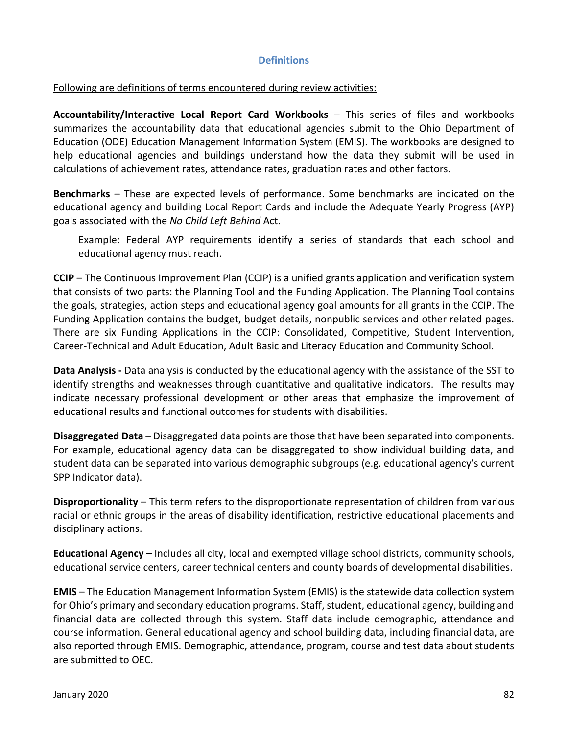### **Definitions**

### Following are definitions of terms encountered during review activities:

**Accountability/Interactive Local Report Card Workbooks** – This series of files and workbooks summarizes the accountability data that educational agencies submit to the Ohio Department of Education (ODE) Education Management Information System (EMIS). The workbooks are designed to help educational agencies and buildings understand how the data they submit will be used in calculations of achievement rates, attendance rates, graduation rates and other factors.

**Benchmarks** – These are expected levels of performance. Some benchmarks are indicated on the educational agency and building Local Report Cards and include the Adequate Yearly Progress (AYP) goals associated with the *No Child Left Behind* Act.

Example: Federal AYP requirements identify a series of standards that each school and educational agency must reach.

**CCIP** – The Continuous Improvement Plan (CCIP) is a unified grants application and verification system that consists of two parts: the Planning Tool and the Funding Application. The Planning Tool contains the goals, strategies, action steps and educational agency goal amounts for all grants in the CCIP. The Funding Application contains the budget, budget details, nonpublic services and other related pages. There are six Funding Applications in the CCIP: Consolidated, Competitive, Student Intervention, Career-Technical and Adult Education, Adult Basic and Literacy Education and Community School.

**Data Analysis -** Data analysis is conducted by the educational agency with the assistance of the SST to identify strengths and weaknesses through quantitative and qualitative indicators. The results may indicate necessary professional development or other areas that emphasize the improvement of educational results and functional outcomes for students with disabilities.

**Disaggregated Data –** Disaggregated data points are those that have been separated into components. For example, educational agency data can be disaggregated to show individual building data, and student data can be separated into various demographic subgroups (e.g. educational agency's current SPP Indicator data).

**Disproportionality** – This term refers to the disproportionate representation of children from various racial or ethnic groups in the areas of disability identification, restrictive educational placements and disciplinary actions.

**Educational Agency –** Includes all city, local and exempted village school districts, community schools, educational service centers, career technical centers and county boards of developmental disabilities.

**EMIS** – The Education Management Information System (EMIS) is the statewide data collection system for Ohio's primary and secondary education programs. Staff, student, educational agency, building and financial data are collected through this system. Staff data include demographic, attendance and course information. General educational agency and school building data, including financial data, are also reported through EMIS. Demographic, attendance, program, course and test data about students are submitted to OEC.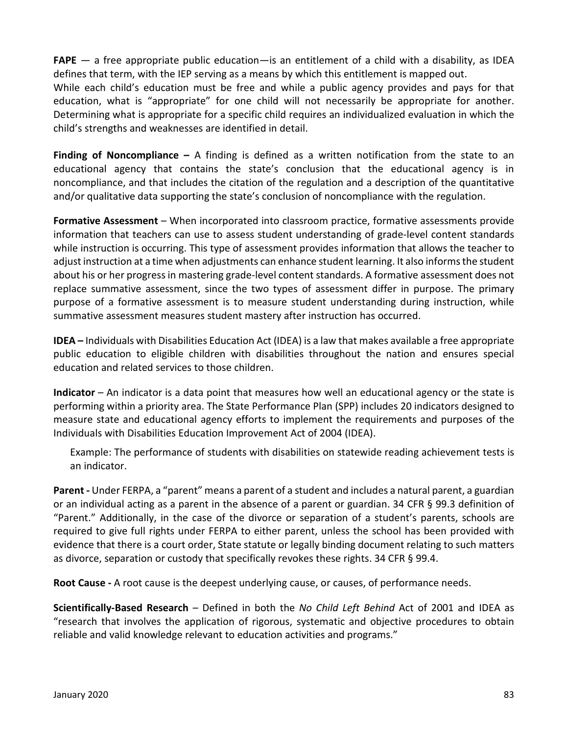**FAPE** — a free appropriate public education—is an entitlement of a child with a disability, as IDEA defines that term, with the IEP serving as a means by which this entitlement is mapped out.

While each child's education must be free and while a public agency provides and pays for that education, what is "appropriate" for one child will not necessarily be appropriate for another. Determining what is appropriate for a specific child requires an individualized evaluation in which the child's strengths and weaknesses are identified in detail.

**Finding of Noncompliance –** A finding is defined as a written notification from the state to an educational agency that contains the state's conclusion that the educational agency is in noncompliance, and that includes the citation of the regulation and a description of the quantitative and/or qualitative data supporting the state's conclusion of noncompliance with the regulation.

**Formative Assessment** – When incorporated into classroom practice, formative assessments provide information that teachers can use to assess student understanding of grade-level content standards while instruction is occurring. This type of assessment provides information that allows the teacher to adjust instruction at a time when adjustments can enhance student learning. It also informs the student about his or her progress in mastering grade-level content standards. A formative assessment does not replace summative assessment, since the two types of assessment differ in purpose. The primary purpose of a formative assessment is to measure student understanding during instruction, while summative assessment measures student mastery after instruction has occurred.

**IDEA –** Individuals with Disabilities Education Act (IDEA) is a law that makes available a free appropriate public education to eligible children with disabilities throughout the nation and ensures special education and related services to those children.

**Indicator** – An indicator is a data point that measures how well an educational agency or the state is performing within a priority area. The State Performance Plan (SPP) includes 20 indicators designed to measure state and educational agency efforts to implement the requirements and purposes of the Individuals with Disabilities Education Improvement Act of 2004 (IDEA).

Example: The performance of students with disabilities on statewide reading achievement tests is an indicator.

**Parent -** Under FERPA, a "parent" means a parent of a student and includes a natural parent, a guardian or an individual acting as a parent in the absence of a parent or guardian. 34 CFR § 99.3 definition of "Parent." Additionally, in the case of the divorce or separation of a student's parents, schools are required to give full rights under FERPA to either parent, unless the school has been provided with evidence that there is a court order, State statute or legally binding document relating to such matters as divorce, separation or custody that specifically revokes these rights. 34 CFR § 99.4.

**Root Cause -** A root cause is the deepest underlying cause, or causes, of performance needs.

**Scientifically-Based Research** – Defined in both the *No Child Left Behind* Act of 2001 and IDEA as "research that involves the application of rigorous, systematic and objective procedures to obtain reliable and valid knowledge relevant to education activities and programs."